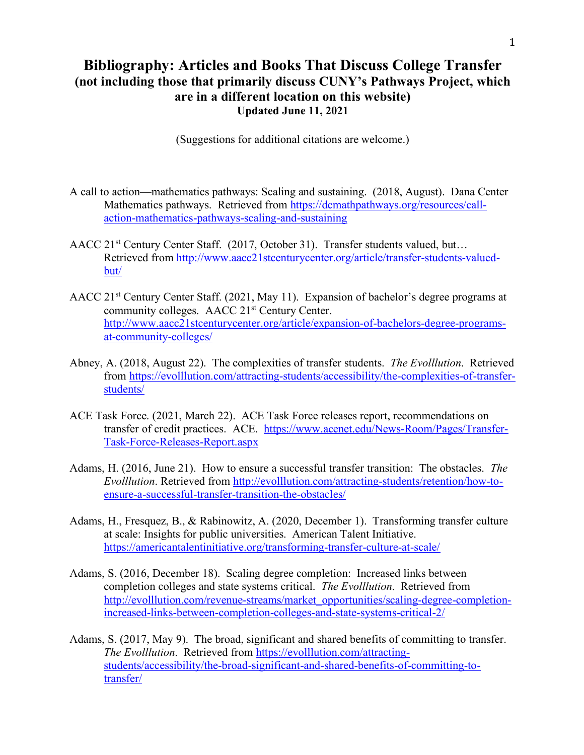## **Bibliography: Articles and Books That Discuss College Transfer (not including those that primarily discuss CUNY's Pathways Project, which are in a different location on this website) Updated June 11, 2021**

(Suggestions for additional citations are welcome.)

- A call to action—mathematics pathways: Scaling and sustaining. (2018, August). Dana Center Mathematics pathways. Retrieved from https://dcmathpathways.org/resources/callaction-mathematics-pathways-scaling-and-sustaining
- AACC 21st Century Center Staff. (2017, October 31). Transfer students valued, but… Retrieved from http://www.aacc21stcenturycenter.org/article/transfer-students-valuedbut/
- AACC 21st Century Center Staff. (2021, May 11). Expansion of bachelor's degree programs at community colleges. AACC 21st Century Center. http://www.aacc21stcenturycenter.org/article/expansion-of-bachelors-degree-programsat-community-colleges/
- Abney, A. (2018, August 22). The complexities of transfer students. *The Evolllution*. Retrieved from https://evolllution.com/attracting-students/accessibility/the-complexities-of-transferstudents/
- ACE Task Force. (2021, March 22). ACE Task Force releases report, recommendations on transfer of credit practices. ACE. https://www.acenet.edu/News-Room/Pages/Transfer-Task-Force-Releases-Report.aspx
- Adams, H. (2016, June 21). How to ensure a successful transfer transition: The obstacles. *The Evolllution*. Retrieved from http://evolllution.com/attracting-students/retention/how-toensure-a-successful-transfer-transition-the-obstacles/
- Adams, H., Fresquez, B., & Rabinowitz, A. (2020, December 1). Transforming transfer culture at scale: Insights for public universities. American Talent Initiative. https://americantalentinitiative.org/transforming-transfer-culture-at-scale/
- Adams, S. (2016, December 18). Scaling degree completion: Increased links between completion colleges and state systems critical. *The Evolllution*. Retrieved from http://evolllution.com/revenue-streams/market\_opportunities/scaling-degree-completionincreased-links-between-completion-colleges-and-state-systems-critical-2/
- Adams, S. (2017, May 9). The broad, significant and shared benefits of committing to transfer. *The Evolllution*. Retrieved from https://evolllution.com/attractingstudents/accessibility/the-broad-significant-and-shared-benefits-of-committing-totransfer/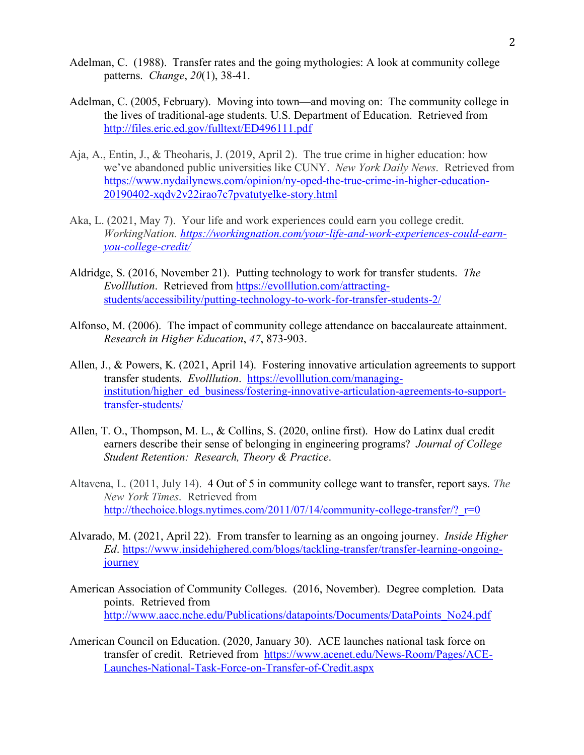- Adelman, C. (1988). Transfer rates and the going mythologies: A look at community college patterns. *Change*, *20*(1), 38-41.
- Adelman, C. (2005, February). Moving into town—and moving on: The community college in the lives of traditional-age students. U.S. Department of Education. Retrieved from http://files.eric.ed.gov/fulltext/ED496111.pdf
- Aja, A., Entin, J., & Theoharis, J. (2019, April 2). The true crime in higher education: how we've abandoned public universities like CUNY. *New York Daily News*. Retrieved from https://www.nydailynews.com/opinion/ny-oped-the-true-crime-in-higher-education-20190402-xqdv2v22irao7c7pvatutyelke-story.html
- Aka, L. (2021, May 7). Your life and work experiences could earn you college credit. *WorkingNation. https://workingnation.com/your-life-and-work-experiences-could-earnyou-college-credit/*
- Aldridge, S. (2016, November 21). Putting technology to work for transfer students. *The Evolllution*. Retrieved from https://evolllution.com/attractingstudents/accessibility/putting-technology-to-work-for-transfer-students-2/
- Alfonso, M. (2006). The impact of community college attendance on baccalaureate attainment. *Research in Higher Education*, *47*, 873-903.
- Allen, J., & Powers, K. (2021, April 14). Fostering innovative articulation agreements to support transfer students. *Evolllution*. https://evolllution.com/managinginstitution/higher\_ed\_business/fostering-innovative-articulation-agreements-to-supporttransfer-students/
- Allen, T. O., Thompson, M. L., & Collins, S. (2020, online first). How do Latinx dual credit earners describe their sense of belonging in engineering programs? *Journal of College Student Retention: Research, Theory & Practice*.
- Altavena, L. (2011, July 14). 4 Out of 5 in community college want to transfer, report says. *The New York Times*. Retrieved from http://thechoice.blogs.nytimes.com/2011/07/14/community-college-transfer/?  $r=0$
- Alvarado, M. (2021, April 22). From transfer to learning as an ongoing journey. *Inside Higher Ed*. https://www.insidehighered.com/blogs/tackling-transfer/transfer-learning-ongoingjourney
- American Association of Community Colleges. (2016, November). Degree completion. Data points. Retrieved from http://www.aacc.nche.edu/Publications/datapoints/Documents/DataPoints\_No24.pdf
- American Council on Education. (2020, January 30). ACE launches national task force on transfer of credit. Retrieved from https://www.acenet.edu/News-Room/Pages/ACE-Launches-National-Task-Force-on-Transfer-of-Credit.aspx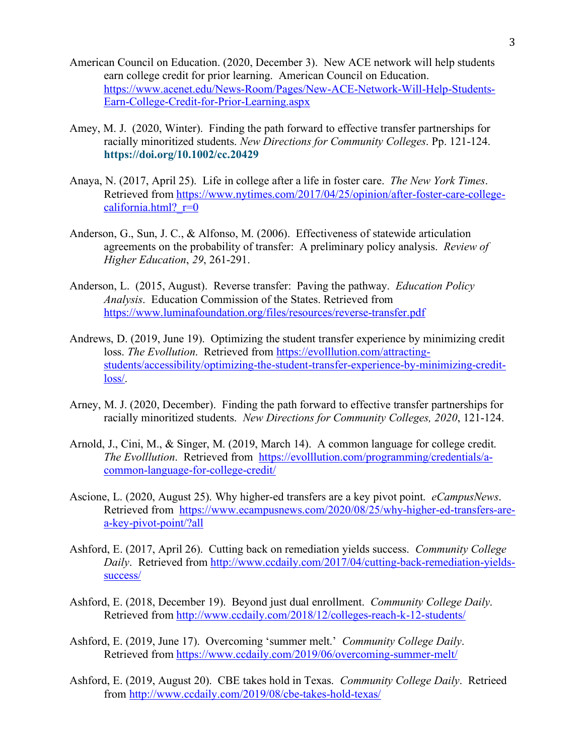- American Council on Education. (2020, December 3). New ACE network will help students earn college credit for prior learning. American Council on Education. https://www.acenet.edu/News-Room/Pages/New-ACE-Network-Will-Help-Students-Earn-College-Credit-for-Prior-Learning.aspx
- Amey, M. J. (2020, Winter). Finding the path forward to effective transfer partnerships for racially minoritized students. *New Directions for Community Colleges*. Pp. 121-124. **https://doi.org/10.1002/cc.20429**
- Anaya, N. (2017, April 25). Life in college after a life in foster care. *The New York Times*. Retrieved from https://www.nytimes.com/2017/04/25/opinion/after-foster-care-collegecalifornia.html?  $r=0$
- Anderson, G., Sun, J. C., & Alfonso, M. (2006). Effectiveness of statewide articulation agreements on the probability of transfer: A preliminary policy analysis. *Review of Higher Education*, *29*, 261-291.
- Anderson, L. (2015, August). Reverse transfer: Paving the pathway. *Education Policy Analysis*. Education Commission of the States. Retrieved from https://www.luminafoundation.org/files/resources/reverse-transfer.pdf
- Andrews, D. (2019, June 19). Optimizing the student transfer experience by minimizing credit loss. *The Evollution*. Retrieved from https://evolllution.com/attractingstudents/accessibility/optimizing-the-student-transfer-experience-by-minimizing-creditloss/.
- Arney, M. J. (2020, December). Finding the path forward to effective transfer partnerships for racially minoritized students. *New Directions for Community Colleges, 2020*, 121-124.
- Arnold, J., Cini, M., & Singer, M. (2019, March 14). A common language for college credit. *The Evolllution*. Retrieved from https://evolllution.com/programming/credentials/acommon-language-for-college-credit/
- Ascione, L. (2020, August 25). Why higher-ed transfers are a key pivot point. *eCampusNews*. Retrieved from https://www.ecampusnews.com/2020/08/25/why-higher-ed-transfers-area-key-pivot-point/?all
- Ashford, E. (2017, April 26). Cutting back on remediation yields success. *Community College Daily*. Retrieved from http://www.ccdaily.com/2017/04/cutting-back-remediation-yieldssuccess/
- Ashford, E. (2018, December 19). Beyond just dual enrollment. *Community College Daily*. Retrieved from http://www.ccdaily.com/2018/12/colleges-reach-k-12-students/
- Ashford, E. (2019, June 17). Overcoming 'summer melt.' *Community College Daily*. Retrieved from https://www.ccdaily.com/2019/06/overcoming-summer-melt/
- Ashford, E. (2019, August 20). CBE takes hold in Texas. *Community College Daily*. Retrieed from http://www.ccdaily.com/2019/08/cbe-takes-hold-texas/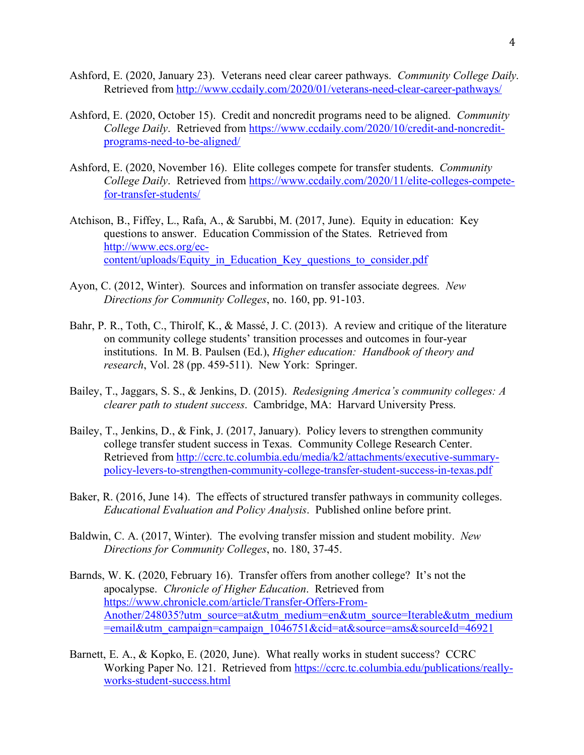- Ashford, E. (2020, January 23). Veterans need clear career pathways. *Community College Daily*. Retrieved from http://www.ccdaily.com/2020/01/veterans-need-clear-career-pathways/
- Ashford, E. (2020, October 15). Credit and noncredit programs need to be aligned. *Community College Daily*. Retrieved from https://www.ccdaily.com/2020/10/credit-and-noncreditprograms-need-to-be-aligned/
- Ashford, E. (2020, November 16). Elite colleges compete for transfer students. *Community College Daily.* Retrieved from https://www.ccdaily.com/2020/11/elite-colleges-competefor-transfer-students/
- Atchison, B., Fiffey, L., Rafa, A., & Sarubbi, M. (2017, June). Equity in education: Key questions to answer. Education Commission of the States. Retrieved from http://www.ecs.org/eccontent/uploads/Equity\_in\_Education\_Key\_questions\_to\_consider.pdf
- Ayon, C. (2012, Winter). Sources and information on transfer associate degrees. *New Directions for Community Colleges*, no. 160, pp. 91-103.
- Bahr, P. R., Toth, C., Thirolf, K., & Massé, J. C. (2013). A review and critique of the literature on community college students' transition processes and outcomes in four-year institutions. In M. B. Paulsen (Ed.), *Higher education: Handbook of theory and research*, Vol. 28 (pp. 459-511). New York: Springer.
- Bailey, T., Jaggars, S. S., & Jenkins, D. (2015). *Redesigning America's community colleges: A clearer path to student success*. Cambridge, MA: Harvard University Press.
- Bailey, T., Jenkins, D., & Fink, J. (2017, January). Policy levers to strengthen community college transfer student success in Texas. Community College Research Center. Retrieved from http://ccrc.tc.columbia.edu/media/k2/attachments/executive-summarypolicy-levers-to-strengthen-community-college-transfer-student-success-in-texas.pdf
- Baker, R. (2016, June 14). The effects of structured transfer pathways in community colleges. *Educational Evaluation and Policy Analysis*. Published online before print.
- Baldwin, C. A. (2017, Winter). The evolving transfer mission and student mobility. *New Directions for Community Colleges*, no. 180, 37-45.
- Barnds, W. K. (2020, February 16). Transfer offers from another college? It's not the apocalypse. *Chronicle of Higher Education*. Retrieved from https://www.chronicle.com/article/Transfer-Offers-From-Another/248035?utm\_source=at&utm\_medium=en&utm\_source=Iterable&utm\_medium =email&utm\_campaign=campaign\_1046751&cid=at&source=ams&sourceId=46921
- Barnett, E. A., & Kopko, E. (2020, June). What really works in student success? CCRC Working Paper No. 121. Retrieved from https://ccrc.tc.columbia.edu/publications/reallyworks-student-success.html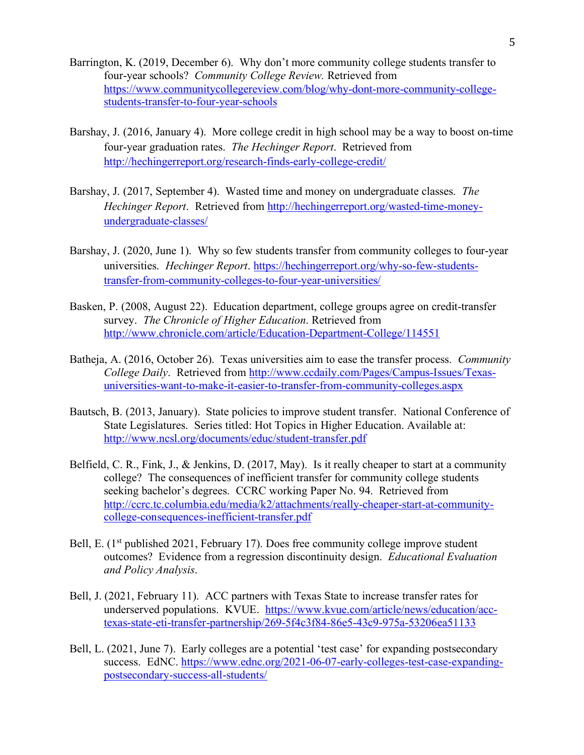- Barrington, K. (2019, December 6). Why don't more community college students transfer to four-year schools? *Community College Review.* Retrieved from https://www.communitycollegereview.com/blog/why-dont-more-community-collegestudents-transfer-to-four-year-schools
- Barshay, J. (2016, January 4). More college credit in high school may be a way to boost on-time four-year graduation rates. *The Hechinger Report*. Retrieved from http://hechingerreport.org/research-finds-early-college-credit/
- Barshay, J. (2017, September 4). Wasted time and money on undergraduate classes. *The Hechinger Report*. Retrieved from http://hechingerreport.org/wasted-time-moneyundergraduate-classes/
- Barshay, J. (2020, June 1). Why so few students transfer from community colleges to four-year universities. *Hechinger Report*. https://hechingerreport.org/why-so-few-studentstransfer-from-community-colleges-to-four-year-universities/
- Basken, P. (2008, August 22). Education department, college groups agree on credit-transfer survey. *The Chronicle of Higher Education*. Retrieved from http://www.chronicle.com/article/Education-Department-College/114551
- Batheja, A. (2016, October 26). Texas universities aim to ease the transfer process. *Community College Daily*. Retrieved from http://www.ccdaily.com/Pages/Campus-Issues/Texasuniversities-want-to-make-it-easier-to-transfer-from-community-colleges.aspx
- Bautsch, B. (2013, January). State policies to improve student transfer. National Conference of State Legislatures. Series titled: Hot Topics in Higher Education. Available at: http://www.ncsl.org/documents/educ/student-transfer.pdf
- Belfield, C. R., Fink, J., & Jenkins, D. (2017, May). Is it really cheaper to start at a community college? The consequences of inefficient transfer for community college students seeking bachelor's degrees. CCRC working Paper No. 94. Retrieved from http://ccrc.tc.columbia.edu/media/k2/attachments/really-cheaper-start-at-communitycollege-consequences-inefficient-transfer.pdf
- Bell, E.  $(1<sup>st</sup>$  published 2021, February 17). Does free community college improve student outcomes? Evidence from a regression discontinuity design. *Educational Evaluation and Policy Analysis*.
- Bell, J. (2021, February 11). ACC partners with Texas State to increase transfer rates for underserved populations. KVUE. https://www.kvue.com/article/news/education/acctexas-state-eti-transfer-partnership/269-5f4c3f84-86e5-43c9-975a-53206ea51133
- Bell, L. (2021, June 7). Early colleges are a potential 'test case' for expanding postsecondary success. EdNC. https://www.ednc.org/2021-06-07-early-colleges-test-case-expandingpostsecondary-success-all-students/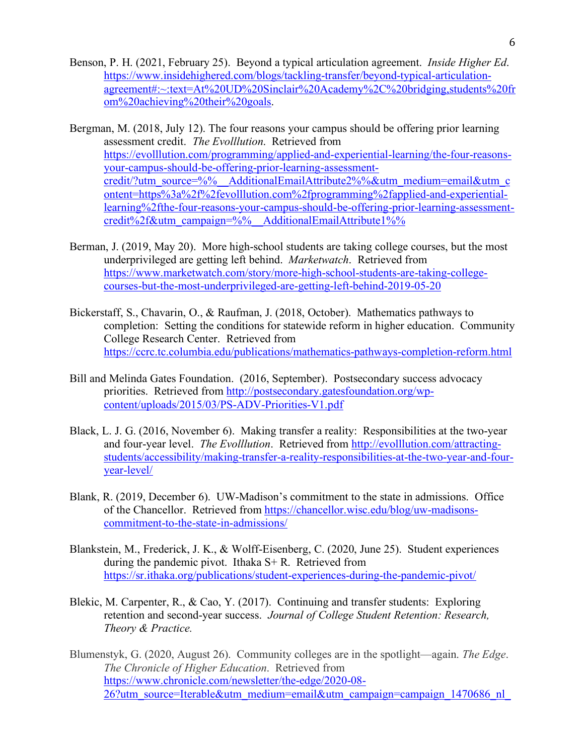- Benson, P. H. (2021, February 25). Beyond a typical articulation agreement. *Inside Higher Ed*. https://www.insidehighered.com/blogs/tackling-transfer/beyond-typical-articulationagreement#:~:text=At%20UD%20Sinclair%20Academy%2C%20bridging,students%20fr om%20achieving%20their%20goals.
- Bergman, M. (2018, July 12). The four reasons your campus should be offering prior learning assessment credit. *The Evolllution*. Retrieved from https://evolllution.com/programming/applied-and-experiential-learning/the-four-reasonsyour-campus-should-be-offering-prior-learning-assessmentcredit/?utm\_source=%%\_\_AdditionalEmailAttribute2%%&utm\_medium=email&utm\_c ontent=https%3a%2f%2fevolllution.com%2fprogramming%2fapplied-and-experientiallearning%2fthe-four-reasons-your-campus-should-be-offering-prior-learning-assessmentcredit%2f&utm\_campaign=%%\_\_AdditionalEmailAttribute1%%
- Berman, J. (2019, May 20). More high-school students are taking college courses, but the most underprivileged are getting left behind. *Marketwatch*. Retrieved from https://www.marketwatch.com/story/more-high-school-students-are-taking-collegecourses-but-the-most-underprivileged-are-getting-left-behind-2019-05-20
- Bickerstaff, S., Chavarin, O., & Raufman, J. (2018, October). Mathematics pathways to completion: Setting the conditions for statewide reform in higher education. Community College Research Center. Retrieved from https://ccrc.tc.columbia.edu/publications/mathematics-pathways-completion-reform.html
- Bill and Melinda Gates Foundation. (2016, September). Postsecondary success advocacy priorities. Retrieved from http://postsecondary.gatesfoundation.org/wpcontent/uploads/2015/03/PS-ADV-Priorities-V1.pdf
- Black, L. J. G. (2016, November 6). Making transfer a reality: Responsibilities at the two-year and four-year level. *The Evolllution*. Retrieved from http://evolllution.com/attractingstudents/accessibility/making-transfer-a-reality-responsibilities-at-the-two-year-and-fouryear-level/
- Blank, R. (2019, December 6). UW-Madison's commitment to the state in admissions. Office of the Chancellor. Retrieved from https://chancellor.wisc.edu/blog/uw-madisonscommitment-to-the-state-in-admissions/
- Blankstein, M., Frederick, J. K., & Wolff-Eisenberg, C. (2020, June 25). Student experiences during the pandemic pivot. Ithaka S+ R. Retrieved from https://sr.ithaka.org/publications/student-experiences-during-the-pandemic-pivot/
- Blekic, M. Carpenter, R., & Cao, Y. (2017). Continuing and transfer students: Exploring retention and second-year success. *Journal of College Student Retention: Research, Theory & Practice.*
- Blumenstyk, G. (2020, August 26). Community colleges are in the spotlight—again. *The Edge*. *The Chronicle of Higher Education*. Retrieved from https://www.chronicle.com/newsletter/the-edge/2020-08- 26?utm\_source=Iterable&utm\_medium=email&utm\_campaign=campaign\_1470686\_nl\_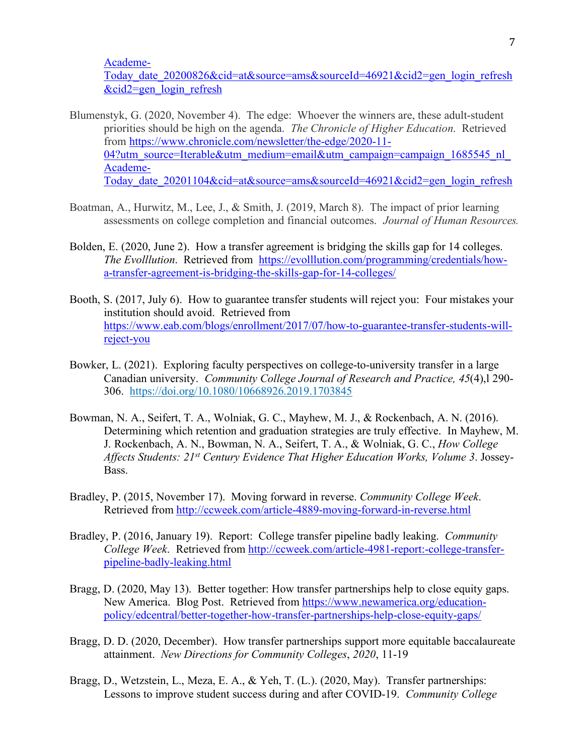Academe-

Today date 20200826&cid=at&source=ams&sourceId=46921&cid2=gen\_login\_refresh &cid2=gen\_login\_refresh

- Blumenstyk, G. (2020, November 4). The edge: Whoever the winners are, these adult-student priorities should be high on the agenda. *The Chronicle of Higher Education*. Retrieved from https://www.chronicle.com/newsletter/the-edge/2020-11- 04?utm\_source=Iterable&utm\_medium=email&utm\_campaign=campaign\_1685545\_nl Academe-Today date 20201104&cid=at&source=ams&sourceId=46921&cid2=gen\_login\_refresh
- Boatman, A., Hurwitz, M., Lee, J., & Smith, J. (2019, March 8). The impact of prior learning assessments on college completion and financial outcomes. *Journal of Human Resources.*
- Bolden, E. (2020, June 2). How a transfer agreement is bridging the skills gap for 14 colleges. *The Evolllution*. Retrieved from https://evolllution.com/programming/credentials/howa-transfer-agreement-is-bridging-the-skills-gap-for-14-colleges/
- Booth, S. (2017, July 6). How to guarantee transfer students will reject you: Four mistakes your institution should avoid. Retrieved from https://www.eab.com/blogs/enrollment/2017/07/how-to-guarantee-transfer-students-willreject-you
- Bowker, L. (2021). Exploring faculty perspectives on college-to-university transfer in a large Canadian university. *Community College Journal of Research and Practice, 45*(4),l 290- 306. https://doi.org/10.1080/10668926.2019.1703845
- Bowman, N. A., Seifert, T. A., Wolniak, G. C., Mayhew, M. J., & Rockenbach, A. N. (2016). Determining which retention and graduation strategies are truly effective. In Mayhew, M. J. Rockenbach, A. N., Bowman, N. A., Seifert, T. A., & Wolniak, G. C., *How College Affects Students: 21st Century Evidence That Higher Education Works, Volume 3*. Jossey-Bass.
- Bradley, P. (2015, November 17). Moving forward in reverse. *Community College Week*. Retrieved from http://ccweek.com/article-4889-moving-forward-in-reverse.html
- Bradley, P. (2016, January 19). Report: College transfer pipeline badly leaking. *Community College Week*. Retrieved from http://ccweek.com/article-4981-report:-college-transferpipeline-badly-leaking.html
- Bragg, D. (2020, May 13). Better together: How transfer partnerships help to close equity gaps. New America. Blog Post. Retrieved from https://www.newamerica.org/educationpolicy/edcentral/better-together-how-transfer-partnerships-help-close-equity-gaps/
- Bragg, D. D. (2020, December). How transfer partnerships support more equitable baccalaureate attainment. *New Directions for Community Colleges*, *2020*, 11-19
- Bragg, D., Wetzstein, L., Meza, E. A., & Yeh, T. (L.). (2020, May). Transfer partnerships: Lessons to improve student success during and after COVID-19. *Community College*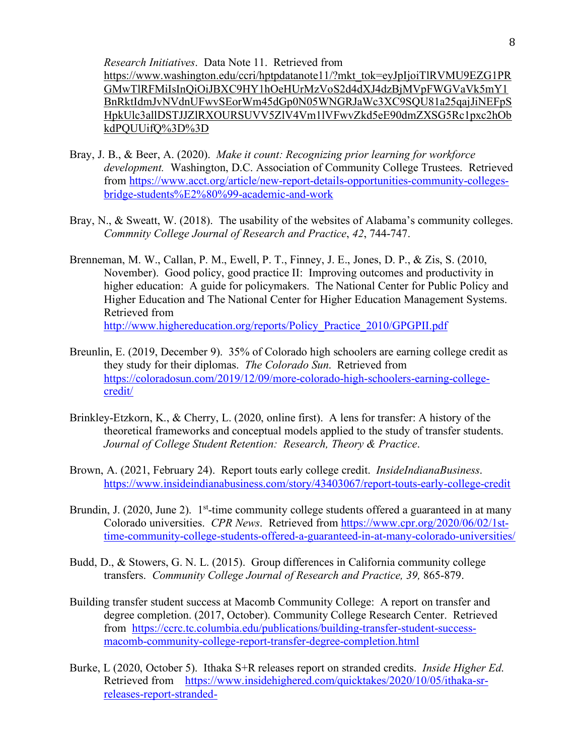*Research Initiatives*. Data Note 11. Retrieved from

https://www.washington.edu/ccri/hptpdatanote11/?mkt\_tok=eyJpIjoiTlRVMU9EZG1PR GMwTlRFMiIsInQiOiJBXC9HY1hOeHUrMzVoS2d4dXJ4dzBjMVpFWGVaVk5mY1 BnRktIdmJvNVdnUFwvSEorWm45dGp0N05WNGRJaWc3XC9SQU81a25qajJiNEFpS HpkUlc3allDSTJJZlRXOURSUVV5ZlV4Vm1lVFwvZkd5eE90dmZXSG5Rc1pxc2hOb kdPQUUifQ%3D%3D

- Bray, J. B., & Beer, A. (2020). *Make it count: Recognizing prior learning for workforce development.* Washington, D.C. Association of Community College Trustees. Retrieved from https://www.acct.org/article/new-report-details-opportunities-community-collegesbridge-students%E2%80%99-academic-and-work
- Bray, N., & Sweatt, W. (2018). The usability of the websites of Alabama's community colleges. *Commnity College Journal of Research and Practice*, *42*, 744-747.
- Brenneman, M. W., Callan, P. M., Ewell, P. T., Finney, J. E., Jones, D. P., & Zis, S. (2010, November). Good policy, good practice II: Improving outcomes and productivity in higher education: A guide for policymakers. The National Center for Public Policy and Higher Education and The National Center for Higher Education Management Systems. Retrieved from http://www.highereducation.org/reports/Policy\_Practice\_2010/GPGPII.pdf
- Breunlin, E. (2019, December 9). 35% of Colorado high schoolers are earning college credit as they study for their diplomas. *The Colorado Sun*. Retrieved from https://coloradosun.com/2019/12/09/more-colorado-high-schoolers-earning-collegecredit/
- Brinkley-Etzkorn, K., & Cherry, L. (2020, online first). A lens for transfer: A history of the theoretical frameworks and conceptual models applied to the study of transfer students. *Journal of College Student Retention: Research, Theory & Practice*.
- Brown, A. (2021, February 24). Report touts early college credit. *InsideIndianaBusiness*. https://www.insideindianabusiness.com/story/43403067/report-touts-early-college-credit
- Brundin, J. (2020, June 2).  $1<sup>st</sup>$ -time community college students offered a guaranteed in at many Colorado universities. *CPR News*. Retrieved from https://www.cpr.org/2020/06/02/1sttime-community-college-students-offered-a-guaranteed-in-at-many-colorado-universities/
- Budd, D., & Stowers, G. N. L. (2015). Group differences in California community college transfers. *Community College Journal of Research and Practice, 39,* 865-879.
- Building transfer student success at Macomb Community College: A report on transfer and degree completion. (2017, October). Community College Research Center. Retrieved from https://ccrc.tc.columbia.edu/publications/building-transfer-student-successmacomb-community-college-report-transfer-degree-completion.html
- Burke, L (2020, October 5). Ithaka S+R releases report on stranded credits. *Inside Higher Ed*. Retrieved from https://www.insidehighered.com/quicktakes/2020/10/05/ithaka-srreleases-report-stranded-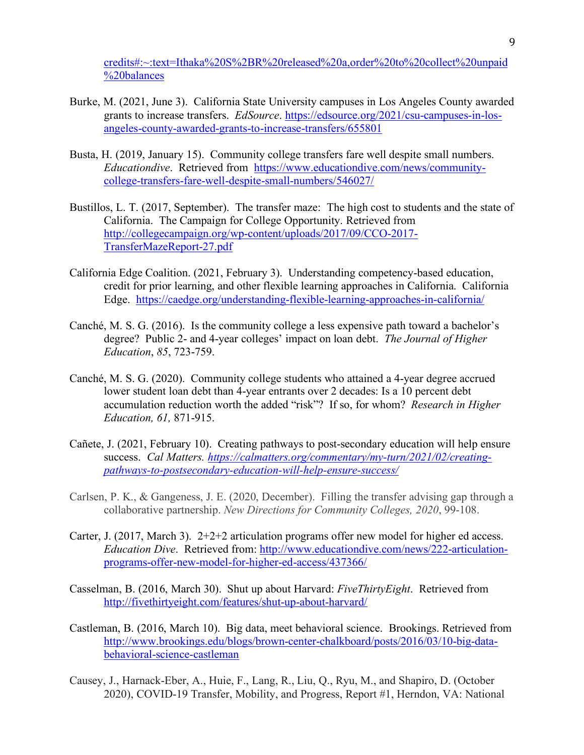credits#:~:text=Ithaka%20S%2BR%20released%20a,order%20to%20collect%20unpaid %20balances

- Burke, M. (2021, June 3). California State University campuses in Los Angeles County awarded grants to increase transfers. *EdSource*. https://edsource.org/2021/csu-campuses-in-losangeles-county-awarded-grants-to-increase-transfers/655801
- Busta, H. (2019, January 15). Community college transfers fare well despite small numbers. *Educationdive*. Retrieved from https://www.educationdive.com/news/communitycollege-transfers-fare-well-despite-small-numbers/546027/
- Bustillos, L. T. (2017, September). The transfer maze: The high cost to students and the state of California. The Campaign for College Opportunity. Retrieved from http://collegecampaign.org/wp-content/uploads/2017/09/CCO-2017- TransferMazeReport-27.pdf
- California Edge Coalition. (2021, February 3). Understanding competency-based education, credit for prior learning, and other flexible learning approaches in California. California Edge. https://caedge.org/understanding-flexible-learning-approaches-in-california/
- Canché, M. S. G. (2016). Is the community college a less expensive path toward a bachelor's degree? Public 2- and 4-year colleges' impact on loan debt. *The Journal of Higher Education*, *85*, 723-759.
- Canché, M. S. G. (2020). Community college students who attained a 4-year degree accrued lower student loan debt than 4-year entrants over 2 decades: Is a 10 percent debt accumulation reduction worth the added "risk"? If so, for whom? *Research in Higher Education, 61,* 871-915.
- Cañete, J. (2021, February 10). Creating pathways to post-secondary education will help ensure success. *Cal Matters. https://calmatters.org/commentary/my-turn/2021/02/creatingpathways-to-postsecondary-education-will-help-ensure-success/*
- Carlsen, P. K., & Gangeness, J. E. (2020, December). Filling the transfer advising gap through a collaborative partnership. *New Directions for Community Colleges, 2020*, 99-108.
- Carter, J. (2017, March 3). 2+2+2 articulation programs offer new model for higher ed access. *Education Dive*. Retrieved from: http://www.educationdive.com/news/222-articulationprograms-offer-new-model-for-higher-ed-access/437366/
- Casselman, B. (2016, March 30). Shut up about Harvard: *FiveThirtyEight*. Retrieved from http://fivethirtyeight.com/features/shut-up-about-harvard/
- Castleman, B. (2016, March 10). Big data, meet behavioral science. Brookings. Retrieved from http://www.brookings.edu/blogs/brown-center-chalkboard/posts/2016/03/10-big-databehavioral-science-castleman
- Causey, J., Harnack-Eber, A., Huie, F., Lang, R., Liu, Q., Ryu, M., and Shapiro, D. (October 2020), COVID-19 Transfer, Mobility, and Progress, Report #1, Herndon, VA: National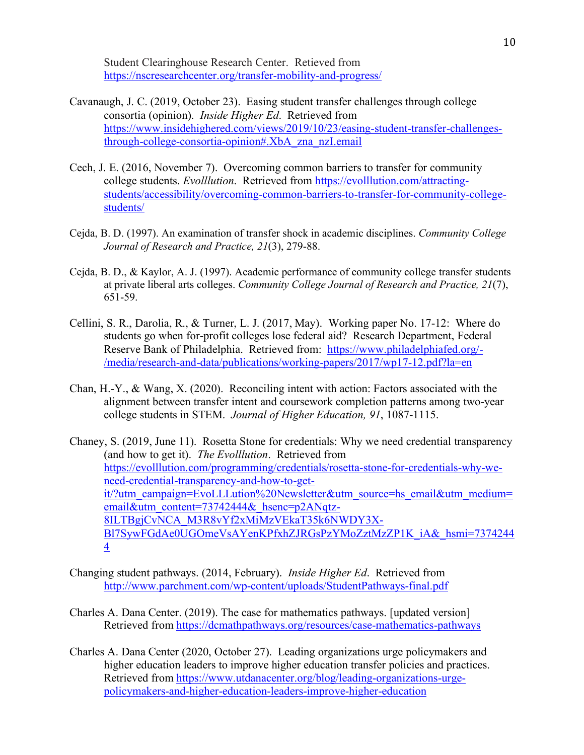Student Clearinghouse Research Center. Retieved from https://nscresearchcenter.org/transfer-mobility-and-progress/

- Cavanaugh, J. C. (2019, October 23). Easing student transfer challenges through college consortia (opinion). *Inside Higher Ed*. Retrieved from https://www.insidehighered.com/views/2019/10/23/easing-student-transfer-challengesthrough-college-consortia-opinion#.XbA\_zna\_nzI.email
- Cech, J. E. (2016, November 7). Overcoming common barriers to transfer for community college students. *Evolllution*. Retrieved from https://evolllution.com/attractingstudents/accessibility/overcoming-common-barriers-to-transfer-for-community-collegestudents/
- Cejda, B. D. (1997). An examination of transfer shock in academic disciplines. *Community College Journal of Research and Practice, 21*(3), 279-88.
- Cejda, B. D., & Kaylor, A. J. (1997). Academic performance of community college transfer students at private liberal arts colleges. *Community College Journal of Research and Practice, 21*(7),  $65$ 1-59.
- Cellini, S. R., Darolia, R., & Turner, L. J. (2017, May). Working paper No. 17-12: Where do students go when for-profit colleges lose federal aid? Research Department, Federal Reserve Bank of Philadelphia. Retrieved from: https://www.philadelphiafed.org/- /media/research-and-data/publications/working-papers/2017/wp17-12.pdf?la=en
- Chan, H.-Y., & Wang, X. (2020). Reconciling intent with action: Factors associated with the alignment between transfer intent and coursework completion patterns among two-year college students in STEM. *Journal of Higher Education, 91*, 1087-1115.
- Chaney, S. (2019, June 11). Rosetta Stone for credentials: Why we need credential transparency (and how to get it). *The Evolllution*. Retrieved from https://evolllution.com/programming/credentials/rosetta-stone-for-credentials-why-weneed-credential-transparency-and-how-to-getit/?utm\_campaign=EvoLLLution%20Newsletter&utm\_source=hs\_email&utm\_medium= email&utm\_content=73742444&\_hsenc=p2ANqtz-8ILTBgjCvNCA\_M3R8vYf2xMiMzVEkaT35k6NWDY3X-Bl7SywFGdAe0UGOmeVsAYenKPfxhZJRGsPzYMoZztMzZP1K\_iA&\_hsmi=7374244 4
- Changing student pathways. (2014, February). *Inside Higher Ed*. Retrieved from http://www.parchment.com/wp-content/uploads/StudentPathways-final.pdf
- Charles A. Dana Center. (2019). The case for mathematics pathways. [updated version] Retrieved from https://dcmathpathways.org/resources/case-mathematics-pathways
- Charles A. Dana Center (2020, October 27). Leading organizations urge policymakers and higher education leaders to improve higher education transfer policies and practices. Retrieved from https://www.utdanacenter.org/blog/leading-organizations-urgepolicymakers-and-higher-education-leaders-improve-higher-education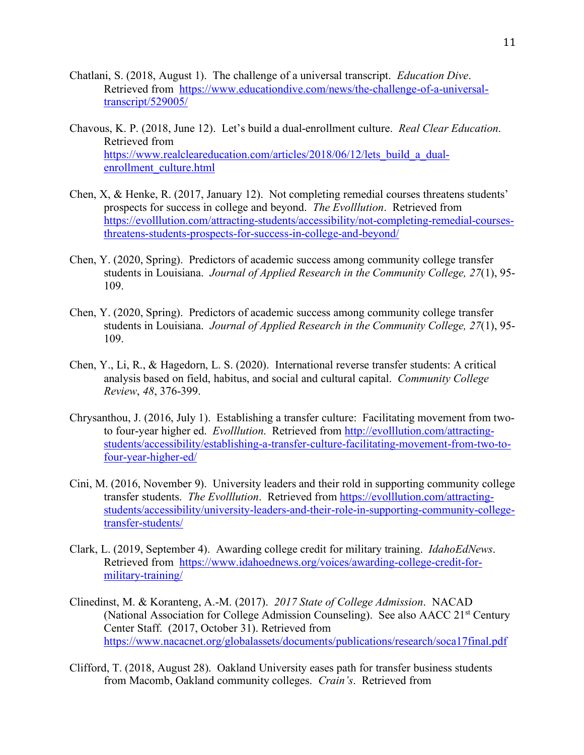- Chatlani, S. (2018, August 1). The challenge of a universal transcript. *Education Dive*. Retrieved from https://www.educationdive.com/news/the-challenge-of-a-universaltranscript/529005/
- Chavous, K. P. (2018, June 12). Let's build a dual-enrollment culture. *Real Clear Education*. Retrieved from https://www.realcleareducation.com/articles/2018/06/12/lets\_build\_a\_dualenrollment\_culture.html
- Chen, X, & Henke, R. (2017, January 12). Not completing remedial courses threatens students' prospects for success in college and beyond. *The Evolllution*. Retrieved from https://evolllution.com/attracting-students/accessibility/not-completing-remedial-coursesthreatens-students-prospects-for-success-in-college-and-beyond/
- Chen, Y. (2020, Spring). Predictors of academic success among community college transfer students in Louisiana. *Journal of Applied Research in the Community College, 27*(1), 95- 109.
- Chen, Y. (2020, Spring). Predictors of academic success among community college transfer students in Louisiana. *Journal of Applied Research in the Community College, 27*(1), 95- 109.
- Chen, Y., Li, R., & Hagedorn, L. S. (2020). International reverse transfer students: A critical analysis based on field, habitus, and social and cultural capital. *Community College Review*, *48*, 376-399.
- Chrysanthou, J. (2016, July 1). Establishing a transfer culture: Facilitating movement from twoto four-year higher ed. *Evolllution*. Retrieved from http://evolllution.com/attractingstudents/accessibility/establishing-a-transfer-culture-facilitating-movement-from-two-tofour-year-higher-ed/
- Cini, M. (2016, November 9). University leaders and their rold in supporting community college transfer students. *The Evolllution*. Retrieved from https://evolllution.com/attractingstudents/accessibility/university-leaders-and-their-role-in-supporting-community-collegetransfer-students/
- Clark, L. (2019, September 4). Awarding college credit for military training. *IdahoEdNews*. Retrieved from https://www.idahoednews.org/voices/awarding-college-credit-formilitary-training/
- Clinedinst, M. & Koranteng, A.-M. (2017). *2017 State of College Admission*. NACAD (National Association for College Admission Counseling). See also AACC 21st Century Center Staff. (2017, October 31). Retrieved from https://www.nacacnet.org/globalassets/documents/publications/research/soca17final.pdf
- Clifford, T. (2018, August 28). Oakland University eases path for transfer business students from Macomb, Oakland community colleges. *Crain's*. Retrieved from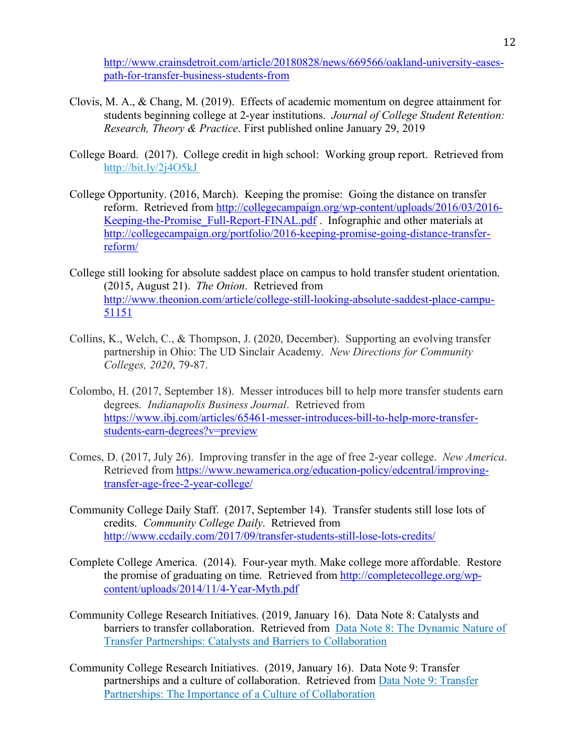http://www.crainsdetroit.com/article/20180828/news/669566/oakland-university-easespath-for-transfer-business-students-from

- Clovis, M. A., & Chang, M. (2019). Effects of academic momentum on degree attainment for students beginning college at 2-year institutions. *Journal of College Student Retention: Research, Theory & Practice*. First published online January 29, 2019
- College Board. (2017). College credit in high school: Working group report. Retrieved from http://bit.ly/2j4O5kJ
- College Opportunity. (2016, March). Keeping the promise: Going the distance on transfer reform. Retrieved from http://collegecampaign.org/wp-content/uploads/2016/03/2016- Keeping-the-Promise\_Full-Report-FINAL.pdf . Infographic and other materials at http://collegecampaign.org/portfolio/2016-keeping-promise-going-distance-transferreform/
- College still looking for absolute saddest place on campus to hold transfer student orientation. (2015, August 21). *The Onion*. Retrieved from http://www.theonion.com/article/college-still-looking-absolute-saddest-place-campu-51151
- Collins, K., Welch, C., & Thompson, J. (2020, December). Supporting an evolving transfer partnership in Ohio: The UD Sinclair Academy. *New Directions for Community Colleges, 2020*, 79-87.
- Colombo, H. (2017, September 18). Messer introduces bill to help more transfer students earn degrees. *Indianapolis Business Journal*. Retrieved from https://www.ibj.com/articles/65461-messer-introduces-bill-to-help-more-transferstudents-earn-degrees?v=preview
- Comes, D. (2017, July 26). Improving transfer in the age of free 2-year college. *New America*. Retrieved from https://www.newamerica.org/education-policy/edcentral/improvingtransfer-age-free-2-year-college/
- Community College Daily Staff. (2017, September 14). Transfer students still lose lots of credits. *Community College Daily*. Retrieved from http://www.ccdaily.com/2017/09/transfer-students-still-lose-lots-credits/
- Complete College America. (2014). Four-year myth. Make college more affordable. Restore the promise of graduating on time. Retrieved from http://completecollege.org/wpcontent/uploads/2014/11/4-Year-Myth.pdf
- Community College Research Initiatives. (2019, January 16). Data Note 8: Catalysts and barriers to transfer collaboration. Retrieved from Data Note 8: The Dynamic Nature of Transfer Partnerships: Catalysts and Barriers to Collaboration
- Community College Research Initiatives. (2019, January 16). Data Note 9: Transfer partnerships and a culture of collaboration. Retrieved from Data Note 9: Transfer Partnerships: The Importance of a Culture of Collaboration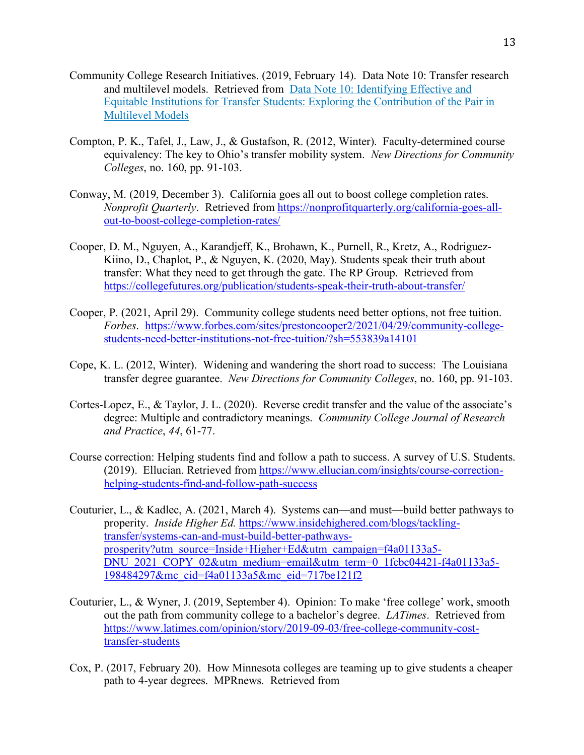- Community College Research Initiatives. (2019, February 14). Data Note 10: Transfer research and multilevel models. Retrieved from Data Note 10: Identifying Effective and Equitable Institutions for Transfer Students: Exploring the Contribution of the Pair in Multilevel Models
- Compton, P. K., Tafel, J., Law, J., & Gustafson, R. (2012, Winter). Faculty-determined course equivalency: The key to Ohio's transfer mobility system. *New Directions for Community Colleges*, no. 160, pp. 91-103.
- Conway, M. (2019, December 3). California goes all out to boost college completion rates. *Nonprofit Quarterly.* Retrieved from https://nonprofitquarterly.org/california-goes-allout-to-boost-college-completion-rates/
- Cooper, D. M., Nguyen, A., Karandjeff, K., Brohawn, K., Purnell, R., Kretz, A., Rodriguez-Kiino, D., Chaplot, P., & Nguyen, K. (2020, May). Students speak their truth about transfer: What they need to get through the gate. The RP Group. Retrieved from https://collegefutures.org/publication/students-speak-their-truth-about-transfer/
- Cooper, P. (2021, April 29). Community college students need better options, not free tuition. *Forbes*. https://www.forbes.com/sites/prestoncooper2/2021/04/29/community-collegestudents-need-better-institutions-not-free-tuition/?sh=553839a14101
- Cope, K. L. (2012, Winter). Widening and wandering the short road to success: The Louisiana transfer degree guarantee. *New Directions for Community Colleges*, no. 160, pp. 91-103.
- Cortes-Lopez, E., & Taylor, J. L. (2020). Reverse credit transfer and the value of the associate's degree: Multiple and contradictory meanings. *Community College Journal of Research and Practice*, *44*, 61-77.
- Course correction: Helping students find and follow a path to success. A survey of U.S. Students. (2019). Ellucian. Retrieved from https://www.ellucian.com/insights/course-correctionhelping-students-find-and-follow-path-success
- Couturier, L., & Kadlec, A. (2021, March 4). Systems can—and must—build better pathways to properity. *Inside Higher Ed.* https://www.insidehighered.com/blogs/tacklingtransfer/systems-can-and-must-build-better-pathwaysprosperity?utm\_source=Inside+Higher+Ed&utm\_campaign=f4a01133a5- DNU\_2021\_COPY\_02&utm\_medium=email&utm\_term=0\_1fcbc04421-f4a01133a5-198484297&mc\_cid=f4a01133a5&mc\_eid=717be121f2
- Couturier, L., & Wyner, J. (2019, September 4). Opinion: To make 'free college' work, smooth out the path from community college to a bachelor's degree. *LATimes*. Retrieved from https://www.latimes.com/opinion/story/2019-09-03/free-college-community-costtransfer-students
- Cox, P. (2017, February 20). How Minnesota colleges are teaming up to give students a cheaper path to 4-year degrees. MPRnews. Retrieved from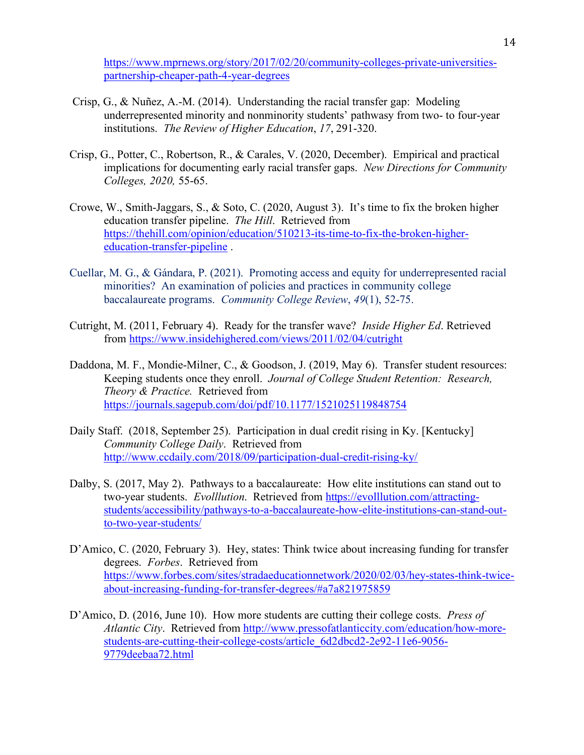https://www.mprnews.org/story/2017/02/20/community-colleges-private-universitiespartnership-cheaper-path-4-year-degrees

- Crisp, G., & Nuñez, A.-M. (2014). Understanding the racial transfer gap: Modeling underrepresented minority and nonminority students' pathwasy from two- to four-year institutions. *The Review of Higher Education*, *17*, 291-320.
- Crisp, G., Potter, C., Robertson, R., & Carales, V. (2020, December). Empirical and practical implications for documenting early racial transfer gaps. *New Directions for Community Colleges, 2020,* 55-65.
- Crowe, W., Smith-Jaggars, S., & Soto, C. (2020, August 3). It's time to fix the broken higher education transfer pipeline. *The Hill*. Retrieved from https://thehill.com/opinion/education/510213-its-time-to-fix-the-broken-highereducation-transfer-pipeline .
- Cuellar, M. G., & Gándara, P. (2021). Promoting access and equity for underrepresented racial minorities? An examination of policies and practices in community college baccalaureate programs. *Community College Review*, *49*(1), 52-75.
- Cutright, M. (2011, February 4). Ready for the transfer wave? *Inside Higher Ed*. Retrieved from https://www.insidehighered.com/views/2011/02/04/cutright
- Daddona, M. F., Mondie-Milner, C., & Goodson, J. (2019, May 6). Transfer student resources: Keeping students once they enroll. *Journal of College Student Retention: Research, Theory & Practice.* Retrieved from https://journals.sagepub.com/doi/pdf/10.1177/1521025119848754
- Daily Staff. (2018, September 25). Participation in dual credit rising in Ky. [Kentucky] *Community College Daily*. Retrieved from http://www.ccdaily.com/2018/09/participation-dual-credit-rising-ky/
- Dalby, S. (2017, May 2). Pathways to a baccalaureate: How elite institutions can stand out to two-year students. *Evolllution*. Retrieved from https://evolllution.com/attractingstudents/accessibility/pathways-to-a-baccalaureate-how-elite-institutions-can-stand-outto-two-year-students/
- D'Amico, C. (2020, February 3). Hey, states: Think twice about increasing funding for transfer degrees. *Forbes*. Retrieved from https://www.forbes.com/sites/stradaeducationnetwork/2020/02/03/hey-states-think-twiceabout-increasing-funding-for-transfer-degrees/#a7a821975859
- D'Amico, D. (2016, June 10). How more students are cutting their college costs. *Press of Atlantic City*. Retrieved from http://www.pressofatlanticcity.com/education/how-morestudents-are-cutting-their-college-costs/article\_6d2dbcd2-2e92-11e6-9056- 9779deebaa72.html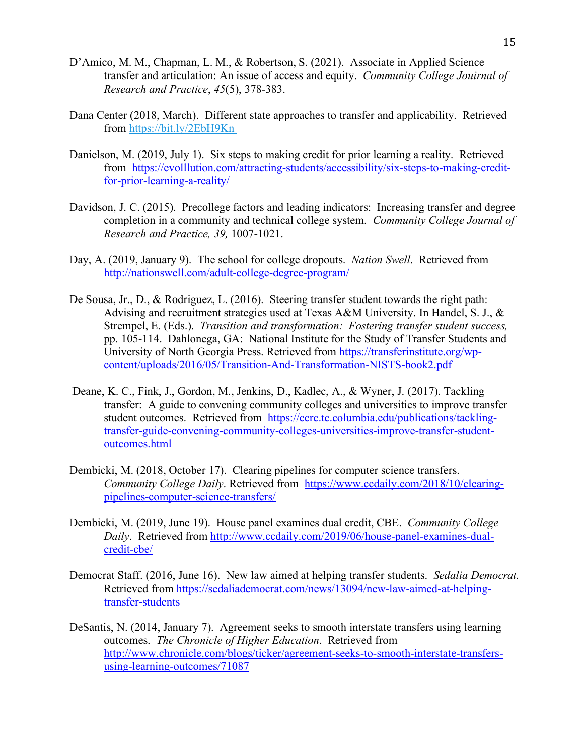- D'Amico, M. M., Chapman, L. M., & Robertson, S. (2021). Associate in Applied Science transfer and articulation: An issue of access and equity. *Community College Jouirnal of Research and Practice*, *45*(5), 378-383.
- Dana Center (2018, March). Different state approaches to transfer and applicability. Retrieved from https://bit.ly/2EbH9Kn
- Danielson, M. (2019, July 1). Six steps to making credit for prior learning a reality. Retrieved from https://evolllution.com/attracting-students/accessibility/six-steps-to-making-creditfor-prior-learning-a-reality/
- Davidson, J. C. (2015). Precollege factors and leading indicators: Increasing transfer and degree completion in a community and technical college system. *Community College Journal of Research and Practice, 39,* 1007-1021.
- Day, A. (2019, January 9). The school for college dropouts. *Nation Swell*. Retrieved from http://nationswell.com/adult-college-degree-program/
- De Sousa, Jr., D., & Rodriguez, L. (2016). Steering transfer student towards the right path: Advising and recruitment strategies used at Texas A&M University. In Handel, S. J., & Strempel, E. (Eds.). *Transition and transformation: Fostering transfer student success,*  pp. 105-114. Dahlonega, GA: National Institute for the Study of Transfer Students and University of North Georgia Press. Retrieved from https://transferinstitute.org/wpcontent/uploads/2016/05/Transition-And-Transformation-NISTS-book2.pdf
- Deane, K. C., Fink, J., Gordon, M., Jenkins, D., Kadlec, A., & Wyner, J. (2017). Tackling transfer: A guide to convening community colleges and universities to improve transfer student outcomes. Retrieved from https://ccrc.tc.columbia.edu/publications/tacklingtransfer-guide-convening-community-colleges-universities-improve-transfer-studentoutcomes.html
- Dembicki, M. (2018, October 17). Clearing pipelines for computer science transfers. *Community College Daily*. Retrieved from https://www.ccdaily.com/2018/10/clearingpipelines-computer-science-transfers/
- Dembicki, M. (2019, June 19). House panel examines dual credit, CBE. *Community College Daily*. Retrieved from http://www.ccdaily.com/2019/06/house-panel-examines-dualcredit-cbe/
- Democrat Staff. (2016, June 16). New law aimed at helping transfer students. *Sedalia Democrat*. Retrieved from https://sedaliademocrat.com/news/13094/new-law-aimed-at-helpingtransfer-students
- DeSantis, N. (2014, January 7). Agreement seeks to smooth interstate transfers using learning outcomes. *The Chronicle of Higher Education*. Retrieved from http://www.chronicle.com/blogs/ticker/agreement-seeks-to-smooth-interstate-transfersusing-learning-outcomes/71087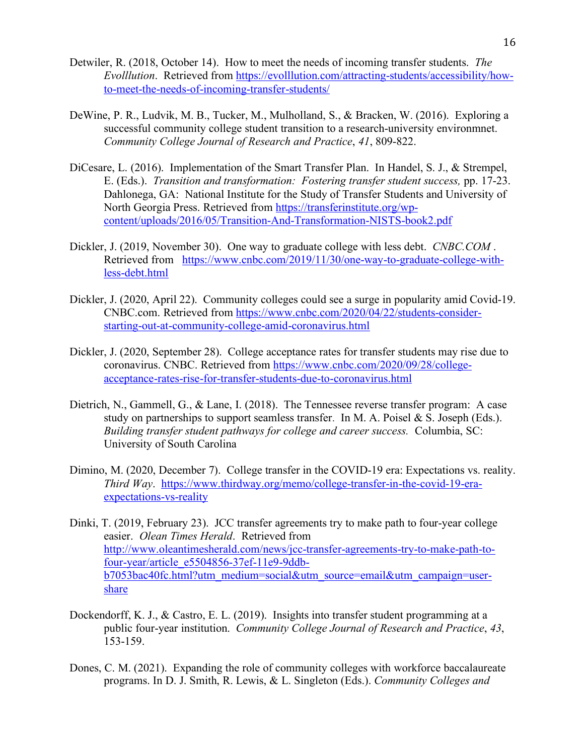- Detwiler, R. (2018, October 14). How to meet the needs of incoming transfer students. *The Evolllution*. Retrieved from https://evolllution.com/attracting-students/accessibility/howto-meet-the-needs-of-incoming-transfer-students/
- DeWine, P. R., Ludvik, M. B., Tucker, M., Mulholland, S., & Bracken, W. (2016). Exploring a successful community college student transition to a research-university environmnet. *Community College Journal of Research and Practice*, *41*, 809-822.
- DiCesare, L. (2016). Implementation of the Smart Transfer Plan. In Handel, S. J., & Strempel, E. (Eds.). *Transition and transformation: Fostering transfer student success,* pp. 17-23. Dahlonega, GA: National Institute for the Study of Transfer Students and University of North Georgia Press. Retrieved from https://transferinstitute.org/wpcontent/uploads/2016/05/Transition-And-Transformation-NISTS-book2.pdf
- Dickler, J. (2019, November 30). One way to graduate college with less debt. *CNBC.COM* . Retrieved from https://www.cnbc.com/2019/11/30/one-way-to-graduate-college-withless-debt.html
- Dickler, J. (2020, April 22). Community colleges could see a surge in popularity amid Covid-19. CNBC.com. Retrieved from https://www.cnbc.com/2020/04/22/students-considerstarting-out-at-community-college-amid-coronavirus.html
- Dickler, J. (2020, September 28). College acceptance rates for transfer students may rise due to coronavirus. CNBC. Retrieved from https://www.cnbc.com/2020/09/28/collegeacceptance-rates-rise-for-transfer-students-due-to-coronavirus.html
- Dietrich, N., Gammell, G., & Lane, I. (2018). The Tennessee reverse transfer program: A case study on partnerships to support seamless transfer. In M. A. Poisel  $& S$ . Joseph (Eds.). *Building transfer student pathways for college and career success.* Columbia, SC: University of South Carolina
- Dimino, M. (2020, December 7). College transfer in the COVID-19 era: Expectations vs. reality. *Third Way*. https://www.thirdway.org/memo/college-transfer-in-the-covid-19-eraexpectations-vs-reality
- Dinki, T. (2019, February 23). JCC transfer agreements try to make path to four-year college easier. *Olean Times Herald*. Retrieved from http://www.oleantimesherald.com/news/jcc-transfer-agreements-try-to-make-path-tofour-year/article\_e5504856-37ef-11e9-9ddbb7053bac40fc.html?utm\_medium=social&utm\_source=email&utm\_campaign=usershare
- Dockendorff, K. J., & Castro, E. L. (2019). Insights into transfer student programming at a public four-year institution. *Community College Journal of Research and Practice*, *43*, 153-159.
- Dones, C. M. (2021). Expanding the role of community colleges with workforce baccalaureate programs. In D. J. Smith, R. Lewis, & L. Singleton (Eds.). *Community Colleges and*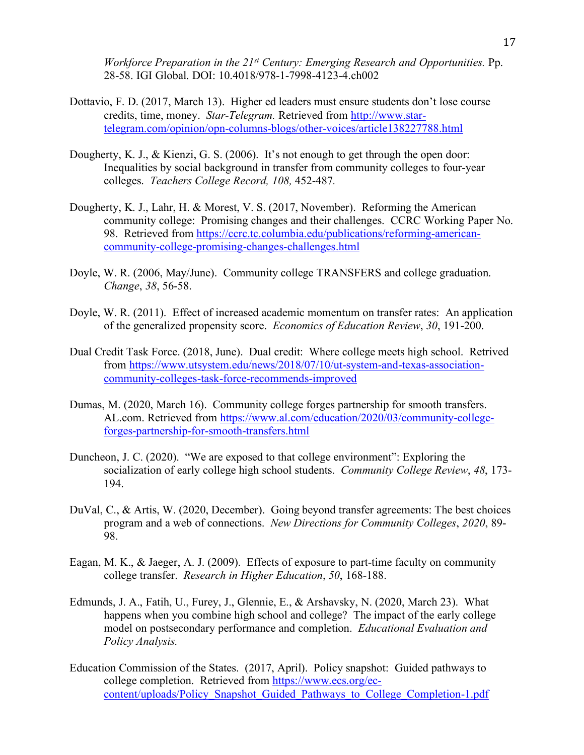*Workforce Preparation in the 21st Century: Emerging Research and Opportunities.* Pp. 28-58. IGI Global. DOI: 10.4018/978-1-7998-4123-4.ch002

- Dottavio, F. D. (2017, March 13). Higher ed leaders must ensure students don't lose course credits, time, money. *Star-Telegram.* Retrieved from http://www.startelegram.com/opinion/opn-columns-blogs/other-voices/article138227788.html
- Dougherty, K. J., & Kienzi, G. S. (2006). It's not enough to get through the open door: Inequalities by social background in transfer from community colleges to four-year colleges. *Teachers College Record, 108,* 452-487*.*
- Dougherty, K. J., Lahr, H. & Morest, V. S. (2017, November). Reforming the American community college: Promising changes and their challenges. CCRC Working Paper No. 98. Retrieved from https://ccrc.tc.columbia.edu/publications/reforming-americancommunity-college-promising-changes-challenges.html
- Doyle, W. R. (2006, May/June). Community college TRANSFERS and college graduation. *Change*, *38*, 56-58.
- Doyle, W. R. (2011). Effect of increased academic momentum on transfer rates: An application of the generalized propensity score. *Economics of Education Review*, *30*, 191-200.
- Dual Credit Task Force. (2018, June). Dual credit: Where college meets high school. Retrived from https://www.utsystem.edu/news/2018/07/10/ut-system-and-texas-associationcommunity-colleges-task-force-recommends-improved
- Dumas, M. (2020, March 16). Community college forges partnership for smooth transfers. AL.com. Retrieved from https://www.al.com/education/2020/03/community-collegeforges-partnership-for-smooth-transfers.html
- Duncheon, J. C. (2020). "We are exposed to that college environment": Exploring the socialization of early college high school students. *Community College Review*, *48*, 173- 194.
- DuVal, C., & Artis, W. (2020, December). Going beyond transfer agreements: The best choices program and a web of connections. *New Directions for Community Colleges*, *2020*, 89- 98.
- Eagan, M. K., & Jaeger, A. J. (2009). Effects of exposure to part-time faculty on community college transfer. *Research in Higher Education*, *50*, 168-188.
- Edmunds, J. A., Fatih, U., Furey, J., Glennie, E., & Arshavsky, N. (2020, March 23). What happens when you combine high school and college? The impact of the early college model on postsecondary performance and completion. *Educational Evaluation and Policy Analysis.*
- Education Commission of the States. (2017, April). Policy snapshot: Guided pathways to college completion. Retrieved from https://www.ecs.org/eccontent/uploads/Policy\_Snapshot\_Guided\_Pathways\_to\_College\_Completion-1.pdf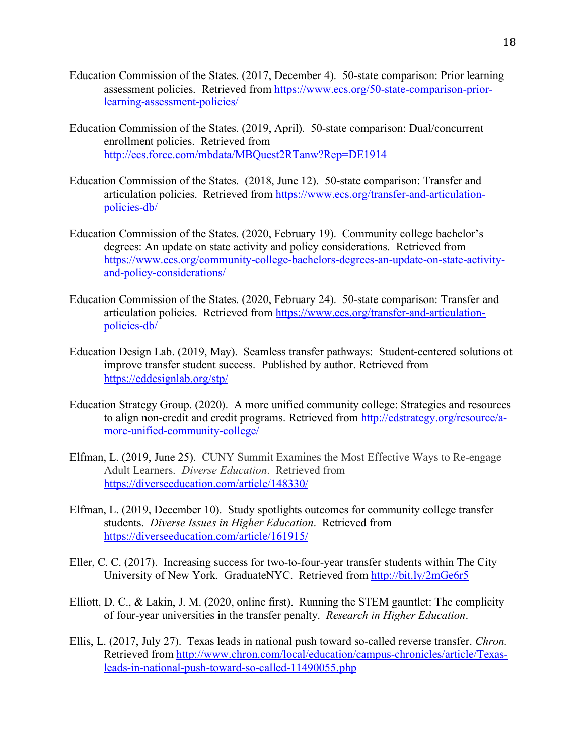- Education Commission of the States. (2017, December 4). 50-state comparison: Prior learning assessment policies. Retrieved from https://www.ecs.org/50-state-comparison-priorlearning-assessment-policies/
- Education Commission of the States. (2019, April). 50-state comparison: Dual/concurrent enrollment policies. Retrieved from http://ecs.force.com/mbdata/MBQuest2RTanw?Rep=DE1914
- Education Commission of the States. (2018, June 12). 50-state comparison: Transfer and articulation policies. Retrieved from https://www.ecs.org/transfer-and-articulationpolicies-db/
- Education Commission of the States. (2020, February 19). Community college bachelor's degrees: An update on state activity and policy considerations. Retrieved from https://www.ecs.org/community-college-bachelors-degrees-an-update-on-state-activityand-policy-considerations/
- Education Commission of the States. (2020, February 24). 50-state comparison: Transfer and articulation policies. Retrieved from https://www.ecs.org/transfer-and-articulationpolicies-db/
- Education Design Lab. (2019, May). Seamless transfer pathways: Student-centered solutions ot improve transfer student success. Published by author. Retrieved from https://eddesignlab.org/stp/
- Education Strategy Group. (2020). A more unified community college: Strategies and resources to align non-credit and credit programs. Retrieved from http://edstrategy.org/resource/amore-unified-community-college/
- Elfman, L. (2019, June 25). CUNY Summit Examines the Most Effective Ways to Re-engage Adult Learners. *Diverse Education*. Retrieved from https://diverseeducation.com/article/148330/
- Elfman, L. (2019, December 10). Study spotlights outcomes for community college transfer students. *Diverse Issues in Higher Education*. Retrieved from https://diverseeducation.com/article/161915/
- Eller, C. C. (2017). Increasing success for two-to-four-year transfer students within The City University of New York. GraduateNYC. Retrieved from http://bit.ly/2mGe6r5
- Elliott, D. C., & Lakin, J. M. (2020, online first). Running the STEM gauntlet: The complicity of four-year universities in the transfer penalty. *Research in Higher Education*.
- Ellis, L. (2017, July 27). Texas leads in national push toward so-called reverse transfer. *Chron.*  Retrieved from http://www.chron.com/local/education/campus-chronicles/article/Texasleads-in-national-push-toward-so-called-11490055.php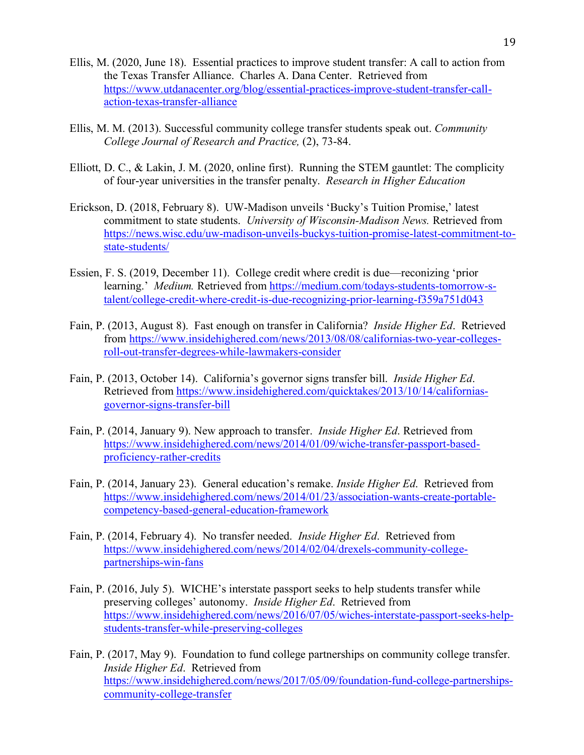- Ellis, M. (2020, June 18). Essential practices to improve student transfer: A call to action from the Texas Transfer Alliance. Charles A. Dana Center. Retrieved from https://www.utdanacenter.org/blog/essential-practices-improve-student-transfer-callaction-texas-transfer-alliance
- Ellis, M. M. (2013). Successful community college transfer students speak out. *Community College Journal of Research and Practice,* (2), 73-84.
- Elliott, D. C., & Lakin, J. M. (2020, online first). Running the STEM gauntlet: The complicity of four-year universities in the transfer penalty. *Research in Higher Education*
- Erickson, D. (2018, February 8). UW-Madison unveils 'Bucky's Tuition Promise,' latest commitment to state students. *University of Wisconsin-Madison News.* Retrieved from https://news.wisc.edu/uw-madison-unveils-buckys-tuition-promise-latest-commitment-tostate-students/
- Essien, F. S. (2019, December 11). College credit where credit is due—reconizing 'prior learning.' *Medium.* Retrieved from https://medium.com/todays-students-tomorrow-stalent/college-credit-where-credit-is-due-recognizing-prior-learning-f359a751d043
- Fain, P. (2013, August 8). Fast enough on transfer in California? *Inside Higher Ed*. Retrieved from https://www.insidehighered.com/news/2013/08/08/californias-two-year-collegesroll-out-transfer-degrees-while-lawmakers-consider
- Fain, P. (2013, October 14). California's governor signs transfer bill. *Inside Higher Ed*. Retrieved from https://www.insidehighered.com/quicktakes/2013/10/14/californiasgovernor-signs-transfer-bill
- Fain, P. (2014, January 9). New approach to transfer. *Inside Higher Ed*. Retrieved from https://www.insidehighered.com/news/2014/01/09/wiche-transfer-passport-basedproficiency-rather-credits
- Fain, P. (2014, January 23). General education's remake. *Inside Higher Ed*. Retrieved from https://www.insidehighered.com/news/2014/01/23/association-wants-create-portablecompetency-based-general-education-framework
- Fain, P. (2014, February 4). No transfer needed. *Inside Higher Ed*. Retrieved from https://www.insidehighered.com/news/2014/02/04/drexels-community-collegepartnerships-win-fans
- Fain, P. (2016, July 5). WICHE's interstate passport seeks to help students transfer while preserving colleges' autonomy. *Inside Higher Ed*. Retrieved from https://www.insidehighered.com/news/2016/07/05/wiches-interstate-passport-seeks-helpstudents-transfer-while-preserving-colleges
- Fain, P. (2017, May 9). Foundation to fund college partnerships on community college transfer. *Inside Higher Ed*. Retrieved from https://www.insidehighered.com/news/2017/05/09/foundation-fund-college-partnershipscommunity-college-transfer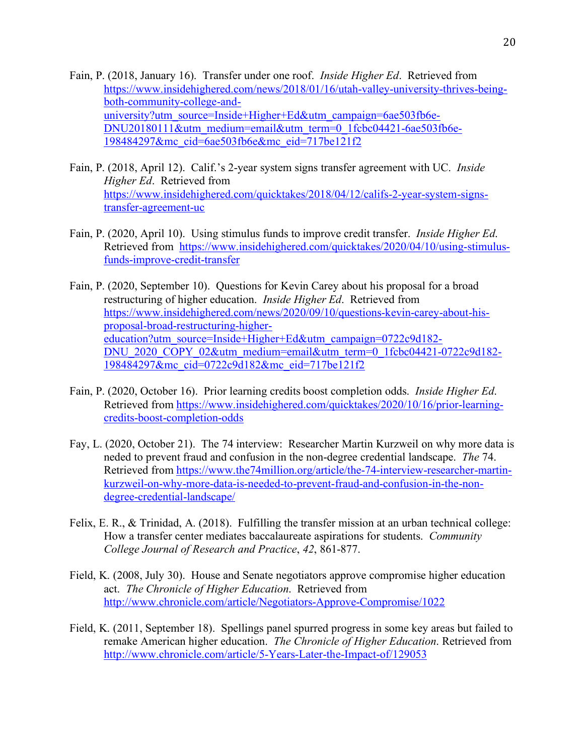- Fain, P. (2018, January 16). Transfer under one roof. *Inside Higher Ed*. Retrieved from https://www.insidehighered.com/news/2018/01/16/utah-valley-university-thrives-beingboth-community-college-anduniversity?utm\_source=Inside+Higher+Ed&utm\_campaign=6ae503fb6e-DNU20180111&utm\_medium=email&utm\_term=0\_1fcbc04421-6ae503fb6e-198484297&mc\_cid=6ae503fb6e&mc\_eid=717be121f2
- Fain, P. (2018, April 12). Calif.'s 2-year system signs transfer agreement with UC. *Inside Higher Ed*. Retrieved from https://www.insidehighered.com/quicktakes/2018/04/12/califs-2-year-system-signstransfer-agreement-uc
- Fain, P. (2020, April 10). Using stimulus funds to improve credit transfer. *Inside Higher Ed*. Retrieved from https://www.insidehighered.com/quicktakes/2020/04/10/using-stimulusfunds-improve-credit-transfer
- Fain, P. (2020, September 10). Questions for Kevin Carey about his proposal for a broad restructuring of higher education. *Inside Higher Ed*. Retrieved from https://www.insidehighered.com/news/2020/09/10/questions-kevin-carey-about-hisproposal-broad-restructuring-highereducation?utm\_source=Inside+Higher+Ed&utm\_campaign=0722c9d182- DNU\_2020\_COPY\_02&utm\_medium=email&utm\_term=0\_1fcbc04421-0722c9d182-198484297&mc\_cid=0722c9d182&mc\_eid=717be121f2
- Fain, P. (2020, October 16). Prior learning credits boost completion odds. *Inside Higher Ed*. Retrieved from https://www.insidehighered.com/quicktakes/2020/10/16/prior-learningcredits-boost-completion-odds
- Fay, L. (2020, October 21). The 74 interview: Researcher Martin Kurzweil on why more data is neded to prevent fraud and confusion in the non-degree credential landscape. *The* 74. Retrieved from https://www.the74million.org/article/the-74-interview-researcher-martinkurzweil-on-why-more-data-is-needed-to-prevent-fraud-and-confusion-in-the-nondegree-credential-landscape/
- Felix, E. R., & Trinidad, A. (2018). Fulfilling the transfer mission at an urban technical college: How a transfer center mediates baccalaureate aspirations for students. *Community College Journal of Research and Practice*, *42*, 861-877.
- Field, K. (2008, July 30). House and Senate negotiators approve compromise higher education act. *The Chronicle of Higher Education*. Retrieved from http://www.chronicle.com/article/Negotiators-Approve-Compromise/1022
- Field, K. (2011, September 18). Spellings panel spurred progress in some key areas but failed to remake American higher education. *The Chronicle of Higher Education*. Retrieved from http://www.chronicle.com/article/5-Years-Later-the-Impact-of/129053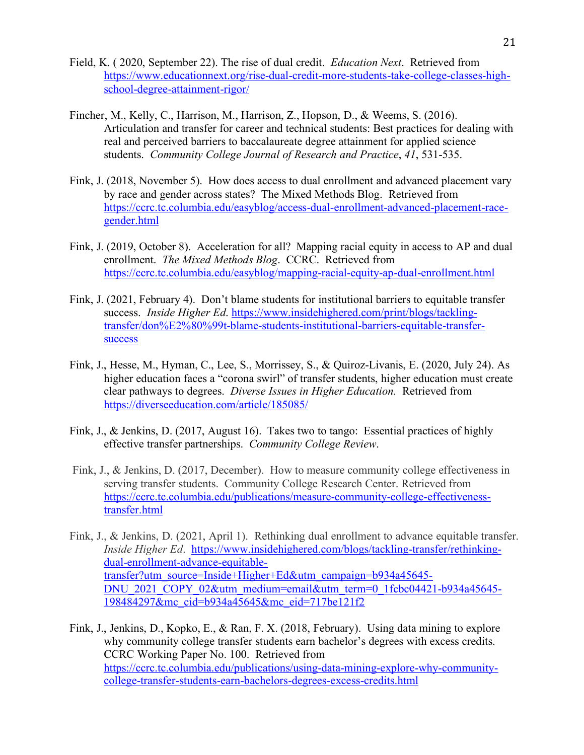- Field, K. ( 2020, September 22). The rise of dual credit. *Education Next*. Retrieved from https://www.educationnext.org/rise-dual-credit-more-students-take-college-classes-highschool-degree-attainment-rigor/
- Fincher, M., Kelly, C., Harrison, M., Harrison, Z., Hopson, D., & Weems, S. (2016). Articulation and transfer for career and technical students: Best practices for dealing with real and perceived barriers to baccalaureate degree attainment for applied science students. *Community College Journal of Research and Practice*, *41*, 531-535.
- Fink, J. (2018, November 5). How does access to dual enrollment and advanced placement vary by race and gender across states? The Mixed Methods Blog. Retrieved from https://ccrc.tc.columbia.edu/easyblog/access-dual-enrollment-advanced-placement-racegender.html
- Fink, J. (2019, October 8). Acceleration for all? Mapping racial equity in access to AP and dual enrollment. *The Mixed Methods Blog*. CCRC. Retrieved from https://ccrc.tc.columbia.edu/easyblog/mapping-racial-equity-ap-dual-enrollment.html
- Fink, J. (2021, February 4). Don't blame students for institutional barriers to equitable transfer success. *Inside Higher Ed*. https://www.insidehighered.com/print/blogs/tacklingtransfer/don%E2%80%99t-blame-students-institutional-barriers-equitable-transfersuccess
- Fink, J., Hesse, M., Hyman, C., Lee, S., Morrissey, S., & Quiroz-Livanis, E. (2020, July 24). As higher education faces a "corona swirl" of transfer students, higher education must create clear pathways to degrees. *Diverse Issues in Higher Education.* Retrieved from https://diverseeducation.com/article/185085/
- Fink, J., & Jenkins, D. (2017, August 16). Takes two to tango: Essential practices of highly effective transfer partnerships. *Community College Review*.
- Fink, J., & Jenkins, D. (2017, December). How to measure community college effectiveness in serving transfer students. Community College Research Center. Retrieved from https://ccrc.tc.columbia.edu/publications/measure-community-college-effectivenesstransfer.html
- Fink, J., & Jenkins, D. (2021, April 1). Rethinking dual enrollment to advance equitable transfer. *Inside Higher Ed*. https://www.insidehighered.com/blogs/tackling-transfer/rethinkingdual-enrollment-advance-equitabletransfer?utm\_source=Inside+Higher+Ed&utm\_campaign=b934a45645- DNU\_2021\_COPY\_02&utm\_medium=email&utm\_term=0\_1fcbc04421-b934a45645-198484297&mc\_cid=b934a45645&mc\_eid=717be121f2
- Fink, J., Jenkins, D., Kopko, E., & Ran, F. X. (2018, February). Using data mining to explore why community college transfer students earn bachelor's degrees with excess credits. CCRC Working Paper No. 100. Retrieved from https://ccrc.tc.columbia.edu/publications/using-data-mining-explore-why-communitycollege-transfer-students-earn-bachelors-degrees-excess-credits.html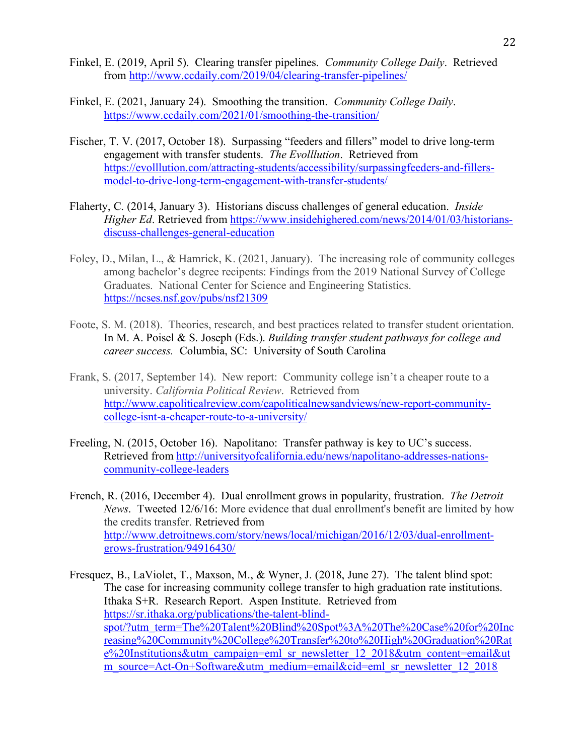- Finkel, E. (2019, April 5). Clearing transfer pipelines. *Community College Daily*. Retrieved from http://www.ccdaily.com/2019/04/clearing-transfer-pipelines/
- Finkel, E. (2021, January 24). Smoothing the transition. *Community College Daily*. https://www.ccdaily.com/2021/01/smoothing-the-transition/
- Fischer, T. V. (2017, October 18). Surpassing "feeders and fillers" model to drive long-term engagement with transfer students. *The Evolllution*. Retrieved from https://evolllution.com/attracting-students/accessibility/surpassingfeeders-and-fillersmodel-to-drive-long-term-engagement-with-transfer-students/
- Flaherty, C. (2014, January 3). Historians discuss challenges of general education. *Inside Higher Ed.* Retrieved from https://www.insidehighered.com/news/2014/01/03/historiansdiscuss-challenges-general-education
- Foley, D., Milan, L., & Hamrick, K. (2021, January). The increasing role of community colleges among bachelor's degree recipents: Findings from the 2019 National Survey of College Graduates. National Center for Science and Engineering Statistics. https://ncses.nsf.gov/pubs/nsf21309
- Foote, S. M. (2018). Theories, research, and best practices related to transfer student orientation. In M. A. Poisel & S. Joseph (Eds.). *Building transfer student pathways for college and career success.* Columbia, SC: University of South Carolina
- Frank, S. (2017, September 14). New report: Community college isn't a cheaper route to a university. *California Political Review*. Retrieved from http://www.capoliticalreview.com/capoliticalnewsandviews/new-report-communitycollege-isnt-a-cheaper-route-to-a-university/
- Freeling, N. (2015, October 16). Napolitano: Transfer pathway is key to UC's success. Retrieved from http://universityofcalifornia.edu/news/napolitano-addresses-nationscommunity-college-leaders
- French, R. (2016, December 4). Dual enrollment grows in popularity, frustration. *The Detroit News*. Tweeted 12/6/16: More evidence that dual enrollment's benefit are limited by how the credits transfer. Retrieved from http://www.detroitnews.com/story/news/local/michigan/2016/12/03/dual-enrollmentgrows-frustration/94916430/

Fresquez, B., LaViolet, T., Maxson, M., & Wyner, J. (2018, June 27). The talent blind spot: The case for increasing community college transfer to high graduation rate institutions. Ithaka S+R. Research Report. Aspen Institute. Retrieved from https://sr.ithaka.org/publications/the-talent-blindspot/?utm\_term=The%20Talent%20Blind%20Spot%3A%20The%20Case%20for%20Inc reasing%20Community%20College%20Transfer%20to%20High%20Graduation%20Rat e%20Institutions&utm\_campaign=eml\_sr\_newsletter\_12\_2018&utm\_content=email&ut m\_source=Act-On+Software&utm\_medium=email&cid=eml\_sr\_newsletter\_12\_2018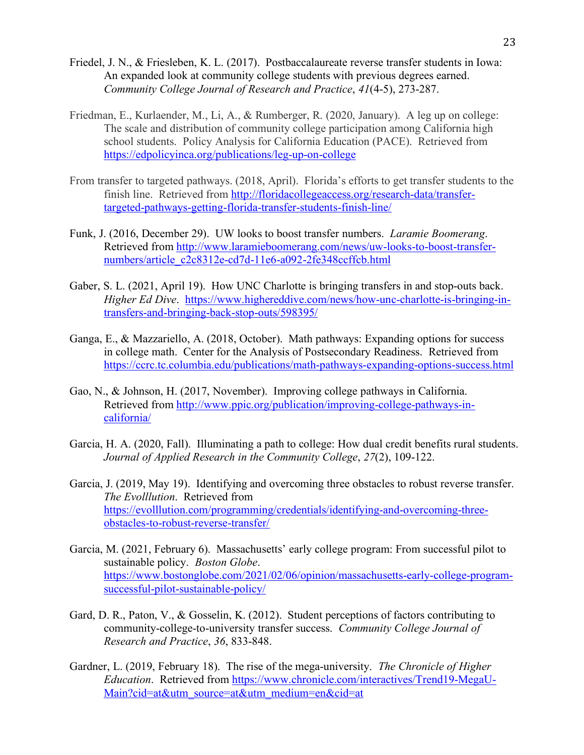- Friedel, J. N., & Friesleben, K. L. (2017). Postbaccalaureate reverse transfer students in Iowa: An expanded look at community college students with previous degrees earned. *Community College Journal of Research and Practice*, *41*(4-5), 273-287.
- Friedman, E., Kurlaender, M., Li, A., & Rumberger, R. (2020, January). A leg up on college: The scale and distribution of community college participation among California high school students. Policy Analysis for California Education (PACE). Retrieved from https://edpolicyinca.org/publications/leg-up-on-college
- From transfer to targeted pathways. (2018, April). Florida's efforts to get transfer students to the finish line. Retrieved from http://floridacollegeaccess.org/research-data/transfertargeted-pathways-getting-florida-transfer-students-finish-line/
- Funk, J. (2016, December 29). UW looks to boost transfer numbers. *Laramie Boomerang*. Retrieved from http://www.laramieboomerang.com/news/uw-looks-to-boost-transfernumbers/article\_c2c8312e-cd7d-11e6-a092-2fe348ccffcb.html
- Gaber, S. L. (2021, April 19). How UNC Charlotte is bringing transfers in and stop-outs back. *Higher Ed Dive*. https://www.highereddive.com/news/how-unc-charlotte-is-bringing-intransfers-and-bringing-back-stop-outs/598395/
- Ganga, E., & Mazzariello, A. (2018, October). Math pathways: Expanding options for success in college math. Center for the Analysis of Postsecondary Readiness. Retrieved from https://ccrc.tc.columbia.edu/publications/math-pathways-expanding-options-success.html
- Gao, N., & Johnson, H. (2017, November). Improving college pathways in California. Retrieved from http://www.ppic.org/publication/improving-college-pathways-incalifornia/
- Garcia, H. A. (2020, Fall). Illuminating a path to college: How dual credit benefits rural students. *Journal of Applied Research in the Community College*, *27*(2), 109-122.
- Garcia, J. (2019, May 19). Identifying and overcoming three obstacles to robust reverse transfer. *The Evolllution*. Retrieved from https://evolllution.com/programming/credentials/identifying-and-overcoming-threeobstacles-to-robust-reverse-transfer/
- Garcia, M. (2021, February 6). Massachusetts' early college program: From successful pilot to sustainable policy. *Boston Globe*. https://www.bostonglobe.com/2021/02/06/opinion/massachusetts-early-college-programsuccessful-pilot-sustainable-policy/
- Gard, D. R., Paton, V., & Gosselin, K. (2012). Student perceptions of factors contributing to community-college-to-university transfer success. *Community College Journal of Research and Practice*, *36*, 833-848.
- Gardner, L. (2019, February 18). The rise of the mega-university. *The Chronicle of Higher Education*. Retrieved from https://www.chronicle.com/interactives/Trend19-MegaU-Main?cid=at&utm\_source=at&utm\_medium=en&cid=at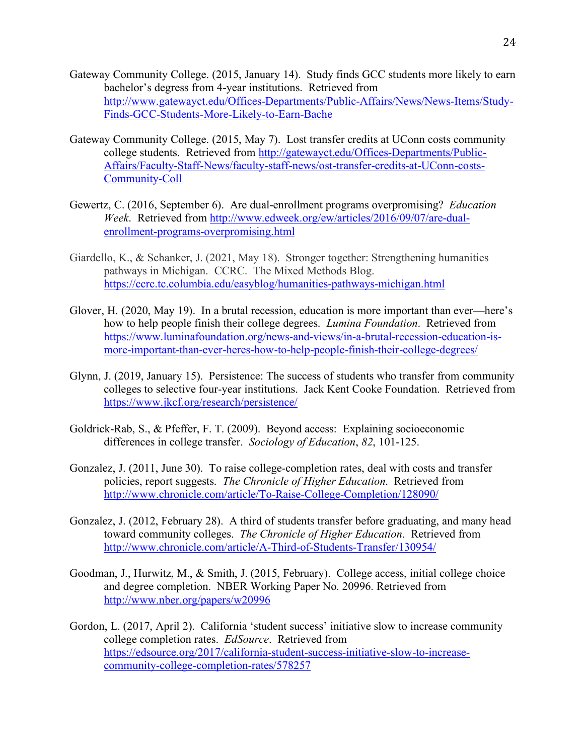- Gateway Community College. (2015, January 14). Study finds GCC students more likely to earn bachelor's degress from 4-year institutions. Retrieved from http://www.gatewayct.edu/Offices-Departments/Public-Affairs/News/News-Items/Study-Finds-GCC-Students-More-Likely-to-Earn-Bache
- Gateway Community College. (2015, May 7). Lost transfer credits at UConn costs community college students. Retrieved from http://gatewayct.edu/Offices-Departments/Public-Affairs/Faculty-Staff-News/faculty-staff-news/ost-transfer-credits-at-UConn-costs-Community-Coll
- Gewertz, C. (2016, September 6). Are dual-enrollment programs overpromising? *Education Week*. Retrieved from http://www.edweek.org/ew/articles/2016/09/07/are-dualenrollment-programs-overpromising.html
- Giardello, K., & Schanker, J. (2021, May 18). Stronger together: Strengthening humanities pathways in Michigan. CCRC. The Mixed Methods Blog. https://ccrc.tc.columbia.edu/easyblog/humanities-pathways-michigan.html
- Glover, H. (2020, May 19). In a brutal recession, education is more important than ever—here's how to help people finish their college degrees. *Lumina Foundation*. Retrieved from https://www.luminafoundation.org/news-and-views/in-a-brutal-recession-education-ismore-important-than-ever-heres-how-to-help-people-finish-their-college-degrees/
- Glynn, J. (2019, January 15). Persistence: The success of students who transfer from community colleges to selective four-year institutions. Jack Kent Cooke Foundation. Retrieved from https://www.jkcf.org/research/persistence/
- Goldrick-Rab, S., & Pfeffer, F. T. (2009). Beyond access: Explaining socioeconomic differences in college transfer. *Sociology of Education*, *82*, 101-125.
- Gonzalez, J. (2011, June 30). To raise college-completion rates, deal with costs and transfer policies, report suggests. *The Chronicle of Higher Education*. Retrieved from http://www.chronicle.com/article/To-Raise-College-Completion/128090/
- Gonzalez, J. (2012, February 28). A third of students transfer before graduating, and many head toward community colleges. *The Chronicle of Higher Education*. Retrieved from http://www.chronicle.com/article/A-Third-of-Students-Transfer/130954/
- Goodman, J., Hurwitz, M., & Smith, J. (2015, February). College access, initial college choice and degree completion. NBER Working Paper No. 20996. Retrieved from http://www.nber.org/papers/w20996
- Gordon, L. (2017, April 2). California 'student success' initiative slow to increase community college completion rates. *EdSource*. Retrieved from https://edsource.org/2017/california-student-success-initiative-slow-to-increasecommunity-college-completion-rates/578257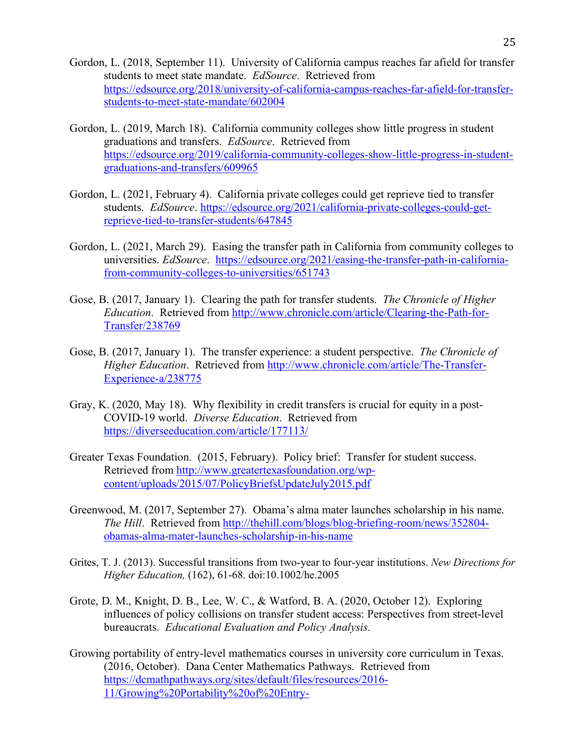- Gordon, L. (2018, September 11). University of California campus reaches far afield for transfer students to meet state mandate. *EdSource*. Retrieved from https://edsource.org/2018/university-of-california-campus-reaches-far-afield-for-transferstudents-to-meet-state-mandate/602004
- Gordon, L. (2019, March 18). California community colleges show little progress in student graduations and transfers. *EdSource*. Retrieved from https://edsource.org/2019/california-community-colleges-show-little-progress-in-studentgraduations-and-transfers/609965
- Gordon, L. (2021, February 4). California private colleges could get reprieve tied to transfer students. *EdSource*. https://edsource.org/2021/california-private-colleges-could-getreprieve-tied-to-transfer-students/647845
- Gordon, L. (2021, March 29). Easing the transfer path in California from community colleges to universities. *EdSource*. https://edsource.org/2021/easing-the-transfer-path-in-californiafrom-community-colleges-to-universities/651743
- Gose, B. (2017, January 1). Clearing the path for transfer students. *The Chronicle of Higher Education*. Retrieved from http://www.chronicle.com/article/Clearing-the-Path-for-Transfer/238769
- Gose, B. (2017, January 1). The transfer experience: a student perspective. *The Chronicle of Higher Education*. Retrieved from http://www.chronicle.com/article/The-Transfer-Experience-a/238775
- Gray, K. (2020, May 18). Why flexibility in credit transfers is crucial for equity in a post-COVID-19 world. *Diverse Education*. Retrieved from https://diverseeducation.com/article/177113/
- Greater Texas Foundation. (2015, February). Policy brief: Transfer for student success. Retrieved from http://www.greatertexasfoundation.org/wpcontent/uploads/2015/07/PolicyBriefsUpdateJuly2015.pdf
- Greenwood, M. (2017, September 27). Obama's alma mater launches scholarship in his name. *The Hill*. Retrieved from http://thehill.com/blogs/blog-briefing-room/news/352804 obamas-alma-mater-launches-scholarship-in-his-name
- Grites, T. J. (2013). Successful transitions from two-year to four-year institutions. *New Directions for Higher Education,* (162), 61-68. doi:10.1002/he.2005
- Grote, D. M., Knight, D. B., Lee, W. C., & Watford, B. A. (2020, October 12). Exploring influences of policy collisions on transfer student access: Perspectives from street-level bureaucrats. *Educational Evaluation and Policy Analysis*.
- Growing portability of entry-level mathematics courses in university core curriculum in Texas. (2016, October). Dana Center Mathematics Pathways. Retrieved from https://dcmathpathways.org/sites/default/files/resources/2016- 11/Growing%20Portability%20of%20Entry-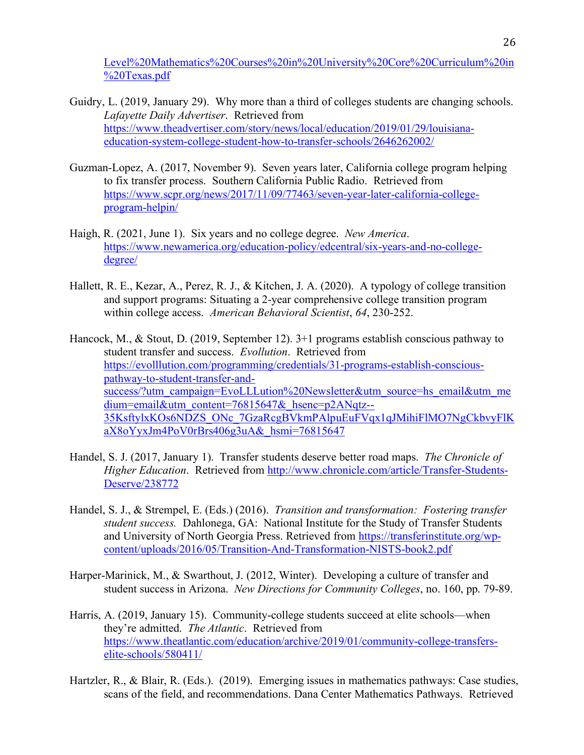Level%20Mathematics%20Courses%20in%20University%20Core%20Curriculum%20in %20Texas.pdf

- Guidry, L. (2019, January 29). Why more than a third of colleges students are changing schools. *Lafayette Daily Advertiser*. Retrieved from https://www.theadvertiser.com/story/news/local/education/2019/01/29/louisianaeducation-system-college-student-how-to-transfer-schools/2646262002/
- Guzman-Lopez, A. (2017, November 9). Seven years later, California college program helping to fix transfer process. Southern California Public Radio. Retrieved from https://www.scpr.org/news/2017/11/09/77463/seven-year-later-california-collegeprogram-helpin/
- Haigh, R. (2021, June 1). Six years and no college degree. *New America*. https://www.newamerica.org/education-policy/edcentral/six-years-and-no-collegedegree/
- Hallett, R. E., Kezar, A., Perez, R. J., & Kitchen, J. A. (2020). A typology of college transition and support programs: Situating a 2-year comprehensive college transition program within college access. *American Behavioral Scientist*, *64*, 230-252.

Hancock, M., & Stout, D. (2019, September 12). 3+1 programs establish conscious pathway to student transfer and success. *Evollution*. Retrieved from https://evolllution.com/programming/credentials/31-programs-establish-consciouspathway-to-student-transfer-andsuccess/?utm\_campaign=EvoLLLution%20Newsletter&utm\_source=hs\_email&utm\_me dium=email&utm\_content=76815647&\_hsenc=p2ANqtz--35KsftylxKOs6NDZS\_ONc\_7GzaRcgBVkmPAlpuEuFVqx1qJMihiFlMO7NgCkbvyFlK  $aX8oYyxJm4PoV0rBrs406g3uA&hsmi=76815647$ 

- Handel, S. J. (2017, January 1). Transfer students deserve better road maps. *The Chronicle of Higher Education*. Retrieved from http://www.chronicle.com/article/Transfer-Students-Deserve/238772
- Handel, S. J., & Strempel, E. (Eds.) (2016). *Transition and transformation: Fostering transfer student success.* Dahlonega, GA: National Institute for the Study of Transfer Students and University of North Georgia Press. Retrieved from https://transferinstitute.org/wpcontent/uploads/2016/05/Transition-And-Transformation-NISTS-book2.pdf
- Harper-Marinick, M., & Swarthout, J. (2012, Winter). Developing a culture of transfer and student success in Arizona. *New Directions for Community Colleges*, no. 160, pp. 79-89.
- Harris, A. (2019, January 15). Community-college students succeed at elite schools—when they're admitted. *The Atlantic*. Retrieved from https://www.theatlantic.com/education/archive/2019/01/community-college-transferselite-schools/580411/
- Hartzler, R., & Blair, R. (Eds.). (2019). Emerging issues in mathematics pathways: Case studies, scans of the field, and recommendations. Dana Center Mathematics Pathways. Retrieved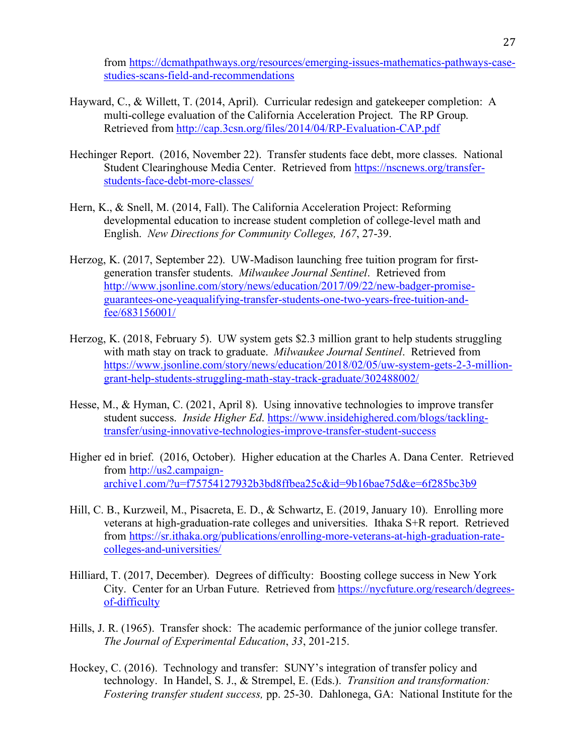from https://dcmathpathways.org/resources/emerging-issues-mathematics-pathways-casestudies-scans-field-and-recommendations

- Hayward, C., & Willett, T. (2014, April). Curricular redesign and gatekeeper completion: A multi-college evaluation of the California Acceleration Project. The RP Group. Retrieved from http://cap.3csn.org/files/2014/04/RP-Evaluation-CAP.pdf
- Hechinger Report. (2016, November 22). Transfer students face debt, more classes. National Student Clearinghouse Media Center. Retrieved from https://nscnews.org/transferstudents-face-debt-more-classes/
- Hern, K., & Snell, M. (2014, Fall). The California Acceleration Project: Reforming developmental education to increase student completion of college-level math and English. *New Directions for Community Colleges, 167*, 27-39.
- Herzog, K. (2017, September 22). UW-Madison launching free tuition program for firstgeneration transfer students. *Milwaukee Journal Sentinel*. Retrieved from http://www.jsonline.com/story/news/education/2017/09/22/new-badger-promiseguarantees-one-yeaqualifying-transfer-students-one-two-years-free-tuition-andfee/683156001/
- Herzog, K. (2018, February 5). UW system gets \$2.3 million grant to help students struggling with math stay on track to graduate. *Milwaukee Journal Sentinel*. Retrieved from https://www.jsonline.com/story/news/education/2018/02/05/uw-system-gets-2-3-milliongrant-help-students-struggling-math-stay-track-graduate/302488002/
- Hesse, M., & Hyman, C. (2021, April 8). Using innovative technologies to improve transfer student success. *Inside Higher Ed*. https://www.insidehighered.com/blogs/tacklingtransfer/using-innovative-technologies-improve-transfer-student-success
- Higher ed in brief. (2016, October). Higher education at the Charles A. Dana Center. Retrieved from http://us2.campaignarchive1.com/?u=f75754127932b3bd8ffbea25c&id=9b16bae75d&e=6f285bc3b9
- Hill, C. B., Kurzweil, M., Pisacreta, E. D., & Schwartz, E. (2019, January 10). Enrolling more veterans at high-graduation-rate colleges and universities. Ithaka S+R report. Retrieved from https://sr.ithaka.org/publications/enrolling-more-veterans-at-high-graduation-ratecolleges-and-universities/
- Hilliard, T. (2017, December). Degrees of difficulty: Boosting college success in New York City. Center for an Urban Future. Retrieved from https://nycfuture.org/research/degreesof-difficulty
- Hills, J. R. (1965). Transfer shock: The academic performance of the junior college transfer. *The Journal of Experimental Education*, *33*, 201-215.
- Hockey, C. (2016). Technology and transfer: SUNY's integration of transfer policy and technology. In Handel, S. J., & Strempel, E. (Eds.). *Transition and transformation: Fostering transfer student success,* pp. 25-30. Dahlonega, GA: National Institute for the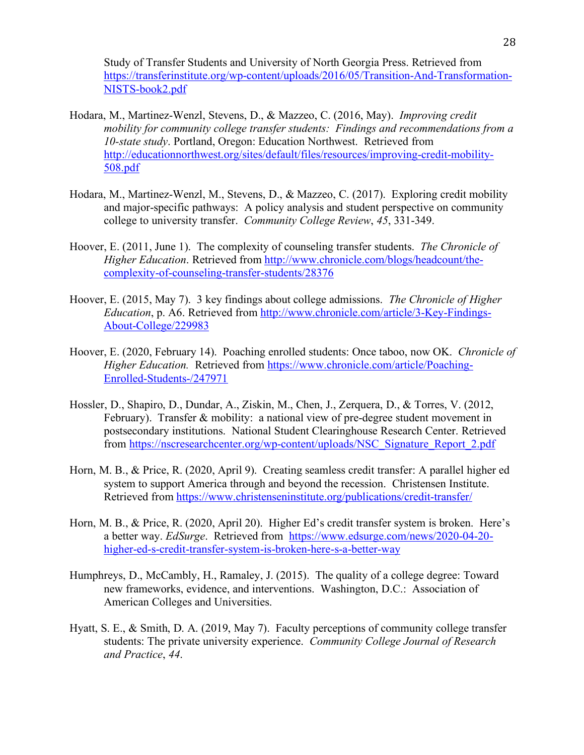Study of Transfer Students and University of North Georgia Press. Retrieved from https://transferinstitute.org/wp-content/uploads/2016/05/Transition-And-Transformation-NISTS-book2.pdf

- Hodara, M., Martinez-Wenzl, Stevens, D., & Mazzeo, C. (2016, May). *Improving credit mobility for community college transfer students: Findings and recommendations from a 10-state study*. Portland, Oregon: Education Northwest. Retrieved from http://educationnorthwest.org/sites/default/files/resources/improving-credit-mobility-508.pdf
- Hodara, M., Martinez-Wenzl, M., Stevens, D., & Mazzeo, C. (2017). Exploring credit mobility and major-specific pathways: A policy analysis and student perspective on community college to university transfer. *Community College Review*, *45*, 331-349.
- Hoover, E. (2011, June 1). The complexity of counseling transfer students. *The Chronicle of Higher Education*. Retrieved from http://www.chronicle.com/blogs/headcount/thecomplexity-of-counseling-transfer-students/28376
- Hoover, E. (2015, May 7). 3 key findings about college admissions. *The Chronicle of Higher Education*, p. A6. Retrieved from http://www.chronicle.com/article/3-Key-Findings-About-College/229983
- Hoover, E. (2020, February 14). Poaching enrolled students: Once taboo, now OK. *Chronicle of Higher Education.* Retrieved from https://www.chronicle.com/article/Poaching-Enrolled-Students-/247971
- Hossler, D., Shapiro, D., Dundar, A., Ziskin, M., Chen, J., Zerquera, D., & Torres, V. (2012, February). Transfer & mobility: a national view of pre-degree student movement in postsecondary institutions. National Student Clearinghouse Research Center. Retrieved from https://nscresearchcenter.org/wp-content/uploads/NSC\_Signature\_Report\_2.pdf
- Horn, M. B., & Price, R. (2020, April 9). Creating seamless credit transfer: A parallel higher ed system to support America through and beyond the recession. Christensen Institute. Retrieved from https://www.christenseninstitute.org/publications/credit-transfer/
- Horn, M. B., & Price, R. (2020, April 20). Higher Ed's credit transfer system is broken. Here's a better way. *EdSurge*. Retrieved from https://www.edsurge.com/news/2020-04-20 higher-ed-s-credit-transfer-system-is-broken-here-s-a-better-way
- Humphreys, D., McCambly, H., Ramaley, J. (2015). The quality of a college degree: Toward new frameworks, evidence, and interventions. Washington, D.C.: Association of American Colleges and Universities.
- Hyatt, S. E., & Smith, D. A. (2019, May 7). Faculty perceptions of community college transfer students: The private university experience. *Community College Journal of Research and Practice*, *44*.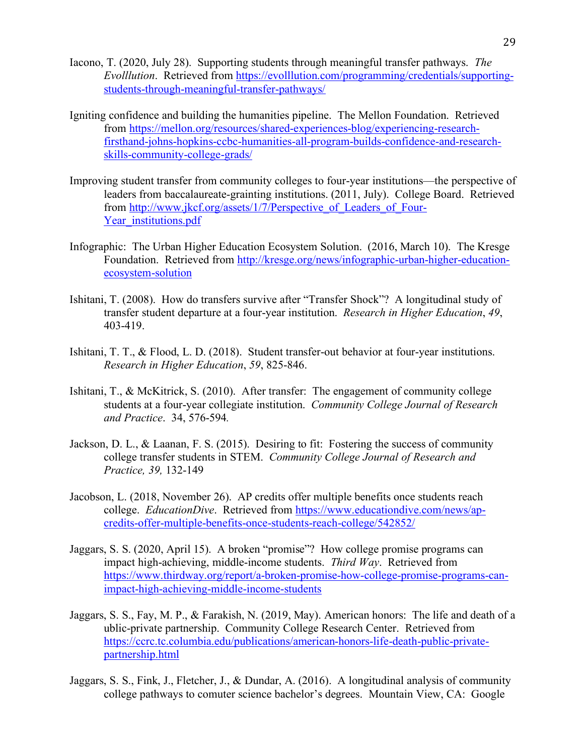- Iacono, T. (2020, July 28). Supporting students through meaningful transfer pathways. *The Evolllution*. Retrieved from https://evolllution.com/programming/credentials/supportingstudents-through-meaningful-transfer-pathways/
- Igniting confidence and building the humanities pipeline. The Mellon Foundation. Retrieved from https://mellon.org/resources/shared-experiences-blog/experiencing-researchfirsthand-johns-hopkins-ccbc-humanities-all-program-builds-confidence-and-researchskills-community-college-grads/
- Improving student transfer from community colleges to four-year institutions—the perspective of leaders from baccalaureate-grainting institutions. (2011, July). College Board. Retrieved from http://www.jkcf.org/assets/1/7/Perspective\_of\_Leaders\_of\_Four-Year institutions.pdf
- Infographic: The Urban Higher Education Ecosystem Solution. (2016, March 10). The Kresge Foundation. Retrieved from http://kresge.org/news/infographic-urban-higher-educationecosystem-solution
- Ishitani, T. (2008). How do transfers survive after "Transfer Shock"? A longitudinal study of transfer student departure at a four-year institution. *Research in Higher Education*, *49*, 403-419.
- Ishitani, T. T., & Flood, L. D. (2018). Student transfer-out behavior at four-year institutions. *Research in Higher Education*, *59*, 825-846.
- Ishitani, T., & McKitrick, S. (2010). After transfer: The engagement of community college students at a four-year collegiate institution. *Community College Journal of Research and Practice*. 34, 576-594*.*
- Jackson, D. L., & Laanan, F. S. (2015). Desiring to fit: Fostering the success of community college transfer students in STEM. *Community College Journal of Research and Practice, 39,* 132-149
- Jacobson, L. (2018, November 26). AP credits offer multiple benefits once students reach college. *EducationDive*. Retrieved from https://www.educationdive.com/news/apcredits-offer-multiple-benefits-once-students-reach-college/542852/
- Jaggars, S. S. (2020, April 15). A broken "promise"? How college promise programs can impact high-achieving, middle-income students. *Third Way*. Retrieved from https://www.thirdway.org/report/a-broken-promise-how-college-promise-programs-canimpact-high-achieving-middle-income-students
- Jaggars, S. S., Fay, M. P., & Farakish, N. (2019, May). American honors: The life and death of a ublic-private partnership. Community College Research Center. Retrieved from https://ccrc.tc.columbia.edu/publications/american-honors-life-death-public-privatepartnership.html
- Jaggars, S. S., Fink, J., Fletcher, J., & Dundar, A. (2016). A longitudinal analysis of community college pathways to comuter science bachelor's degrees. Mountain View, CA: Google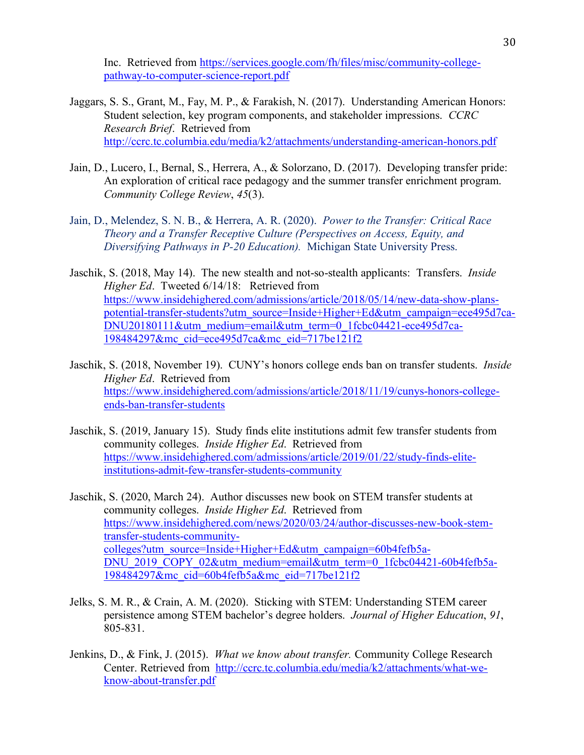Inc. Retrieved from https://services.google.com/fh/files/misc/community-collegepathway-to-computer-science-report.pdf

- Jaggars, S. S., Grant, M., Fay, M. P., & Farakish, N. (2017). Understanding American Honors: Student selection, key program components, and stakeholder impressions. *CCRC Research Brief*. Retrieved from http://ccrc.tc.columbia.edu/media/k2/attachments/understanding-american-honors.pdf
- Jain, D., Lucero, I., Bernal, S., Herrera, A., & Solorzano, D. (2017). Developing transfer pride: An exploration of critical race pedagogy and the summer transfer enrichment program. *Community College Review*, *45*(3).
- Jain, D., Melendez, S. N. B., & Herrera, A. R. (2020). *Power to the Transfer: Critical Race Theory and a Transfer Receptive Culture (Perspectives on Access, Equity, and Diversifying Pathways in P-20 Education).* Michigan State University Press.
- Jaschik, S. (2018, May 14). The new stealth and not-so-stealth applicants: Transfers. *Inside Higher Ed*. Tweeted 6/14/18: Retrieved from https://www.insidehighered.com/admissions/article/2018/05/14/new-data-show-planspotential-transfer-students?utm\_source=Inside+Higher+Ed&utm\_campaign=ece495d7ca-DNU20180111&utm\_medium=email&utm\_term=0\_1fcbc04421-ece495d7ca-198484297&mc\_cid=ece495d7ca&mc\_eid=717be121f2
- Jaschik, S. (2018, November 19). CUNY's honors college ends ban on transfer students. *Inside Higher Ed*. Retrieved from https://www.insidehighered.com/admissions/article/2018/11/19/cunys-honors-collegeends-ban-transfer-students
- Jaschik, S. (2019, January 15). Study finds elite institutions admit few transfer students from community colleges. *Inside Higher Ed*. Retrieved from https://www.insidehighered.com/admissions/article/2019/01/22/study-finds-eliteinstitutions-admit-few-transfer-students-community
- Jaschik, S. (2020, March 24). Author discusses new book on STEM transfer students at community colleges. *Inside Higher Ed*. Retrieved from https://www.insidehighered.com/news/2020/03/24/author-discusses-new-book-stemtransfer-students-communitycolleges?utm\_source=Inside+Higher+Ed&utm\_campaign=60b4fefb5a-DNU\_2019\_COPY\_02&utm\_medium=email&utm\_term=0\_1fcbc04421-60b4fefb5a-198484297&mc\_cid=60b4fefb5a&mc\_eid=717be121f2
- Jelks, S. M. R., & Crain, A. M. (2020). Sticking with STEM: Understanding STEM career persistence among STEM bachelor's degree holders. *Journal of Higher Education*, *91*, 805-831.
- Jenkins, D., & Fink, J. (2015). *What we know about transfer.* Community College Research Center. Retrieved from http://ccrc.tc.columbia.edu/media/k2/attachments/what-weknow-about-transfer.pdf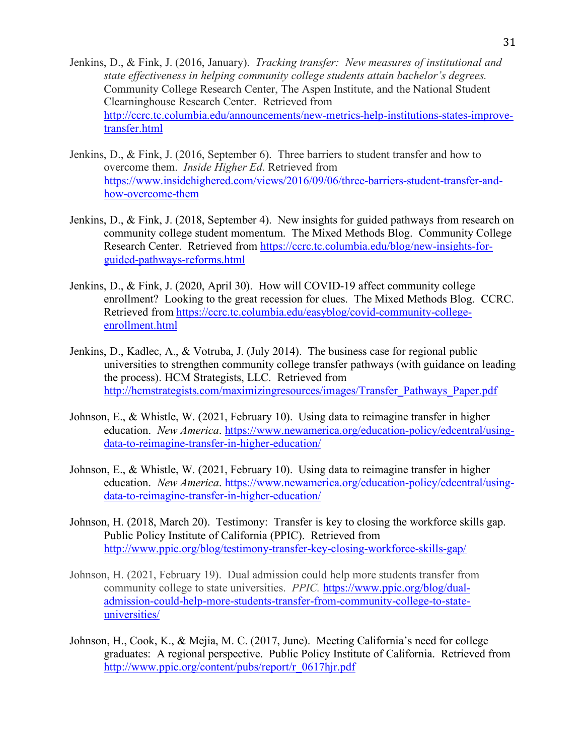- Jenkins, D., & Fink, J. (2016, January). *Tracking transfer: New measures of institutional and state effectiveness in helping community college students attain bachelor's degrees.* Community College Research Center, The Aspen Institute, and the National Student Clearninghouse Research Center. Retrieved from http://ccrc.tc.columbia.edu/announcements/new-metrics-help-institutions-states-improvetransfer.html
- Jenkins, D., & Fink, J. (2016, September 6). Three barriers to student transfer and how to overcome them. *Inside Higher Ed*. Retrieved from https://www.insidehighered.com/views/2016/09/06/three-barriers-student-transfer-andhow-overcome-them
- Jenkins, D., & Fink, J. (2018, September 4). New insights for guided pathways from research on community college student momentum. The Mixed Methods Blog. Community College Research Center. Retrieved from https://ccrc.tc.columbia.edu/blog/new-insights-forguided-pathways-reforms.html
- Jenkins, D., & Fink, J. (2020, April 30). How will COVID-19 affect community college enrollment? Looking to the great recession for clues. The Mixed Methods Blog. CCRC. Retrieved from https://ccrc.tc.columbia.edu/easyblog/covid-community-collegeenrollment.html
- Jenkins, D., Kadlec, A., & Votruba, J. (July 2014). The business case for regional public universities to strengthen community college transfer pathways (with guidance on leading the process). HCM Strategists, LLC. Retrieved from http://hcmstrategists.com/maximizingresources/images/Transfer\_Pathways\_Paper.pdf
- Johnson, E., & Whistle, W. (2021, February 10). Using data to reimagine transfer in higher education. *New America*. https://www.newamerica.org/education-policy/edcentral/usingdata-to-reimagine-transfer-in-higher-education/
- Johnson, E., & Whistle, W. (2021, February 10). Using data to reimagine transfer in higher education. *New America*. https://www.newamerica.org/education-policy/edcentral/usingdata-to-reimagine-transfer-in-higher-education/
- Johnson, H. (2018, March 20). Testimony: Transfer is key to closing the workforce skills gap. Public Policy Institute of California (PPIC). Retrieved from http://www.ppic.org/blog/testimony-transfer-key-closing-workforce-skills-gap/
- Johnson, H. (2021, February 19). Dual admission could help more students transfer from community college to state universities. *PPIC.* https://www.ppic.org/blog/dualadmission-could-help-more-students-transfer-from-community-college-to-stateuniversities/
- Johnson, H., Cook, K., & Mejia, M. C. (2017, June). Meeting California's need for college graduates: A regional perspective. Public Policy Institute of California. Retrieved from http://www.ppic.org/content/pubs/report/r\_0617hjr.pdf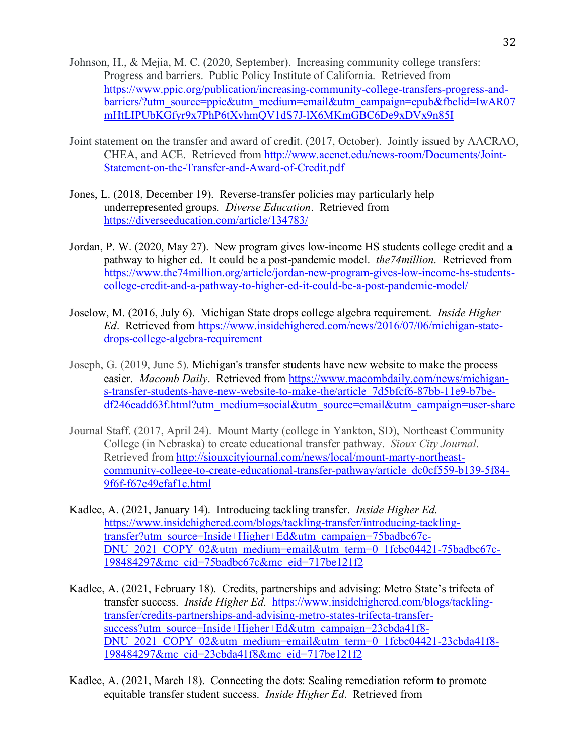- Johnson, H., & Mejia, M. C. (2020, September). Increasing community college transfers: Progress and barriers. Public Policy Institute of California. Retrieved from https://www.ppic.org/publication/increasing-community-college-transfers-progress-andbarriers/?utm\_source=ppic&utm\_medium=email&utm\_campaign=epub&fbclid=IwAR07 mHtLIPUbKGfyr9x7PhP6tXvhmQV1dS7J-lX6MKmGBC6De9xDVx9n85I
- Joint statement on the transfer and award of credit. (2017, October). Jointly issued by AACRAO, CHEA, and ACE. Retrieved from http://www.acenet.edu/news-room/Documents/Joint-Statement-on-the-Transfer-and-Award-of-Credit.pdf
- Jones, L. (2018, December 19). Reverse-transfer policies may particularly help underrepresented groups. *Diverse Education*. Retrieved from https://diverseeducation.com/article/134783/
- Jordan, P. W. (2020, May 27). New program gives low-income HS students college credit and a pathway to higher ed. It could be a post-pandemic model. *the74million*. Retrieved from https://www.the74million.org/article/jordan-new-program-gives-low-income-hs-studentscollege-credit-and-a-pathway-to-higher-ed-it-could-be-a-post-pandemic-model/
- Joselow, M. (2016, July 6). Michigan State drops college algebra requirement. *Inside Higher Ed*. Retrieved from https://www.insidehighered.com/news/2016/07/06/michigan-statedrops-college-algebra-requirement
- Joseph, G. (2019, June 5). Michigan's transfer students have new website to make the process easier. *Macomb Daily*. Retrieved from https://www.macombdaily.com/news/michigans-transfer-students-have-new-website-to-make-the/article\_7d5bfcf6-87bb-11e9-b7bedf246eadd63f.html?utm\_medium=social&utm\_source=email&utm\_campaign=user-share
- Journal Staff. (2017, April 24). Mount Marty (college in Yankton, SD), Northeast Community College (in Nebraska) to create educational transfer pathway. *Sioux City Journal*. Retrieved from http://siouxcityjournal.com/news/local/mount-marty-northeastcommunity-college-to-create-educational-transfer-pathway/article\_dc0cf559-b139-5f84- 9f6f-f67c49efaf1c.html
- Kadlec, A. (2021, January 14). Introducing tackling transfer. *Inside Higher Ed*. https://www.insidehighered.com/blogs/tackling-transfer/introducing-tacklingtransfer?utm\_source=Inside+Higher+Ed&utm\_campaign=75badbc67c-DNU\_2021\_COPY\_02&utm\_medium=email&utm\_term=0\_1fcbc04421-75badbc67c-198484297&mc\_cid=75badbc67c&mc\_eid=717be121f2
- Kadlec, A. (2021, February 18). Credits, partnerships and advising: Metro State's trifecta of transfer success. *Inside Higher Ed*. https://www.insidehighered.com/blogs/tacklingtransfer/credits-partnerships-and-advising-metro-states-trifecta-transfersuccess?utm\_source=Inside+Higher+Ed&utm\_campaign=23cbda41f8-DNU\_2021\_COPY\_02&utm\_medium=email&utm\_term=0\_1fcbc04421-23cbda41f8-198484297&mc\_cid=23cbda41f8&mc\_eid=717be121f2
- Kadlec, A. (2021, March 18). Connecting the dots: Scaling remediation reform to promote equitable transfer student success. *Inside Higher Ed*. Retrieved from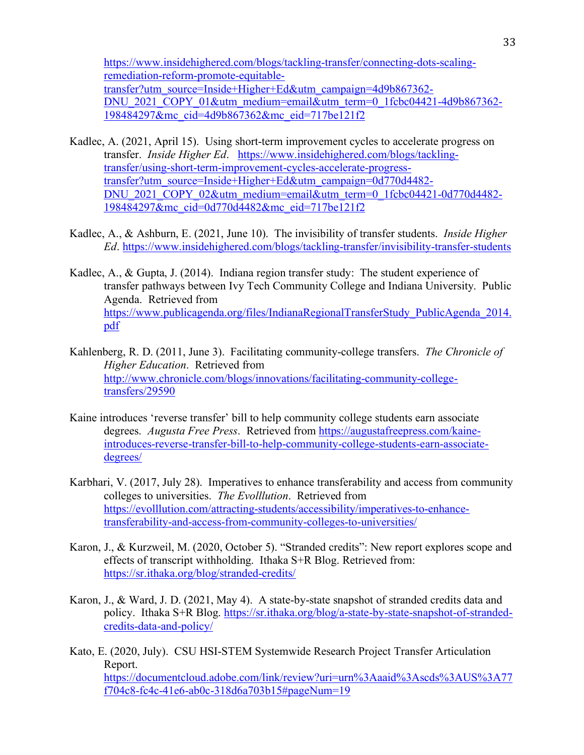https://www.insidehighered.com/blogs/tackling-transfer/connecting-dots-scalingremediation-reform-promote-equitabletransfer?utm\_source=Inside+Higher+Ed&utm\_campaign=4d9b867362- DNU\_2021\_COPY\_01&utm\_medium=email&utm\_term=0\_1fcbc04421-4d9b867362-198484297&mc\_cid=4d9b867362&mc\_eid=717be121f2

- Kadlec, A. (2021, April 15). Using short-term improvement cycles to accelerate progress on transfer. *Inside Higher Ed*. https://www.insidehighered.com/blogs/tacklingtransfer/using-short-term-improvement-cycles-accelerate-progresstransfer?utm\_source=Inside+Higher+Ed&utm\_campaign=0d770d4482- DNU\_2021\_COPY\_02&utm\_medium=email&utm\_term=0\_1fcbc04421-0d770d4482-198484297&mc\_cid=0d770d4482&mc\_eid=717be121f2
- Kadlec, A., & Ashburn, E. (2021, June 10). The invisibility of transfer students. *Inside Higher Ed*. https://www.insidehighered.com/blogs/tackling-transfer/invisibility-transfer-students
- Kadlec, A., & Gupta, J. (2014). Indiana region transfer study: The student experience of transfer pathways between Ivy Tech Community College and Indiana University. Public Agenda. Retrieved from https://www.publicagenda.org/files/IndianaRegionalTransferStudy\_PublicAgenda\_2014. pdf
- Kahlenberg, R. D. (2011, June 3). Facilitating community-college transfers. *The Chronicle of Higher Education*. Retrieved from http://www.chronicle.com/blogs/innovations/facilitating-community-collegetransfers/29590
- Kaine introduces 'reverse transfer' bill to help community college students earn associate degrees. *Augusta Free Press*. Retrieved from https://augustafreepress.com/kaineintroduces-reverse-transfer-bill-to-help-community-college-students-earn-associatedegrees/
- Karbhari, V. (2017, July 28). Imperatives to enhance transferability and access from community colleges to universities. *The Evolllution*. Retrieved from https://evolllution.com/attracting-students/accessibility/imperatives-to-enhancetransferability-and-access-from-community-colleges-to-universities/
- Karon, J., & Kurzweil, M. (2020, October 5). "Stranded credits": New report explores scope and effects of transcript withholding. Ithaka S+R Blog. Retrieved from: https://sr.ithaka.org/blog/stranded-credits/
- Karon, J., & Ward, J. D. (2021, May 4). A state-by-state snapshot of stranded credits data and policy. Ithaka S+R Blog. https://sr.ithaka.org/blog/a-state-by-state-snapshot-of-strandedcredits-data-and-policy/
- Kato, E. (2020, July). CSU HSI-STEM Systemwide Research Project Transfer Articulation Report. https://documentcloud.adobe.com/link/review?uri=urn%3Aaaid%3Ascds%3AUS%3A77 f704c8-fc4c-41e6-ab0c-318d6a703b15#pageNum=19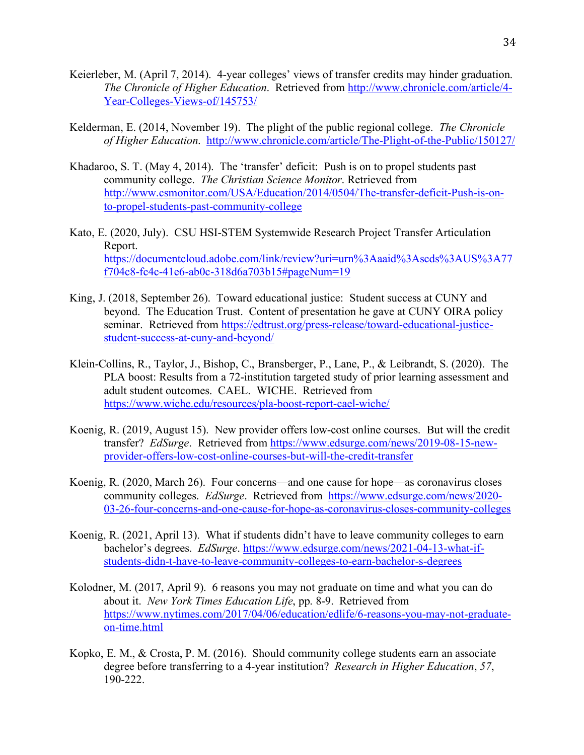- Keierleber, M. (April 7, 2014). 4-year colleges' views of transfer credits may hinder graduation. *The Chronicle of Higher Education*. Retrieved from http://www.chronicle.com/article/4- Year-Colleges-Views-of/145753/
- Kelderman, E. (2014, November 19). The plight of the public regional college. *The Chronicle of Higher Education*. http://www.chronicle.com/article/The-Plight-of-the-Public/150127/
- Khadaroo, S. T. (May 4, 2014). The 'transfer' deficit: Push is on to propel students past community college. *The Christian Science Monitor*. Retrieved from http://www.csmonitor.com/USA/Education/2014/0504/The-transfer-deficit-Push-is-onto-propel-students-past-community-college
- Kato, E. (2020, July). CSU HSI-STEM Systemwide Research Project Transfer Articulation Report. https://documentcloud.adobe.com/link/review?uri=urn%3Aaaid%3Ascds%3AUS%3A77 f704c8-fc4c-41e6-ab0c-318d6a703b15#pageNum=19
- King, J. (2018, September 26). Toward educational justice: Student success at CUNY and beyond. The Education Trust. Content of presentation he gave at CUNY OIRA policy seminar. Retrieved from https://edtrust.org/press-release/toward-educational-justicestudent-success-at-cuny-and-beyond/
- Klein-Collins, R., Taylor, J., Bishop, C., Bransberger, P., Lane, P., & Leibrandt, S. (2020). The PLA boost: Results from a 72-institution targeted study of prior learning assessment and adult student outcomes. CAEL. WICHE. Retrieved from https://www.wiche.edu/resources/pla-boost-report-cael-wiche/
- Koenig, R. (2019, August 15). New provider offers low-cost online courses. But will the credit transfer? *EdSurge*. Retrieved from https://www.edsurge.com/news/2019-08-15-newprovider-offers-low-cost-online-courses-but-will-the-credit-transfer
- Koenig, R. (2020, March 26). Four concerns—and one cause for hope—as coronavirus closes community colleges. *EdSurge*. Retrieved from https://www.edsurge.com/news/2020- 03-26-four-concerns-and-one-cause-for-hope-as-coronavirus-closes-community-colleges
- Koenig, R. (2021, April 13). What if students didn't have to leave community colleges to earn bachelor's degrees. *EdSurge*. https://www.edsurge.com/news/2021-04-13-what-ifstudents-didn-t-have-to-leave-community-colleges-to-earn-bachelor-s-degrees
- Kolodner, M. (2017, April 9). 6 reasons you may not graduate on time and what you can do about it. *New York Times Education Life*, pp. 8-9. Retrieved from https://www.nytimes.com/2017/04/06/education/edlife/6-reasons-you-may-not-graduateon-time.html
- Kopko, E. M., & Crosta, P. M. (2016). Should community college students earn an associate degree before transferring to a 4-year institution? *Research in Higher Education*, *57*, 190-222.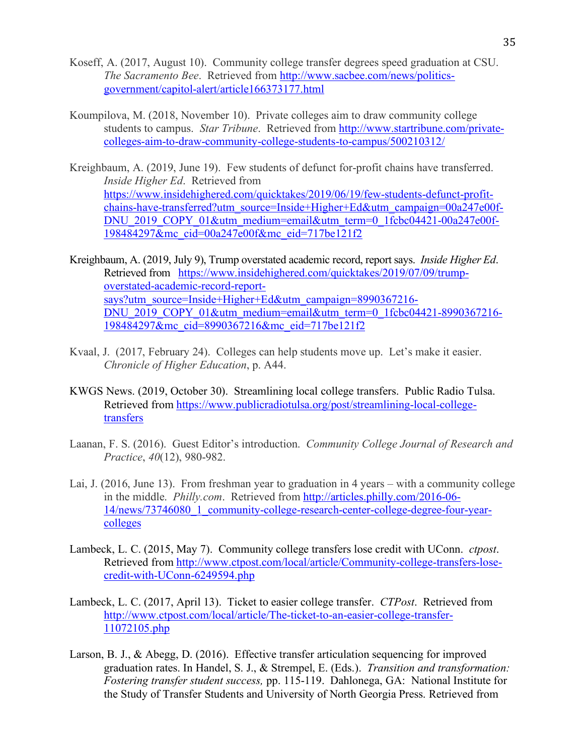- Koseff, A. (2017, August 10). Community college transfer degrees speed graduation at CSU. *The Sacramento Bee*. Retrieved from http://www.sacbee.com/news/politicsgovernment/capitol-alert/article166373177.html
- Koumpilova, M. (2018, November 10). Private colleges aim to draw community college students to campus. *Star Tribune*. Retrieved from http://www.startribune.com/privatecolleges-aim-to-draw-community-college-students-to-campus/500210312/
- Kreighbaum, A. (2019, June 19). Few students of defunct for-profit chains have transferred. *Inside Higher Ed*. Retrieved from https://www.insidehighered.com/quicktakes/2019/06/19/few-students-defunct-profitchains-have-transferred?utm\_source=Inside+Higher+Ed&utm\_campaign=00a247e00f-DNU\_2019\_COPY\_01&utm\_medium=email&utm\_term=0\_1fcbc04421-00a247e00f-198484297&mc\_cid=00a247e00f&mc\_eid=717be121f2
- Kreighbaum, A. (2019, July 9), Trump overstated academic record, report says. *Inside Higher Ed*. Retrieved from https://www.insidehighered.com/quicktakes/2019/07/09/trumpoverstated-academic-record-reportsays?utm\_source=Inside+Higher+Ed&utm\_campaign=8990367216-DNU\_2019\_COPY\_01&utm\_medium=email&utm\_term=0\_1fcbc04421-8990367216-198484297&mc\_cid=8990367216&mc\_eid=717be121f2
- Kvaal, J. (2017, February 24). Colleges can help students move up. Let's make it easier. *Chronicle of Higher Education*, p. A44.
- KWGS News. (2019, October 30). Streamlining local college transfers. Public Radio Tulsa. Retrieved from https://www.publicradiotulsa.org/post/streamlining-local-collegetransfers
- Laanan, F. S. (2016). Guest Editor's introduction. *Community College Journal of Research and Practice*, *40*(12), 980-982.
- Lai, J. (2016, June 13). From freshman year to graduation in 4 years with a community college in the middle. *Philly.com*. Retrieved from http://articles.philly.com/2016-06- 14/news/73746080\_1\_community-college-research-center-college-degree-four-yearcolleges
- Lambeck, L. C. (2015, May 7). Community college transfers lose credit with UConn. *ctpost*. Retrieved from http://www.ctpost.com/local/article/Community-college-transfers-losecredit-with-UConn-6249594.php
- Lambeck, L. C. (2017, April 13). Ticket to easier college transfer. *CTPost*. Retrieved from http://www.ctpost.com/local/article/The-ticket-to-an-easier-college-transfer-11072105.php
- Larson, B. J., & Abegg, D. (2016). Effective transfer articulation sequencing for improved graduation rates. In Handel, S. J., & Strempel, E. (Eds.). *Transition and transformation: Fostering transfer student success,* pp. 115-119. Dahlonega, GA: National Institute for the Study of Transfer Students and University of North Georgia Press. Retrieved from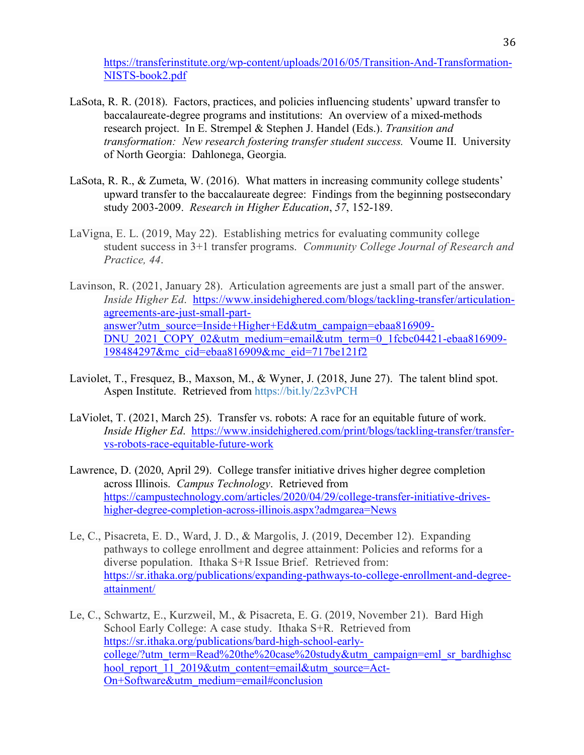https://transferinstitute.org/wp-content/uploads/2016/05/Transition-And-Transformation-NISTS-book2.pdf

- LaSota, R. R. (2018). Factors, practices, and policies influencing students' upward transfer to baccalaureate-degree programs and institutions: An overview of a mixed-methods research project. In E. Strempel & Stephen J. Handel (Eds.). *Transition and transformation: New research fostering transfer student success.* Voume II. University of North Georgia: Dahlonega, Georgia.
- LaSota, R. R., & Zumeta, W. (2016). What matters in increasing community college students' upward transfer to the baccalaureate degree: Findings from the beginning postsecondary study 2003-2009. *Research in Higher Education*, *57*, 152-189.
- LaVigna, E. L. (2019, May 22). Establishing metrics for evaluating community college student success in 3+1 transfer programs. *Community College Journal of Research and Practice, 44*.
- Lavinson, R. (2021, January 28). Articulation agreements are just a small part of the answer. *Inside Higher Ed*. https://www.insidehighered.com/blogs/tackling-transfer/articulationagreements-are-just-small-partanswer?utm\_source=Inside+Higher+Ed&utm\_campaign=ebaa816909- DNU\_2021\_COPY\_02&utm\_medium=email&utm\_term=0\_1fcbc04421-ebaa816909-198484297&mc\_cid=ebaa816909&mc\_eid=717be121f2
- Laviolet, T., Fresquez, B., Maxson, M., & Wyner, J. (2018, June 27). The talent blind spot. Aspen Institute. Retrieved from https://bit.ly/2z3vPCH
- LaViolet, T. (2021, March 25). Transfer vs. robots: A race for an equitable future of work. *Inside Higher Ed*. https://www.insidehighered.com/print/blogs/tackling-transfer/transfervs-robots-race-equitable-future-work
- Lawrence, D. (2020, April 29). College transfer initiative drives higher degree completion across Illinois. *Campus Technology*. Retrieved from https://campustechnology.com/articles/2020/04/29/college-transfer-initiative-driveshigher-degree-completion-across-illinois.aspx?admgarea=News
- Le, C., Pisacreta, E. D., Ward, J. D., & Margolis, J. (2019, December 12). Expanding pathways to college enrollment and degree attainment: Policies and reforms for a diverse population. Ithaka S+R Issue Brief. Retrieved from: https://sr.ithaka.org/publications/expanding-pathways-to-college-enrollment-and-degreeattainment/
- Le, C., Schwartz, E., Kurzweil, M., & Pisacreta, E. G. (2019, November 21). Bard High School Early College: A case study. Ithaka S+R. Retrieved from https://sr.ithaka.org/publications/bard-high-school-earlycollege/?utm\_term=Read%20the%20case%20study&utm\_campaign=eml\_sr\_bardhighsc hool\_report\_11\_2019&utm\_content=email&utm\_source=Act-On+Software&utm\_medium=email#conclusion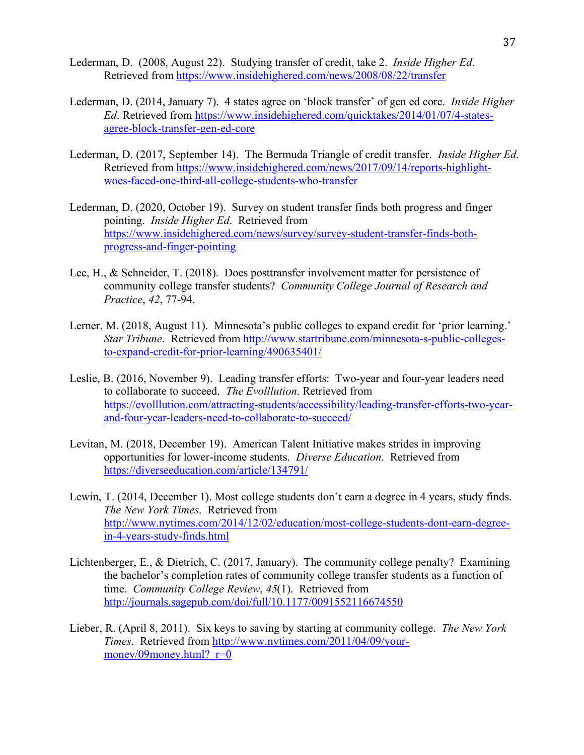- Lederman, D. (2008, August 22). Studying transfer of credit, take 2. *Inside Higher Ed*. Retrieved from https://www.insidehighered.com/news/2008/08/22/transfer
- Lederman, D. (2014, January 7). 4 states agree on 'block transfer' of gen ed core. *Inside Higher Ed*. Retrieved from https://www.insidehighered.com/quicktakes/2014/01/07/4-statesagree-block-transfer-gen-ed-core
- Lederman, D. (2017, September 14). The Bermuda Triangle of credit transfer. *Inside Higher Ed*. Retrieved from https://www.insidehighered.com/news/2017/09/14/reports-highlightwoes-faced-one-third-all-college-students-who-transfer
- Lederman, D. (2020, October 19). Survey on student transfer finds both progress and finger pointing. *Inside Higher Ed*. Retrieved from https://www.insidehighered.com/news/survey/survey-student-transfer-finds-bothprogress-and-finger-pointing
- Lee, H., & Schneider, T. (2018). Does posttransfer involvement matter for persistence of community college transfer students? *Community College Journal of Research and Practice*, *42*, 77-94.
- Lerner, M. (2018, August 11). Minnesota's public colleges to expand credit for 'prior learning.' *Star Tribune*. Retrieved from http://www.startribune.com/minnesota-s-public-collegesto-expand-credit-for-prior-learning/490635401/
- Leslie, B. (2016, November 9). Leading transfer efforts: Two-year and four-year leaders need to collaborate to succeed. *The Evolllution*. Retrieved from https://evolllution.com/attracting-students/accessibility/leading-transfer-efforts-two-yearand-four-year-leaders-need-to-collaborate-to-succeed/
- Levitan, M. (2018, December 19). American Talent Initiative makes strides in improving opportunities for lower-income students. *Diverse Education*. Retrieved from https://diverseeducation.com/article/134791/
- Lewin, T. (2014, December 1). Most college students don't earn a degree in 4 years, study finds. *The New York Times*. Retrieved from http://www.nytimes.com/2014/12/02/education/most-college-students-dont-earn-degreein-4-years-study-finds.html
- Lichtenberger, E., & Dietrich, C. (2017, January). The community college penalty? Examining the bachelor's completion rates of community college transfer students as a function of time. *Community College Review*, *45*(1). Retrieved from http://journals.sagepub.com/doi/full/10.1177/0091552116674550
- Lieber, R. (April 8, 2011). Six keys to saving by starting at community college. *The New York Times*. Retrieved from http://www.nytimes.com/2011/04/09/yourmoney/09money.html? $r=0$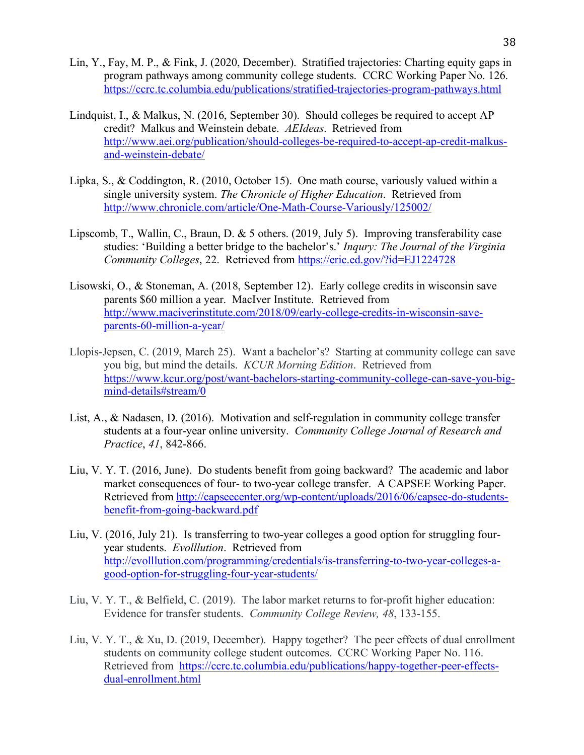- Lin, Y., Fay, M. P., & Fink, J. (2020, December). Stratified trajectories: Charting equity gaps in program pathways among community college students. CCRC Working Paper No. 126. https://ccrc.tc.columbia.edu/publications/stratified-trajectories-program-pathways.html
- Lindquist, I., & Malkus, N. (2016, September 30). Should colleges be required to accept AP credit? Malkus and Weinstein debate. *AEIdeas*. Retrieved from http://www.aei.org/publication/should-colleges-be-required-to-accept-ap-credit-malkusand-weinstein-debate/
- Lipka, S., & Coddington, R. (2010, October 15). One math course, variously valued within a single university system. *The Chronicle of Higher Education*. Retrieved from http://www.chronicle.com/article/One-Math-Course-Variously/125002/
- Lipscomb, T., Wallin, C., Braun, D. & 5 others. (2019, July 5). Improving transferability case studies: 'Building a better bridge to the bachelor's.' *Inqury: The Journal of the Virginia Community Colleges*, 22. Retrieved from https://eric.ed.gov/?id=EJ1224728
- Lisowski, O., & Stoneman, A. (2018, September 12). Early college credits in wisconsin save parents \$60 million a year. MacIver Institute. Retrieved from http://www.maciverinstitute.com/2018/09/early-college-credits-in-wisconsin-saveparents-60-million-a-year/
- Llopis-Jepsen, C. (2019, March 25). Want a bachelor's? Starting at community college can save you big, but mind the details. *KCUR Morning Edition*. Retrieved from https://www.kcur.org/post/want-bachelors-starting-community-college-can-save-you-bigmind-details#stream/0
- List, A., & Nadasen, D. (2016). Motivation and self-regulation in community college transfer students at a four-year online university. *Community College Journal of Research and Practice*, *41*, 842-866.
- Liu, V. Y. T. (2016, June). Do students benefit from going backward? The academic and labor market consequences of four- to two-year college transfer. A CAPSEE Working Paper. Retrieved from http://capseecenter.org/wp-content/uploads/2016/06/capsee-do-studentsbenefit-from-going-backward.pdf
- Liu, V. (2016, July 21). Is transferring to two-year colleges a good option for struggling fouryear students. *Evolllution*. Retrieved from http://evolllution.com/programming/credentials/is-transferring-to-two-year-colleges-agood-option-for-struggling-four-year-students/
- Liu, V. Y. T., & Belfield, C. (2019). The labor market returns to for-profit higher education: Evidence for transfer students. *Community College Review, 48*, 133-155.
- Liu, V. Y. T., & Xu, D. (2019, December). Happy together? The peer effects of dual enrollment students on community college student outcomes. CCRC Working Paper No. 116. Retrieved from https://ccrc.tc.columbia.edu/publications/happy-together-peer-effectsdual-enrollment.html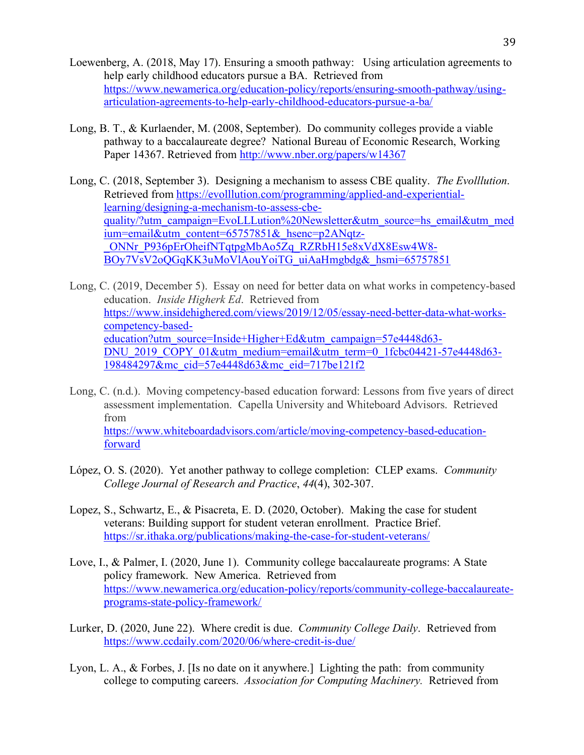- Loewenberg, A. (2018, May 17). Ensuring a smooth pathway: Using articulation agreements to help early childhood educators pursue a BA. Retrieved from https://www.newamerica.org/education-policy/reports/ensuring-smooth-pathway/usingarticulation-agreements-to-help-early-childhood-educators-pursue-a-ba/
- Long, B. T., & Kurlaender, M. (2008, September). Do community colleges provide a viable pathway to a baccalaureate degree? National Bureau of Economic Research, Working Paper 14367. Retrieved from http://www.nber.org/papers/w14367
- Long, C. (2018, September 3). Designing a mechanism to assess CBE quality. *The Evolllution*. Retrieved from https://evolllution.com/programming/applied-and-experientiallearning/designing-a-mechanism-to-assess-cbequality/?utm\_campaign=EvoLLLution%20Newsletter&utm\_source=hs\_email&utm\_med ium=email&utm\_content=65757851&\_hsenc=p2ANqtz-\_ONNr\_P936pErOheifNTqtpgMbAo5Zq\_RZRbH15e8xVdX8Esw4W8- BOy7VsV2oQGqKK3uMoVlAouYoiTG\_uiAaHmgbdg&\_hsmi=65757851

Long, C. (2019, December 5). Essay on need for better data on what works in competency-based education. *Inside Higherk Ed*. Retrieved from https://www.insidehighered.com/views/2019/12/05/essay-need-better-data-what-workscompetency-basededucation?utm\_source=Inside+Higher+Ed&utm\_campaign=57e4448d63-DNU\_2019\_COPY\_01&utm\_medium=email&utm\_term=0\_1fcbc04421-57e4448d63-198484297&mc\_cid=57e4448d63&mc\_eid=717be121f2

- Long, C. (n.d.). Moving competency-based education forward: Lessons from five years of direct assessment implementation. Capella University and Whiteboard Advisors. Retrieved from https://www.whiteboardadvisors.com/article/moving-competency-based-educationforward
- López, O. S. (2020). Yet another pathway to college completion: CLEP exams. *Community College Journal of Research and Practice*, *44*(4), 302-307.
- Lopez, S., Schwartz, E., & Pisacreta, E. D. (2020, October). Making the case for student veterans: Building support for student veteran enrollment. Practice Brief. https://sr.ithaka.org/publications/making-the-case-for-student-veterans/
- Love, I., & Palmer, I. (2020, June 1). Community college baccalaureate programs: A State policy framework. New America. Retrieved from https://www.newamerica.org/education-policy/reports/community-college-baccalaureateprograms-state-policy-framework/
- Lurker, D. (2020, June 22). Where credit is due. *Community College Daily*. Retrieved from https://www.ccdaily.com/2020/06/where-credit-is-due/
- Lyon, L. A., & Forbes, J. [Is no date on it anywhere.] Lighting the path: from community college to computing careers. *Association for Computing Machinery.* Retrieved from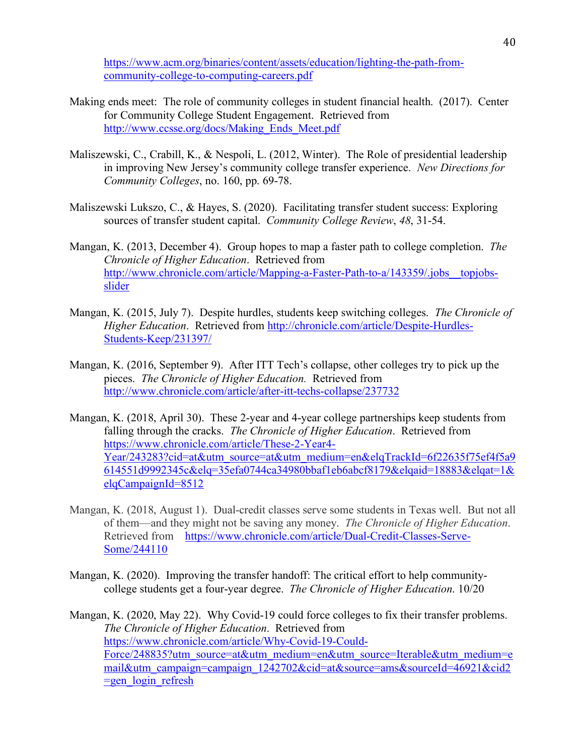https://www.acm.org/binaries/content/assets/education/lighting-the-path-fromcommunity-college-to-computing-careers.pdf

- Making ends meet: The role of community colleges in student financial health. (2017). Center for Community College Student Engagement. Retrieved from http://www.ccsse.org/docs/Making\_Ends\_Meet.pdf
- Maliszewski, C., Crabill, K., & Nespoli, L. (2012, Winter). The Role of presidential leadership in improving New Jersey's community college transfer experience. *New Directions for Community Colleges*, no. 160, pp. 69-78.
- Maliszewski Lukszo, C., & Hayes, S. (2020). Facilitating transfer student success: Exploring sources of transfer student capital. *Community College Review*, *48*, 31-54.
- Mangan, K. (2013, December 4). Group hopes to map a faster path to college completion. *The Chronicle of Higher Education*. Retrieved from http://www.chronicle.com/article/Mapping-a-Faster-Path-to-a/143359/.jobs topjobsslider
- Mangan, K. (2015, July 7). Despite hurdles, students keep switching colleges. *The Chronicle of Higher Education*. Retrieved from http://chronicle.com/article/Despite-Hurdles-Students-Keep/231397/
- Mangan, K. (2016, September 9). After ITT Tech's collapse, other colleges try to pick up the pieces. *The Chronicle of Higher Education.* Retrieved from http://www.chronicle.com/article/after-itt-techs-collapse/237732
- Mangan, K. (2018, April 30). These 2-year and 4-year college partnerships keep students from falling through the cracks. *The Chronicle of Higher Education*. Retrieved from https://www.chronicle.com/article/These-2-Year4- Year/243283?cid=at&utm\_source=at&utm\_medium=en&elqTrackId=6f22635f75ef4f5a9 614551d9992345c&elq=35efa0744ca34980bbaf1eb6abcf8179&elqaid=18883&elqat=1& elqCampaignId=8512
- Mangan, K. (2018, August 1). Dual-credit classes serve some students in Texas well. But not all of them—and they might not be saving any money. *The Chronicle of Higher Education*. Retrieved from https://www.chronicle.com/article/Dual-Credit-Classes-Serve-Some/244110
- Mangan, K. (2020). Improving the transfer handoff: The critical effort to help communitycollege students get a four-year degree. *The Chronicle of Higher Education*. 10/20

Mangan, K. (2020, May 22). Why Covid-19 could force colleges to fix their transfer problems. *The Chronicle of Higher Education*. Retrieved from https://www.chronicle.com/article/Why-Covid-19-Could-Force/248835?utm\_source=at&utm\_medium=en&utm\_source=Iterable&utm\_medium=e mail&utm\_campaign=campaign\_1242702&cid=at&source=ams&sourceId=46921&cid2  $=$ gen  $\log$ in refresh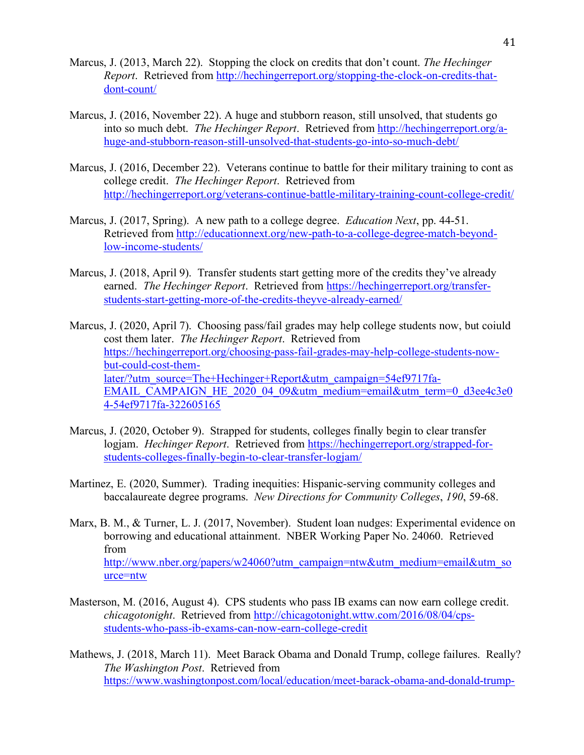- Marcus, J. (2013, March 22). Stopping the clock on credits that don't count. *The Hechinger Report*. Retrieved from http://hechingerreport.org/stopping-the-clock-on-credits-thatdont-count/
- Marcus, J. (2016, November 22). A huge and stubborn reason, still unsolved, that students go into so much debt. *The Hechinger Report*. Retrieved from http://hechingerreport.org/ahuge-and-stubborn-reason-still-unsolved-that-students-go-into-so-much-debt/
- Marcus, J. (2016, December 22). Veterans continue to battle for their military training to cont as college credit. *The Hechinger Report*. Retrieved from http://hechingerreport.org/veterans-continue-battle-military-training-count-college-credit/
- Marcus, J. (2017, Spring). A new path to a college degree. *Education Next*, pp. 44-51. Retrieved from http://educationnext.org/new-path-to-a-college-degree-match-beyondlow-income-students/
- Marcus, J. (2018, April 9). Transfer students start getting more of the credits they've already earned. *The Hechinger Report*. Retrieved from https://hechingerreport.org/transferstudents-start-getting-more-of-the-credits-theyve-already-earned/

Marcus, J. (2020, April 7). Choosing pass/fail grades may help college students now, but coiuld cost them later. *The Hechinger Report*. Retrieved from https://hechingerreport.org/choosing-pass-fail-grades-may-help-college-students-nowbut-could-cost-themlater/?utm\_source=The+Hechinger+Report&utm\_campaign=54ef9717fa-EMAIL\_CAMPAIGN\_HE\_2020\_04\_09&utm\_medium=email&utm\_term=0\_d3ee4c3e0 4-54ef9717fa-322605165

- Marcus, J. (2020, October 9). Strapped for students, colleges finally begin to clear transfer logjam. *Hechinger Report*. Retrieved from https://hechingerreport.org/strapped-forstudents-colleges-finally-begin-to-clear-transfer-logjam/
- Martinez, E. (2020, Summer). Trading inequities: Hispanic-serving community colleges and baccalaureate degree programs. *New Directions for Community Colleges*, *190*, 59-68.
- Marx, B. M., & Turner, L. J. (2017, November). Student loan nudges: Experimental evidence on borrowing and educational attainment. NBER Working Paper No. 24060. Retrieved from http://www.nber.org/papers/w24060?utm\_campaign=ntw&utm\_medium=email&utm\_so urce=ntw
- Masterson, M. (2016, August 4). CPS students who pass IB exams can now earn college credit. *chicagotonight*. Retrieved from http://chicagotonight.wttw.com/2016/08/04/cpsstudents-who-pass-ib-exams-can-now-earn-college-credit
- Mathews, J. (2018, March 11). Meet Barack Obama and Donald Trump, college failures. Really? *The Washington Post*. Retrieved from https://www.washingtonpost.com/local/education/meet-barack-obama-and-donald-trump-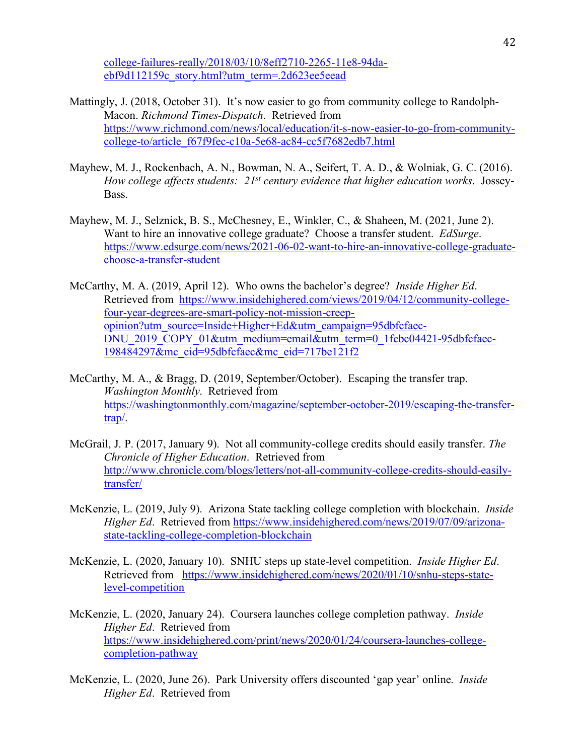college-failures-really/2018/03/10/8eff2710-2265-11e8-94daebf9d112159c\_story.html?utm\_term=.2d623ee5eead

- Mattingly, J. (2018, October 31). It's now easier to go from community college to Randolph-Macon. *Richmond Times-Dispatch*. Retrieved from https://www.richmond.com/news/local/education/it-s-now-easier-to-go-from-communitycollege-to/article\_f67f9fec-c10a-5e68-ac84-cc5f7682edb7.html
- Mayhew, M. J., Rockenbach, A. N., Bowman, N. A., Seifert, T. A. D., & Wolniak, G. C. (2016). *How college affects students: 21st century evidence that higher education works*. Jossey-Bass.
- Mayhew, M. J., Selznick, B. S., McChesney, E., Winkler, C., & Shaheen, M. (2021, June 2). Want to hire an innovative college graduate? Choose a transfer student. *EdSurge*. https://www.edsurge.com/news/2021-06-02-want-to-hire-an-innovative-college-graduatechoose-a-transfer-student
- McCarthy, M. A. (2019, April 12). Who owns the bachelor's degree? *Inside Higher Ed*. Retrieved from https://www.insidehighered.com/views/2019/04/12/community-collegefour-year-degrees-are-smart-policy-not-mission-creepopinion?utm\_source=Inside+Higher+Ed&utm\_campaign=95dbfcfaec-DNU\_2019\_COPY\_01&utm\_medium=email&utm\_term=0\_1fcbc04421-95dbfcfaec-198484297&mc\_cid=95dbfcfaec&mc\_eid=717be121f2
- McCarthy, M. A., & Bragg, D. (2019, September/October). Escaping the transfer trap. *Washington Monthly*. Retrieved from https://washingtonmonthly.com/magazine/september-october-2019/escaping-the-transfertrap/.
- McGrail, J. P. (2017, January 9). Not all community-college credits should easily transfer. *The Chronicle of Higher Education*. Retrieved from http://www.chronicle.com/blogs/letters/not-all-community-college-credits-should-easilytransfer/
- McKenzie, L. (2019, July 9). Arizona State tackling college completion with blockchain. *Inside Higher Ed*. Retrieved from https://www.insidehighered.com/news/2019/07/09/arizonastate-tackling-college-completion-blockchain
- McKenzie, L. (2020, January 10). SNHU steps up state-level competition. *Inside Higher Ed*. Retrieved from https://www.insidehighered.com/news/2020/01/10/snhu-steps-statelevel-competition
- McKenzie, L. (2020, January 24). Coursera launches college completion pathway. *Inside Higher Ed*. Retrieved from https://www.insidehighered.com/print/news/2020/01/24/coursera-launches-collegecompletion-pathway
- McKenzie, L. (2020, June 26). Park University offers discounted 'gap year' online. *Inside Higher Ed*. Retrieved from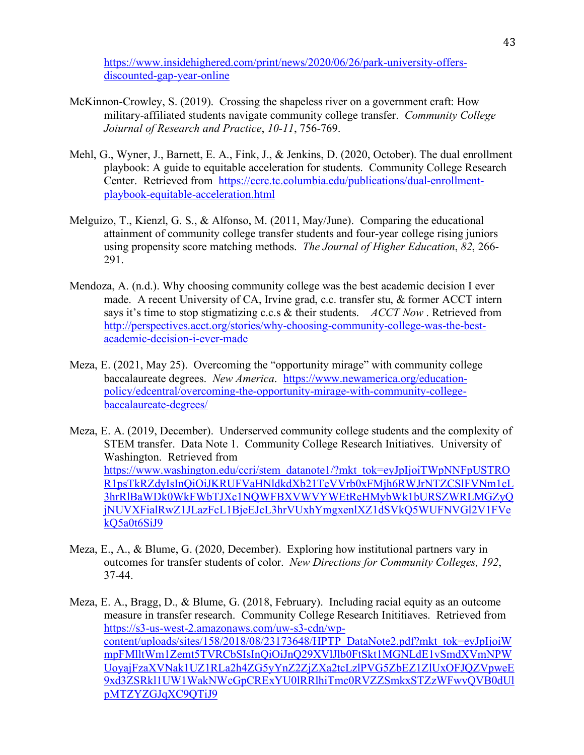https://www.insidehighered.com/print/news/2020/06/26/park-university-offersdiscounted-gap-year-online

- McKinnon-Crowley, S. (2019). Crossing the shapeless river on a government craft: How military-affiliated students navigate community college transfer. *Community College Joiurnal of Research and Practice*, *10-11*, 756-769.
- Mehl, G., Wyner, J., Barnett, E. A., Fink, J., & Jenkins, D. (2020, October). The dual enrollment playbook: A guide to equitable acceleration for students. Community College Research Center. Retrieved from https://ccrc.tc.columbia.edu/publications/dual-enrollmentplaybook-equitable-acceleration.html
- Melguizo, T., Kienzl, G. S., & Alfonso, M. (2011, May/June). Comparing the educational attainment of community college transfer students and four-year college rising juniors using propensity score matching methods. *The Journal of Higher Education*, *82*, 266- 291.
- Mendoza, A. (n.d.). Why choosing community college was the best academic decision I ever made. A recent University of CA, Irvine grad, c.c. transfer stu, & former ACCT intern says it's time to stop stigmatizing c.c.s & their students. *ACCT Now* . Retrieved from http://perspectives.acct.org/stories/why-choosing-community-college-was-the-bestacademic-decision-i-ever-made
- Meza, E. (2021, May 25). Overcoming the "opportunity mirage" with community college baccalaureate degrees. *New America*. https://www.newamerica.org/educationpolicy/edcentral/overcoming-the-opportunity-mirage-with-community-collegebaccalaureate-degrees/
- Meza, E. A. (2019, December). Underserved community college students and the complexity of STEM transfer. Data Note 1. Community College Research Initiatives. University of Washington. Retrieved from https://www.washington.edu/ccri/stem\_datanote1/?mkt\_tok=eyJpIjoiTWpNNFpUSTRO R1psTkRZdyIsInQiOiJKRUFVaHNldkdXb21TeVVrb0xFMjh6RWJrNTZCSlFVNm1cL 3hrRlBaWDk0WkFWbTJXc1NQWFBXVWVYWEtReHMybWk1bURSZWRLMGZyQ jNUVXFialRwZ1JLazFcL1BjeEJcL3hrVUxhYmgxenlXZ1dSVkQ5WUFNVGl2V1FVe kQ5a0t6SiJ9
- Meza, E., A., & Blume, G. (2020, December). Exploring how institutional partners vary in outcomes for transfer students of color. *New Directions for Community Colleges, 192*, 37-44.

Meza, E. A., Bragg, D., & Blume, G. (2018, February). Including racial equity as an outcome measure in transfer research. Community College Research Inititiaves. Retrieved from https://s3-us-west-2.amazonaws.com/uw-s3-cdn/wpcontent/uploads/sites/158/2018/08/23173648/HPTP\_DataNote2.pdf?mkt\_tok=eyJpIjoiW mpFMlltWm1Zemt5TVRCbSIsInQiOiJnQ29XVlJlb0FtSkt1MGNLdE1vSmdXVmNPW UoyajFzaXVNak1UZ1RLa2h4ZG5yYnZ2ZjZXa2tcLzlPVG5ZbEZ1ZlUxOFJQZVpweE 9xd3ZSRkl1UW1WakNWcGpCRExYU0lRRlhiTmc0RVZZSmkxSTZzWFwvQVB0dUl pMTZYZGJqXC9QTiJ9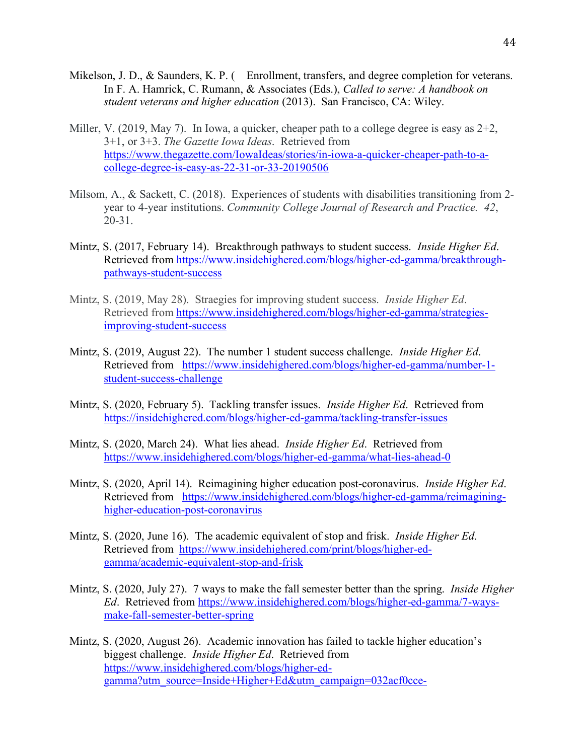- Mikelson, J. D., & Saunders, K. P. (Enrollment, transfers, and degree completion for veterans. In F. A. Hamrick, C. Rumann, & Associates (Eds.), *Called to serve: A handbook on student veterans and higher education* (2013). San Francisco, CA: Wiley.
- Miller, V. (2019, May 7). In Iowa, a quicker, cheaper path to a college degree is easy as  $2+2$ , 3+1, or 3+3. *The Gazette Iowa Ideas*. Retrieved from https://www.thegazette.com/IowaIdeas/stories/in-iowa-a-quicker-cheaper-path-to-acollege-degree-is-easy-as-22-31-or-33-20190506
- Milsom, A., & Sackett, C. (2018). Experiences of students with disabilities transitioning from 2 year to 4-year institutions. *Community College Journal of Research and Practice. 42*, 20-31.
- Mintz, S. (2017, February 14). Breakthrough pathways to student success. *Inside Higher Ed*. Retrieved from https://www.insidehighered.com/blogs/higher-ed-gamma/breakthroughpathways-student-success
- Mintz, S. (2019, May 28). Straegies for improving student success. *Inside Higher Ed*. Retrieved from https://www.insidehighered.com/blogs/higher-ed-gamma/strategiesimproving-student-success
- Mintz, S. (2019, August 22). The number 1 student success challenge. *Inside Higher Ed*. Retrieved from https://www.insidehighered.com/blogs/higher-ed-gamma/number-1 student-success-challenge
- Mintz, S. (2020, February 5). Tackling transfer issues. *Inside Higher Ed*. Retrieved from https://insidehighered.com/blogs/higher-ed-gamma/tackling-transfer-issues
- Mintz, S. (2020, March 24). What lies ahead. *Inside Higher Ed*. Retrieved from https://www.insidehighered.com/blogs/higher-ed-gamma/what-lies-ahead-0
- Mintz, S. (2020, April 14). Reimagining higher education post-coronavirus. *Inside Higher Ed*. Retrieved from https://www.insidehighered.com/blogs/higher-ed-gamma/reimagininghigher-education-post-coronavirus
- Mintz, S. (2020, June 16). The academic equivalent of stop and frisk. *Inside Higher Ed*. Retrieved from https://www.insidehighered.com/print/blogs/higher-edgamma/academic-equivalent-stop-and-frisk
- Mintz, S. (2020, July 27). 7 ways to make the fall semester better than the spring. *Inside Higher Ed*. Retrieved from https://www.insidehighered.com/blogs/higher-ed-gamma/7-waysmake-fall-semester-better-spring
- Mintz, S. (2020, August 26). Academic innovation has failed to tackle higher education's biggest challenge. *Inside Higher Ed*. Retrieved from https://www.insidehighered.com/blogs/higher-edgamma?utm\_source=Inside+Higher+Ed&utm\_campaign=032acf0cce-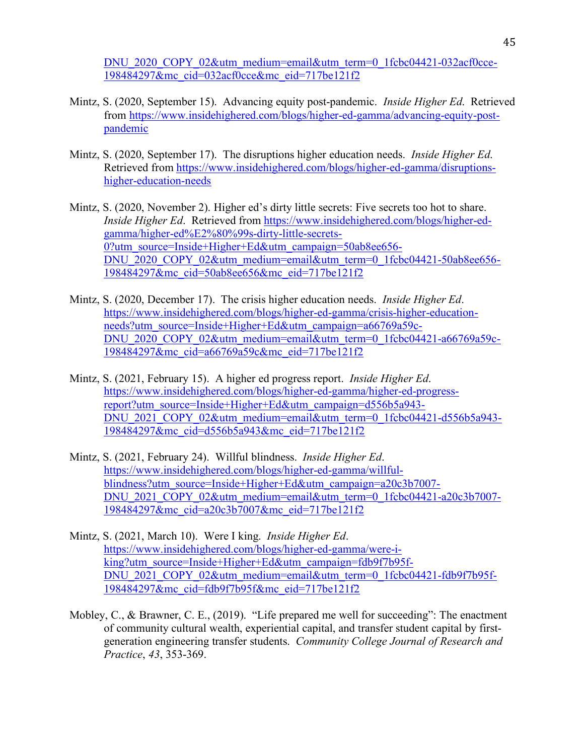DNU\_2020\_COPY\_02&utm\_medium=email&utm\_term=0\_1fcbc04421-032acf0cce-198484297&mc\_cid=032acf0cce&mc\_eid=717be121f2

- Mintz, S. (2020, September 15). Advancing equity post-pandemic. *Inside Higher Ed*. Retrieved from https://www.insidehighered.com/blogs/higher-ed-gamma/advancing-equity-postpandemic
- Mintz, S. (2020, September 17). The disruptions higher education needs. *Inside Higher Ed*. Retrieved from https://www.insidehighered.com/blogs/higher-ed-gamma/disruptionshigher-education-needs
- Mintz, S. (2020, November 2). Higher ed's dirty little secrets: Five secrets too hot to share. *Inside Higher Ed*. Retrieved from https://www.insidehighered.com/blogs/higher-edgamma/higher-ed%E2%80%99s-dirty-little-secrets-0?utm\_source=Inside+Higher+Ed&utm\_campaign=50ab8ee656-DNU\_2020\_COPY\_02&utm\_medium=email&utm\_term=0\_1fcbc04421-50ab8ee656-198484297&mc\_cid=50ab8ee656&mc\_eid=717be121f2
- Mintz, S. (2020, December 17). The crisis higher education needs. *Inside Higher Ed*. https://www.insidehighered.com/blogs/higher-ed-gamma/crisis-higher-educationneeds?utm\_source=Inside+Higher+Ed&utm\_campaign=a66769a59c-DNU\_2020\_COPY\_02&utm\_medium=email&utm\_term=0\_1fcbc04421-a66769a59c-198484297&mc\_cid=a66769a59c&mc\_eid=717be121f2
- Mintz, S. (2021, February 15). A higher ed progress report. *Inside Higher Ed*. https://www.insidehighered.com/blogs/higher-ed-gamma/higher-ed-progressreport?utm\_source=Inside+Higher+Ed&utm\_campaign=d556b5a943- DNU\_2021\_COPY\_02&utm\_medium=email&utm\_term=0\_1fcbc04421-d556b5a943-198484297&mc\_cid=d556b5a943&mc\_eid=717be121f2
- Mintz, S. (2021, February 24). Willful blindness. *Inside Higher Ed*. https://www.insidehighered.com/blogs/higher-ed-gamma/willfulblindness?utm\_source=Inside+Higher+Ed&utm\_campaign=a20c3b7007-DNU\_2021\_COPY\_02&utm\_medium=email&utm\_term=0\_1fcbc04421-a20c3b7007-198484297&mc\_cid=a20c3b7007&mc\_eid=717be121f2
- Mintz, S. (2021, March 10). Were I king. *Inside Higher Ed*. https://www.insidehighered.com/blogs/higher-ed-gamma/were-iking?utm\_source=Inside+Higher+Ed&utm\_campaign=fdb9f7b95f-DNU\_2021\_COPY\_02&utm\_medium=email&utm\_term=0\_1fcbc04421-fdb9f7b95f-198484297&mc\_cid=fdb9f7b95f&mc\_eid=717be121f2
- Mobley, C., & Brawner, C. E., (2019). "Life prepared me well for succeeding": The enactment of community cultural wealth, experiential capital, and transfer student capital by firstgeneration engineering transfer students. *Community College Journal of Research and Practice*, *43*, 353-369.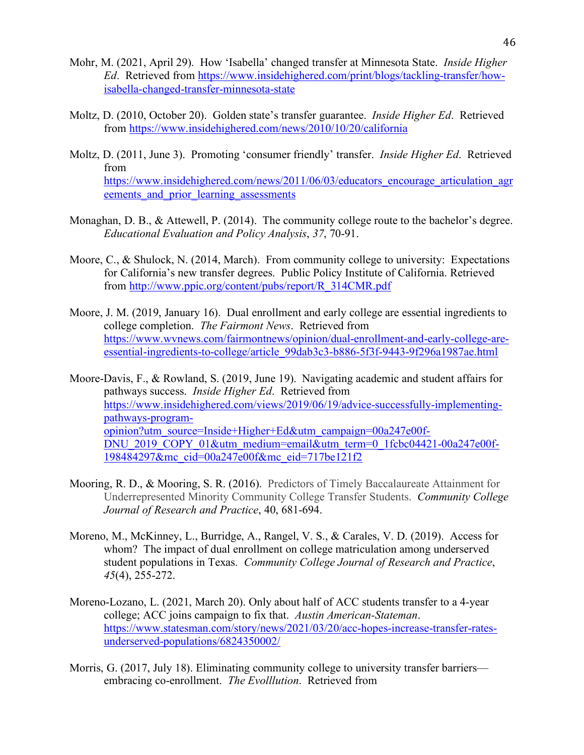- Mohr, M. (2021, April 29). How 'Isabella' changed transfer at Minnesota State. *Inside Higher Ed*. Retrieved from https://www.insidehighered.com/print/blogs/tackling-transfer/howisabella-changed-transfer-minnesota-state
- Moltz, D. (2010, October 20). Golden state's transfer guarantee. *Inside Higher Ed*. Retrieved from https://www.insidehighered.com/news/2010/10/20/california
- Moltz, D. (2011, June 3). Promoting 'consumer friendly' transfer. *Inside Higher Ed*. Retrieved from https://www.insidehighered.com/news/2011/06/03/educators\_encourage\_articulation\_agr eements and prior learning assessments
- Monaghan, D. B., & Attewell, P. (2014). The community college route to the bachelor's degree. *Educational Evaluation and Policy Analysis*, *37*, 70-91.
- Moore, C., & Shulock, N. (2014, March). From community college to university: Expectations for California's new transfer degrees. Public Policy Institute of California. Retrieved from http://www.ppic.org/content/pubs/report/R\_314CMR.pdf
- Moore, J. M. (2019, January 16). Dual enrollment and early college are essential ingredients to college completion. *The Fairmont News*. Retrieved from https://www.wvnews.com/fairmontnews/opinion/dual-enrollment-and-early-college-areessential-ingredients-to-college/article\_99dab3c3-b886-5f3f-9443-9f296a1987ae.html
- Moore-Davis, F., & Rowland, S. (2019, June 19). Navigating academic and student affairs for pathways success. *Inside Higher Ed*. Retrieved from https://www.insidehighered.com/views/2019/06/19/advice-successfully-implementingpathways-programopinion?utm\_source=Inside+Higher+Ed&utm\_campaign=00a247e00f-DNU\_2019\_COPY\_01&utm\_medium=email&utm\_term=0\_1fcbc04421-00a247e00f-198484297&mc\_cid=00a247e00f&mc\_eid=717be121f2
- Mooring, R. D., & Mooring, S. R. (2016). Predictors of Timely Baccalaureate Attainment for Underrepresented Minority Community College Transfer Students. *Community College Journal of Research and Practice*, 40, 681-694.
- Moreno, M., McKinney, L., Burridge, A., Rangel, V. S., & Carales, V. D. (2019). Access for whom? The impact of dual enrollment on college matriculation among underserved student populations in Texas. *Community College Journal of Research and Practice*, *45*(4), 255-272.
- Moreno-Lozano, L. (2021, March 20). Only about half of ACC students transfer to a 4-year college; ACC joins campaign to fix that. *Austin American-Stateman*. https://www.statesman.com/story/news/2021/03/20/acc-hopes-increase-transfer-ratesunderserved-populations/6824350002/
- Morris, G. (2017, July 18). Eliminating community college to university transfer barriers embracing co-enrollment. *The Evolllution*. Retrieved from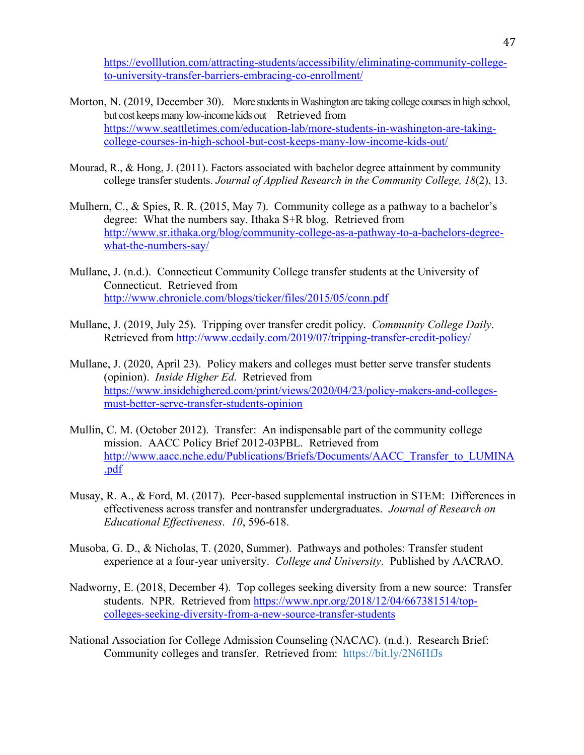https://evolllution.com/attracting-students/accessibility/eliminating-community-collegeto-university-transfer-barriers-embracing-co-enrollment/

- Morton, N. (2019, December 30). More students in Washington are taking college courses in high school, but cost keeps many low-income kids out Retrieved from https://www.seattletimes.com/education-lab/more-students-in-washington-are-takingcollege-courses-in-high-school-but-cost-keeps-many-low-income-kids-out/
- Mourad, R., & Hong, J. (2011). Factors associated with bachelor degree attainment by community college transfer students. *Journal of Applied Research in the Community College, 18*(2), 13.
- Mulhern, C., & Spies, R. R. (2015, May 7). Community college as a pathway to a bachelor's degree: What the numbers say. Ithaka S+R blog. Retrieved from http://www.sr.ithaka.org/blog/community-college-as-a-pathway-to-a-bachelors-degreewhat-the-numbers-say/
- Mullane, J. (n.d.). Connecticut Community College transfer students at the University of Connecticut. Retrieved from http://www.chronicle.com/blogs/ticker/files/2015/05/conn.pdf
- Mullane, J. (2019, July 25). Tripping over transfer credit policy. *Community College Daily*. Retrieved from http://www.ccdaily.com/2019/07/tripping-transfer-credit-policy/
- Mullane, J. (2020, April 23). Policy makers and colleges must better serve transfer students (opinion). *Inside Higher Ed*. Retrieved from https://www.insidehighered.com/print/views/2020/04/23/policy-makers-and-collegesmust-better-serve-transfer-students-opinion
- Mullin, C. M. (October 2012). Transfer: An indispensable part of the community college mission. AACC Policy Brief 2012-03PBL. Retrieved from http://www.aacc.nche.edu/Publications/Briefs/Documents/AACC\_Transfer\_to\_LUMINA .pdf
- Musay, R. A., & Ford, M. (2017). Peer-based supplemental instruction in STEM: Differences in effectiveness across transfer and nontransfer undergraduates. *Journal of Research on Educational Effectiveness*. *10*, 596-618.
- Musoba, G. D., & Nicholas, T. (2020, Summer). Pathways and potholes: Transfer student experience at a four-year university. *College and University*. Published by AACRAO.
- Nadworny, E. (2018, December 4). Top colleges seeking diversity from a new source: Transfer students. NPR. Retrieved from https://www.npr.org/2018/12/04/667381514/topcolleges-seeking-diversity-from-a-new-source-transfer-students
- National Association for College Admission Counseling (NACAC). (n.d.). Research Brief: Community colleges and transfer. Retrieved from: https://bit.ly/2N6HfJs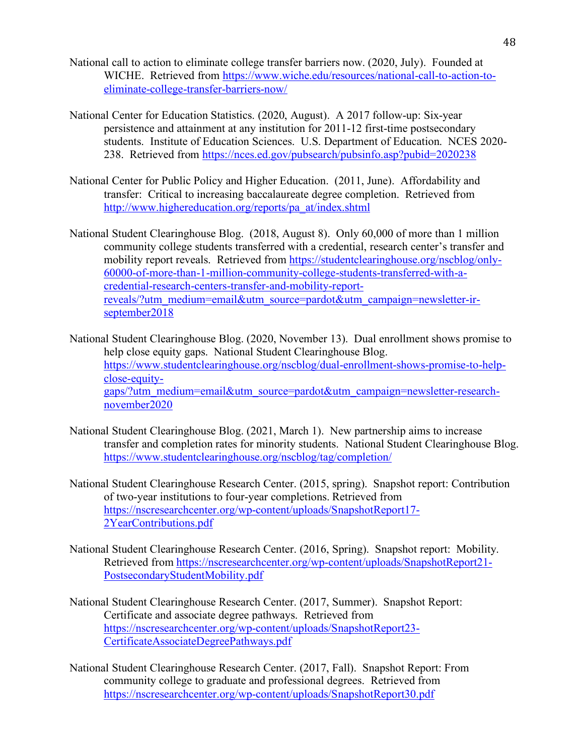- National call to action to eliminate college transfer barriers now. (2020, July). Founded at WICHE. Retrieved from https://www.wiche.edu/resources/national-call-to-action-toeliminate-college-transfer-barriers-now/
- National Center for Education Statistics. (2020, August). A 2017 follow-up: Six-year persistence and attainment at any institution for 2011-12 first-time postsecondary students. Institute of Education Sciences. U.S. Department of Education. NCES 2020- 238. Retrieved from https://nces.ed.gov/pubsearch/pubsinfo.asp?pubid=2020238
- National Center for Public Policy and Higher Education. (2011, June). Affordability and transfer: Critical to increasing baccalaureate degree completion. Retrieved from http://www.highereducation.org/reports/pa\_at/index.shtml
- National Student Clearinghouse Blog. (2018, August 8). Only 60,000 of more than 1 million community college students transferred with a credential, research center's transfer and mobility report reveals. Retrieved from https://studentclearinghouse.org/nscblog/only-60000-of-more-than-1-million-community-college-students-transferred-with-acredential-research-centers-transfer-and-mobility-reportreveals/?utm\_medium=email&utm\_source=pardot&utm\_campaign=newsletter-irseptember2018
- National Student Clearinghouse Blog. (2020, November 13). Dual enrollment shows promise to help close equity gaps. National Student Clearinghouse Blog. https://www.studentclearinghouse.org/nscblog/dual-enrollment-shows-promise-to-helpclose-equitygaps/?utm\_medium=email&utm\_source=pardot&utm\_campaign=newsletter-researchnovember2020
- National Student Clearinghouse Blog. (2021, March 1). New partnership aims to increase transfer and completion rates for minority students. National Student Clearinghouse Blog. https://www.studentclearinghouse.org/nscblog/tag/completion/
- National Student Clearinghouse Research Center. (2015, spring). Snapshot report: Contribution of two-year institutions to four-year completions. Retrieved from https://nscresearchcenter.org/wp-content/uploads/SnapshotReport17- 2YearContributions.pdf
- National Student Clearinghouse Research Center. (2016, Spring). Snapshot report: Mobility. Retrieved from https://nscresearchcenter.org/wp-content/uploads/SnapshotReport21- PostsecondaryStudentMobility.pdf
- National Student Clearinghouse Research Center. (2017, Summer). Snapshot Report: Certificate and associate degree pathways. Retrieved from https://nscresearchcenter.org/wp-content/uploads/SnapshotReport23- CertificateAssociateDegreePathways.pdf
- National Student Clearinghouse Research Center. (2017, Fall). Snapshot Report: From community college to graduate and professional degrees. Retrieved from https://nscresearchcenter.org/wp-content/uploads/SnapshotReport30.pdf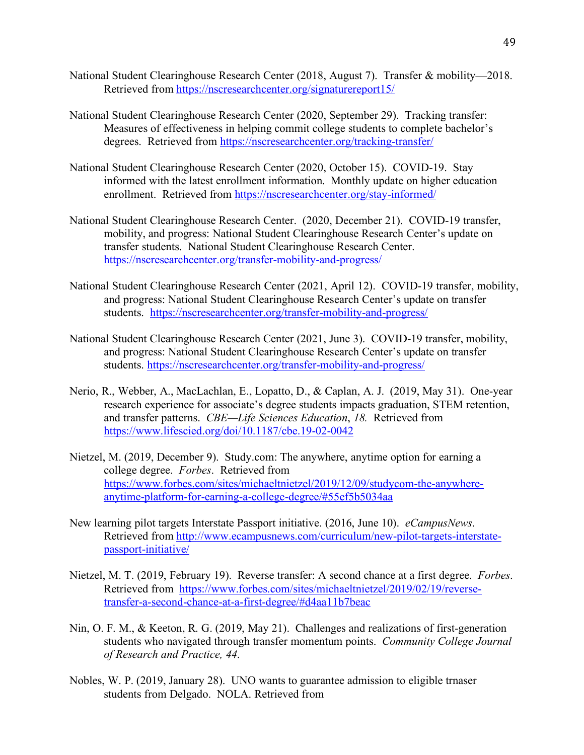- National Student Clearinghouse Research Center (2018, August 7). Transfer & mobility—2018. Retrieved from https://nscresearchcenter.org/signaturereport15/
- National Student Clearinghouse Research Center (2020, September 29). Tracking transfer: Measures of effectiveness in helping commit college students to complete bachelor's degrees. Retrieved from https://nscresearchcenter.org/tracking-transfer/
- National Student Clearinghouse Research Center (2020, October 15). COVID-19. Stay informed with the latest enrollment information. Monthly update on higher education enrollment. Retrieved from https://nscresearchcenter.org/stay-informed/
- National Student Clearinghouse Research Center. (2020, December 21). COVID-19 transfer, mobility, and progress: National Student Clearinghouse Research Center's update on transfer students. National Student Clearinghouse Research Center. https://nscresearchcenter.org/transfer-mobility-and-progress/
- National Student Clearinghouse Research Center (2021, April 12). COVID-19 transfer, mobility, and progress: National Student Clearinghouse Research Center's update on transfer students. https://nscresearchcenter.org/transfer-mobility-and-progress/
- National Student Clearinghouse Research Center (2021, June 3). COVID-19 transfer, mobility, and progress: National Student Clearinghouse Research Center's update on transfer students. https://nscresearchcenter.org/transfer-mobility-and-progress/
- Nerio, R., Webber, A., MacLachlan, E., Lopatto, D., & Caplan, A. J. (2019, May 31). One-year research experience for associate's degree students impacts graduation, STEM retention, and transfer patterns. *CBE—Life Sciences Education*, *18.* Retrieved from https://www.lifescied.org/doi/10.1187/cbe.19-02-0042
- Nietzel, M. (2019, December 9). Study.com: The anywhere, anytime option for earning a college degree. *Forbes*. Retrieved from https://www.forbes.com/sites/michaeltnietzel/2019/12/09/studycom-the-anywhereanytime-platform-for-earning-a-college-degree/#55ef5b5034aa
- New learning pilot targets Interstate Passport initiative. (2016, June 10). *eCampusNews*. Retrieved from http://www.ecampusnews.com/curriculum/new-pilot-targets-interstatepassport-initiative/
- Nietzel, M. T. (2019, February 19). Reverse transfer: A second chance at a first degree. *Forbes*. Retrieved from https://www.forbes.com/sites/michaeltnietzel/2019/02/19/reversetransfer-a-second-chance-at-a-first-degree/#d4aa11b7beac
- Nin, O. F. M., & Keeton, R. G. (2019, May 21). Challenges and realizations of first-generation students who navigated through transfer momentum points. *Community College Journal of Research and Practice, 44*.
- Nobles, W. P. (2019, January 28). UNO wants to guarantee admission to eligible trnaser students from Delgado. NOLA. Retrieved from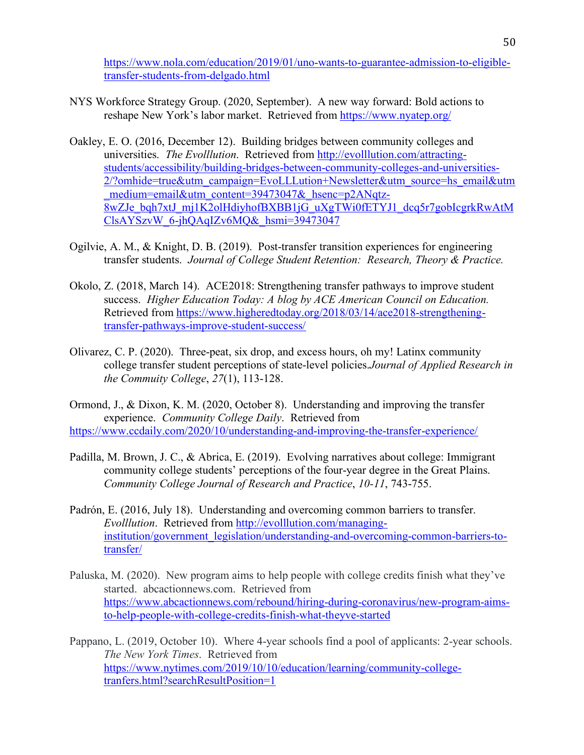https://www.nola.com/education/2019/01/uno-wants-to-guarantee-admission-to-eligibletransfer-students-from-delgado.html

- NYS Workforce Strategy Group. (2020, September). A new way forward: Bold actions to reshape New York's labor market. Retrieved from https://www.nyatep.org/
- Oakley, E. O. (2016, December 12). Building bridges between community colleges and universities. *The Evolllution*. Retrieved from http://evolllution.com/attractingstudents/accessibility/building-bridges-between-community-colleges-and-universities-2/?omhide=true&utm\_campaign=EvoLLLution+Newsletter&utm\_source=hs\_email&utm medium=email&utm\_content=39473047&\_hsenc=p2ANqtz- $\overline{8wZ}$ Je bqh7xtJ\_mj1K2olHdiyhofBXBB1jG\_uXgTWi0fETYJ1\_dcq5r7gobIcgrkRwAtM ClsAYSzvW\_6-jhQAqIZv6MQ&\_hsmi=39473047
- Ogilvie, A. M., & Knight, D. B. (2019). Post-transfer transition experiences for engineering transfer students. *Journal of College Student Retention: Research, Theory & Practice.*
- Okolo, Z. (2018, March 14). ACE2018: Strengthening transfer pathways to improve student success. *Higher Education Today: A blog by ACE American Council on Education.* Retrieved from https://www.higheredtoday.org/2018/03/14/ace2018-strengtheningtransfer-pathways-improve-student-success/
- Olivarez, C. P. (2020). Three-peat, six drop, and excess hours, oh my! Latinx community college transfer student perceptions of state-level policies.*Journal of Applied Research in the Commuity College*, *27*(1), 113-128.
- Ormond, J., & Dixon, K. M. (2020, October 8). Understanding and improving the transfer experience. *Community College Daily*. Retrieved from https://www.ccdaily.com/2020/10/understanding-and-improving-the-transfer-experience/
- Padilla, M. Brown, J. C., & Abrica, E. (2019). Evolving narratives about college: Immigrant community college students' perceptions of the four-year degree in the Great Plains. *Community College Journal of Research and Practice*, *10-11*, 743-755.
- Padrón, E. (2016, July 18). Understanding and overcoming common barriers to transfer. *Evolllution*. Retrieved from http://evolllution.com/managinginstitution/government\_legislation/understanding-and-overcoming-common-barriers-totransfer/
- Paluska, M. (2020). New program aims to help people with college credits finish what they've started. abcactionnews.com. Retrieved from https://www.abcactionnews.com/rebound/hiring-during-coronavirus/new-program-aimsto-help-people-with-college-credits-finish-what-theyve-started
- Pappano, L. (2019, October 10). Where 4-year schools find a pool of applicants: 2-year schools. *The New York Times*. Retrieved from https://www.nytimes.com/2019/10/10/education/learning/community-collegetranfers.html?searchResultPosition=1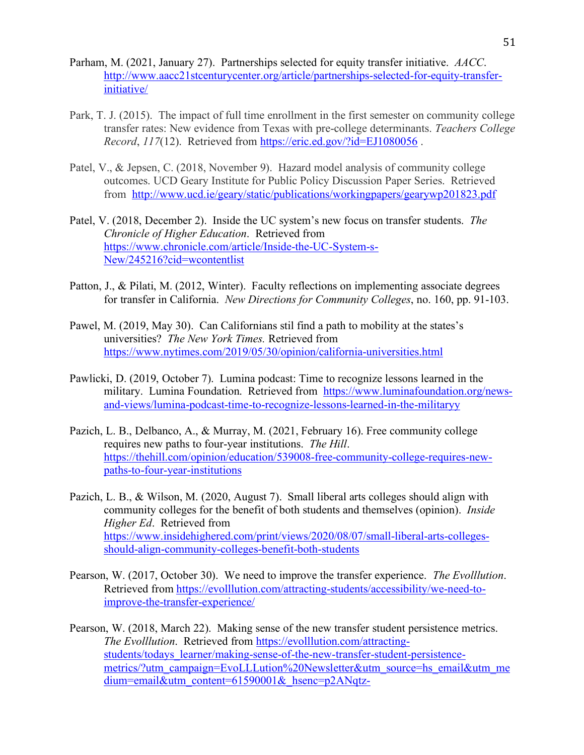- Parham, M. (2021, January 27). Partnerships selected for equity transfer initiative. *AACC*. http://www.aacc21stcenturycenter.org/article/partnerships-selected-for-equity-transferinitiative/
- Park, T. J. (2015). The impact of full time enrollment in the first semester on community college transfer rates: New evidence from Texas with pre-college determinants. *Teachers College Record*, *117*(12). Retrieved from https://eric.ed.gov/?id=EJ1080056 .
- Patel, V., & Jepsen, C. (2018, November 9). Hazard model analysis of community college outcomes. UCD Geary Institute for Public Policy Discussion Paper Series. Retrieved from http://www.ucd.ie/geary/static/publications/workingpapers/gearywp201823.pdf
- Patel, V. (2018, December 2). Inside the UC system's new focus on transfer students. *The Chronicle of Higher Education*. Retrieved from https://www.chronicle.com/article/Inside-the-UC-System-s-New/245216?cid=wcontentlist
- Patton, J., & Pilati, M. (2012, Winter). Faculty reflections on implementing associate degrees for transfer in California. *New Directions for Community Colleges*, no. 160, pp. 91-103.
- Pawel, M. (2019, May 30). Can Californians stil find a path to mobility at the states's universities? *The New York Times.* Retrieved from https://www.nytimes.com/2019/05/30/opinion/california-universities.html
- Pawlicki, D. (2019, October 7). Lumina podcast: Time to recognize lessons learned in the military. Lumina Foundation. Retrieved from https://www.luminafoundation.org/newsand-views/lumina-podcast-time-to-recognize-lessons-learned-in-the-militaryy
- Pazich, L. B., Delbanco, A., & Murray, M. (2021, February 16). Free community college requires new paths to four-year institutions. *The Hill*. https://thehill.com/opinion/education/539008-free-community-college-requires-newpaths-to-four-year-institutions
- Pazich, L. B., & Wilson, M. (2020, August 7). Small liberal arts colleges should align with community colleges for the benefit of both students and themselves (opinion). *Inside Higher Ed*. Retrieved from https://www.insidehighered.com/print/views/2020/08/07/small-liberal-arts-collegesshould-align-community-colleges-benefit-both-students
- Pearson, W. (2017, October 30). We need to improve the transfer experience. *The Evolllution*. Retrieved from https://evolllution.com/attracting-students/accessibility/we-need-toimprove-the-transfer-experience/
- Pearson, W. (2018, March 22). Making sense of the new transfer student persistence metrics. *The Evolllution*. Retrieved from https://evolllution.com/attractingstudents/todays\_learner/making-sense-of-the-new-transfer-student-persistencemetrics/?utm\_campaign=EvoLLLution%20Newsletter&utm\_source=hs\_email&utm\_me dium=email&utm\_content=61590001&\_hsenc=p2ANqtz-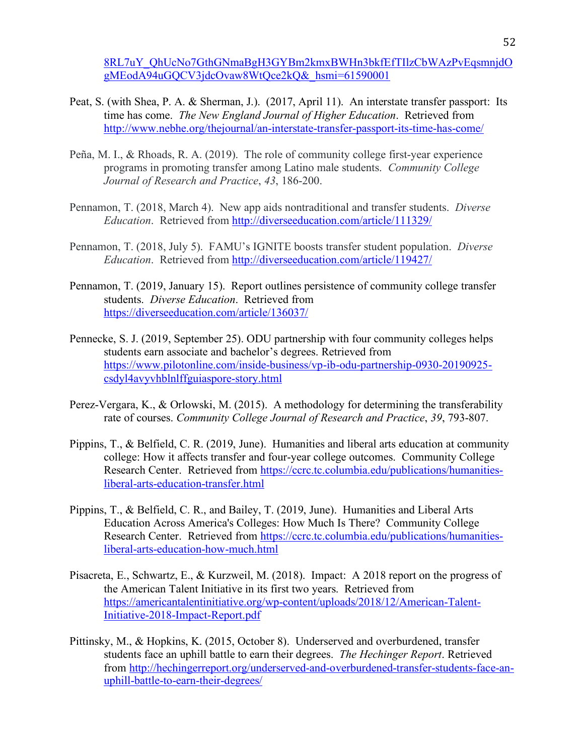8RL7uY\_QhUcNo7GthGNmaBgH3GYBm2kmxBWHn3bkfEfTIlzCbWAzPvEqsmnjdO gMEodA94uGQCV3jdcOvaw8WtQce2kQ&\_hsmi=61590001

- Peat, S. (with Shea, P. A. & Sherman, J.). (2017, April 11). An interstate transfer passport: Its time has come. *The New England Journal of Higher Education*. Retrieved from http://www.nebhe.org/thejournal/an-interstate-transfer-passport-its-time-has-come/
- Peña, M. I., & Rhoads, R. A. (2019). The role of community college first-year experience programs in promoting transfer among Latino male students. *Community College Journal of Research and Practice*, *43*, 186-200.
- Pennamon, T. (2018, March 4). New app aids nontraditional and transfer students. *Diverse Education*. Retrieved from http://diverseeducation.com/article/111329/
- Pennamon, T. (2018, July 5). FAMU's IGNITE boosts transfer student population. *Diverse Education*. Retrieved from http://diverseeducation.com/article/119427/
- Pennamon, T. (2019, January 15). Report outlines persistence of community college transfer students. *Diverse Education*. Retrieved from https://diverseeducation.com/article/136037/
- Pennecke, S. J. (2019, September 25). ODU partnership with four community colleges helps students earn associate and bachelor's degrees. Retrieved from https://www.pilotonline.com/inside-business/vp-ib-odu-partnership-0930-20190925 csdyl4avyvhblnlffguiaspore-story.html
- Perez-Vergara, K., & Orlowski, M. (2015). A methodology for determining the transferability rate of courses. *Community College Journal of Research and Practice*, *39*, 793-807.
- Pippins, T., & Belfield, C. R. (2019, June). Humanities and liberal arts education at community college: How it affects transfer and four-year college outcomes. Community College Research Center. Retrieved from https://ccrc.tc.columbia.edu/publications/humanitiesliberal-arts-education-transfer.html
- Pippins, T., & Belfield, C. R., and Bailey, T. (2019, June). Humanities and Liberal Arts Education Across America's Colleges: How Much Is There? Community College Research Center. Retrieved from https://ccrc.tc.columbia.edu/publications/humanitiesliberal-arts-education-how-much.html
- Pisacreta, E., Schwartz, E., & Kurzweil, M. (2018). Impact: A 2018 report on the progress of the American Talent Initiative in its first two years. Retrieved from https://americantalentinitiative.org/wp-content/uploads/2018/12/American-Talent-Initiative-2018-Impact-Report.pdf
- Pittinsky, M., & Hopkins, K. (2015, October 8). Underserved and overburdened, transfer students face an uphill battle to earn their degrees. *The Hechinger Report*. Retrieved from http://hechingerreport.org/underserved-and-overburdened-transfer-students-face-anuphill-battle-to-earn-their-degrees/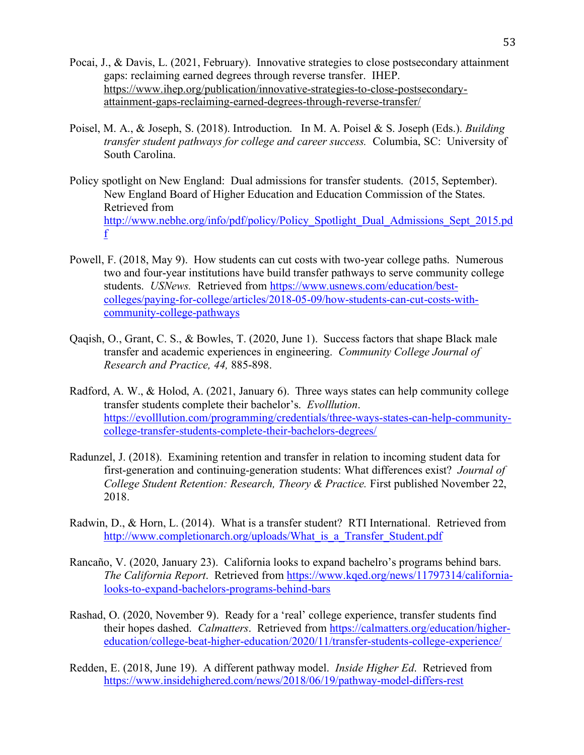- Pocai, J., & Davis, L. (2021, February). Innovative strategies to close postsecondary attainment gaps: reclaiming earned degrees through reverse transfer. IHEP. https://www.ihep.org/publication/innovative-strategies-to-close-postsecondaryattainment-gaps-reclaiming-earned-degrees-through-reverse-transfer/
- Poisel, M. A., & Joseph, S. (2018). Introduction. In M. A. Poisel & S. Joseph (Eds.). *Building transfer student pathways for college and career success.* Columbia, SC: University of South Carolina.
- Policy spotlight on New England: Dual admissions for transfer students. (2015, September). New England Board of Higher Education and Education Commission of the States. Retrieved from http://www.nebhe.org/info/pdf/policy/Policy\_Spotlight\_Dual\_Admissions\_Sept\_2015.pd f
- Powell, F. (2018, May 9). How students can cut costs with two-year college paths. Numerous two and four-year institutions have build transfer pathways to serve community college students. *USNews.* Retrieved from https://www.usnews.com/education/bestcolleges/paying-for-college/articles/2018-05-09/how-students-can-cut-costs-withcommunity-college-pathways
- Qaqish, O., Grant, C. S., & Bowles, T. (2020, June 1). Success factors that shape Black male transfer and academic experiences in engineering. *Community College Journal of Research and Practice, 44,* 885-898.
- Radford, A. W., & Holod, A. (2021, January 6). Three ways states can help community college transfer students complete their bachelor's. *Evolllution*. https://evolllution.com/programming/credentials/three-ways-states-can-help-communitycollege-transfer-students-complete-their-bachelors-degrees/
- Radunzel, J. (2018). Examining retention and transfer in relation to incoming student data for first-generation and continuing-generation students: What differences exist? *Journal of College Student Retention: Research, Theory & Practice. First published November 22,* 2018.
- Radwin, D., & Horn, L. (2014). What is a transfer student? RTI International. Retrieved from http://www.completionarch.org/uploads/What is a Transfer Student.pdf
- Rancaño, V. (2020, January 23). California looks to expand bachelro's programs behind bars. *The California Report*. Retrieved from https://www.kqed.org/news/11797314/californialooks-to-expand-bachelors-programs-behind-bars
- Rashad, O. (2020, November 9). Ready for a 'real' college experience, transfer students find their hopes dashed. *Calmatters*. Retrieved from https://calmatters.org/education/highereducation/college-beat-higher-education/2020/11/transfer-students-college-experience/
- Redden, E. (2018, June 19). A different pathway model. *Inside Higher Ed*. Retrieved from https://www.insidehighered.com/news/2018/06/19/pathway-model-differs-rest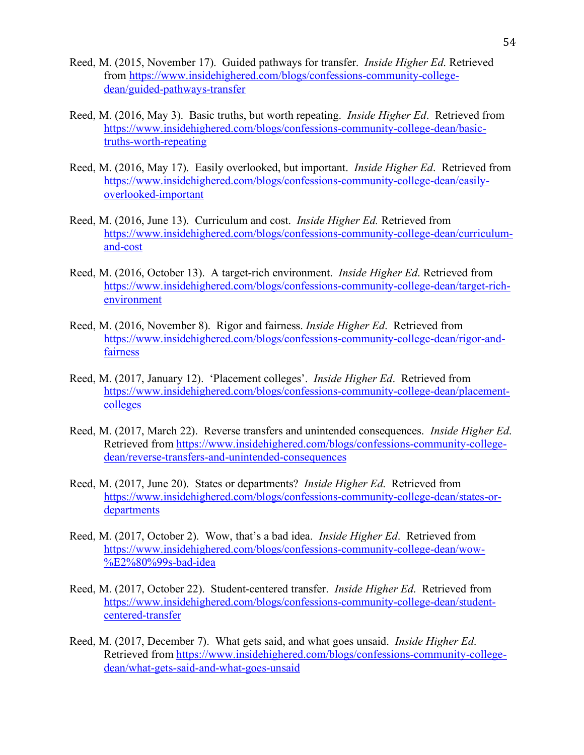- Reed, M. (2015, November 17). Guided pathways for transfer. *Inside Higher Ed*. Retrieved from https://www.insidehighered.com/blogs/confessions-community-collegedean/guided-pathways-transfer
- Reed, M. (2016, May 3). Basic truths, but worth repeating. *Inside Higher Ed*. Retrieved from https://www.insidehighered.com/blogs/confessions-community-college-dean/basictruths-worth-repeating
- Reed, M. (2016, May 17). Easily overlooked, but important. *Inside Higher Ed*. Retrieved from https://www.insidehighered.com/blogs/confessions-community-college-dean/easilyoverlooked-important
- Reed, M. (2016, June 13). Curriculum and cost. *Inside Higher Ed.* Retrieved from https://www.insidehighered.com/blogs/confessions-community-college-dean/curriculumand-cost
- Reed, M. (2016, October 13). A target-rich environment. *Inside Higher Ed*. Retrieved from https://www.insidehighered.com/blogs/confessions-community-college-dean/target-richenvironment
- Reed, M. (2016, November 8). Rigor and fairness. *Inside Higher Ed*. Retrieved from https://www.insidehighered.com/blogs/confessions-community-college-dean/rigor-andfairness
- Reed, M. (2017, January 12). 'Placement colleges'. *Inside Higher Ed*. Retrieved from https://www.insidehighered.com/blogs/confessions-community-college-dean/placementcolleges
- Reed, M. (2017, March 22). Reverse transfers and unintended consequences. *Inside Higher Ed*. Retrieved from https://www.insidehighered.com/blogs/confessions-community-collegedean/reverse-transfers-and-unintended-consequences
- Reed, M. (2017, June 20). States or departments? *Inside Higher Ed*. Retrieved from https://www.insidehighered.com/blogs/confessions-community-college-dean/states-ordepartments
- Reed, M. (2017, October 2). Wow, that's a bad idea. *Inside Higher Ed*. Retrieved from https://www.insidehighered.com/blogs/confessions-community-college-dean/wow- %E2%80%99s-bad-idea
- Reed, M. (2017, October 22). Student-centered transfer. *Inside Higher Ed*. Retrieved from https://www.insidehighered.com/blogs/confessions-community-college-dean/studentcentered-transfer
- Reed, M. (2017, December 7). What gets said, and what goes unsaid. *Inside Higher Ed*. Retrieved from https://www.insidehighered.com/blogs/confessions-community-collegedean/what-gets-said-and-what-goes-unsaid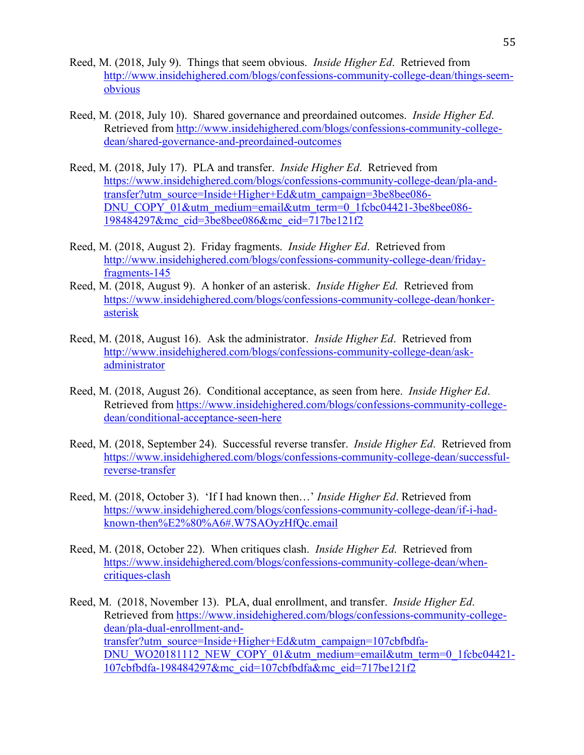- Reed, M. (2018, July 9). Things that seem obvious. *Inside Higher Ed*. Retrieved from http://www.insidehighered.com/blogs/confessions-community-college-dean/things-seemobvious
- Reed, M. (2018, July 10). Shared governance and preordained outcomes. *Inside Higher Ed*. Retrieved from http://www.insidehighered.com/blogs/confessions-community-collegedean/shared-governance-and-preordained-outcomes
- Reed, M. (2018, July 17). PLA and transfer. *Inside Higher Ed*. Retrieved from https://www.insidehighered.com/blogs/confessions-community-college-dean/pla-andtransfer?utm\_source=Inside+Higher+Ed&utm\_campaign=3be8bee086- DNU\_COPY\_01&utm\_medium=email&utm\_term=0\_1fcbc04421-3be8bee086-198484297&mc\_cid=3be8bee086&mc\_eid=717be121f2
- Reed, M. (2018, August 2). Friday fragments. *Inside Higher Ed*. Retrieved from http://www.insidehighered.com/blogs/confessions-community-college-dean/fridayfragments-145
- Reed, M. (2018, August 9). A honker of an asterisk. *Inside Higher Ed*. Retrieved from https://www.insidehighered.com/blogs/confessions-community-college-dean/honkerasterisk
- Reed, M. (2018, August 16). Ask the administrator. *Inside Higher Ed*. Retrieved from http://www.insidehighered.com/blogs/confessions-community-college-dean/askadministrator
- Reed, M. (2018, August 26). Conditional acceptance, as seen from here. *Inside Higher Ed*. Retrieved from https://www.insidehighered.com/blogs/confessions-community-collegedean/conditional-acceptance-seen-here
- Reed, M. (2018, September 24). Successful reverse transfer. *Inside Higher Ed*. Retrieved from https://www.insidehighered.com/blogs/confessions-community-college-dean/successfulreverse-transfer
- Reed, M. (2018, October 3). 'If I had known then…' *Inside Higher Ed*. Retrieved from https://www.insidehighered.com/blogs/confessions-community-college-dean/if-i-hadknown-then%E2%80%A6#.W7SAOyzHfQc.email
- Reed, M. (2018, October 22). When critiques clash. *Inside Higher Ed*. Retrieved from https://www.insidehighered.com/blogs/confessions-community-college-dean/whencritiques-clash
- Reed, M. (2018, November 13). PLA, dual enrollment, and transfer. *Inside Higher Ed*. Retrieved from https://www.insidehighered.com/blogs/confessions-community-collegedean/pla-dual-enrollment-andtransfer?utm\_source=Inside+Higher+Ed&utm\_campaign=107cbfbdfa-DNU\_WO20181112\_NEW\_COPY\_01&utm\_medium=email&utm\_term=0\_1fcbc04421-107cbfbdfa-198484297&mc\_cid=107cbfbdfa&mc\_eid=717be121f2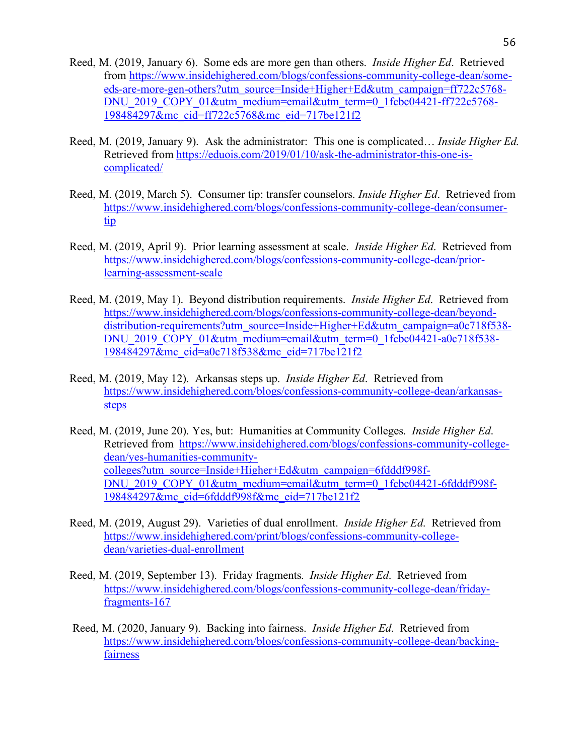- Reed, M. (2019, January 6). Some eds are more gen than others. *Inside Higher Ed*. Retrieved from https://www.insidehighered.com/blogs/confessions-community-college-dean/someeds-are-more-gen-others?utm\_source=Inside+Higher+Ed&utm\_campaign=ff722c5768- DNU\_2019\_COPY\_01&utm\_medium=email&utm\_term=0\_1fcbc04421-ff722c5768-198484297&mc\_cid=ff722c5768&mc\_eid=717be121f2
- Reed, M. (2019, January 9). Ask the administrator: This one is complicated… *Inside Higher Ed*. Retrieved from https://eduois.com/2019/01/10/ask-the-administrator-this-one-iscomplicated/
- Reed, M. (2019, March 5). Consumer tip: transfer counselors. *Inside Higher Ed*. Retrieved from https://www.insidehighered.com/blogs/confessions-community-college-dean/consumertip
- Reed, M. (2019, April 9). Prior learning assessment at scale. *Inside Higher Ed*. Retrieved from https://www.insidehighered.com/blogs/confessions-community-college-dean/priorlearning-assessment-scale
- Reed, M. (2019, May 1). Beyond distribution requirements. *Inside Higher Ed*. Retrieved from https://www.insidehighered.com/blogs/confessions-community-college-dean/beyonddistribution-requirements?utm\_source=Inside+Higher+Ed&utm\_campaign=a0c718f538-DNU\_2019\_COPY\_01&utm\_medium=email&utm\_term=0\_1fcbc04421-a0c718f538-198484297&mc\_cid=a0c718f538&mc\_eid=717be121f2
- Reed, M. (2019, May 12). Arkansas steps up. *Inside Higher Ed*. Retrieved from https://www.insidehighered.com/blogs/confessions-community-college-dean/arkansassteps
- Reed, M. (2019, June 20). Yes, but: Humanities at Community Colleges. *Inside Higher Ed*. Retrieved from https://www.insidehighered.com/blogs/confessions-community-collegedean/yes-humanities-communitycolleges?utm\_source=Inside+Higher+Ed&utm\_campaign=6fdddf998f-DNU\_2019\_COPY\_01&utm\_medium=email&utm\_term=0\_1fcbc04421-6fdddf998f-198484297&mc\_cid=6fdddf998f&mc\_eid=717be121f2
- Reed, M. (2019, August 29). Varieties of dual enrollment. *Inside Higher Ed*. Retrieved from https://www.insidehighered.com/print/blogs/confessions-community-collegedean/varieties-dual-enrollment
- Reed, M. (2019, September 13). Friday fragments. *Inside Higher Ed*. Retrieved from https://www.insidehighered.com/blogs/confessions-community-college-dean/fridayfragments-167
- Reed, M. (2020, January 9). Backing into fairness. *Inside Higher Ed*. Retrieved from https://www.insidehighered.com/blogs/confessions-community-college-dean/backingfairness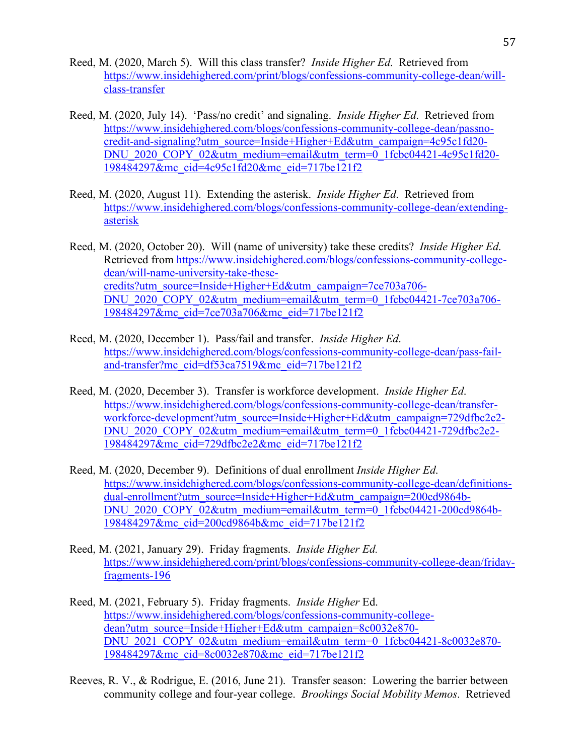- Reed, M. (2020, March 5). Will this class transfer? *Inside Higher Ed*. Retrieved from https://www.insidehighered.com/print/blogs/confessions-community-college-dean/willclass-transfer
- Reed, M. (2020, July 14). 'Pass/no credit' and signaling. *Inside Higher Ed*. Retrieved from https://www.insidehighered.com/blogs/confessions-community-college-dean/passnocredit-and-signaling?utm\_source=Inside+Higher+Ed&utm\_campaign=4c95c1fd20- DNU\_2020\_COPY\_02&utm\_medium=email&utm\_term=0\_1fcbc04421-4c95c1fd20-198484297&mc\_cid=4c95c1fd20&mc\_eid=717be121f2
- Reed, M. (2020, August 11). Extending the asterisk. *Inside Higher Ed*. Retrieved from https://www.insidehighered.com/blogs/confessions-community-college-dean/extendingasterisk
- Reed, M. (2020, October 20). Will (name of university) take these credits? *Inside Higher Ed*. Retrieved from https://www.insidehighered.com/blogs/confessions-community-collegedean/will-name-university-take-thesecredits?utm\_source=Inside+Higher+Ed&utm\_campaign=7ce703a706- DNU\_2020\_COPY\_02&utm\_medium=email&utm\_term=0\_1fcbc04421-7ce703a706-198484297&mc\_cid=7ce703a706&mc\_eid=717be121f2
- Reed, M. (2020, December 1). Pass/fail and transfer. *Inside Higher Ed*. https://www.insidehighered.com/blogs/confessions-community-college-dean/pass-failand-transfer?mc\_cid=df53ca7519&mc\_eid=717be121f2
- Reed, M. (2020, December 3). Transfer is workforce development. *Inside Higher Ed*. https://www.insidehighered.com/blogs/confessions-community-college-dean/transferworkforce-development?utm\_source=Inside+Higher+Ed&utm\_campaign=729dfbc2e2-DNU\_2020\_COPY\_02&utm\_medium=email&utm\_term=0\_1fcbc04421-729dfbc2e2-198484297&mc\_cid=729dfbc2e2&mc\_eid=717be121f2
- Reed, M. (2020, December 9). Definitions of dual enrollment *Inside Higher Ed*. https://www.insidehighered.com/blogs/confessions-community-college-dean/definitionsdual-enrollment?utm\_source=Inside+Higher+Ed&utm\_campaign=200cd9864b-DNU\_2020\_COPY\_02&utm\_medium=email&utm\_term=0\_1fcbc04421-200cd9864b-198484297&mc\_cid=200cd9864b&mc\_eid=717be121f2
- Reed, M. (2021, January 29). Friday fragments. *Inside Higher Ed.* https://www.insidehighered.com/print/blogs/confessions-community-college-dean/fridayfragments-196
- Reed, M. (2021, February 5). Friday fragments. *Inside Higher* Ed. https://www.insidehighered.com/blogs/confessions-community-collegedean?utm\_source=Inside+Higher+Ed&utm\_campaign=8c0032e870-DNU\_2021\_COPY\_02&utm\_medium=email&utm\_term=0\_1fcbc04421-8c0032e870-198484297&mc\_cid=8c0032e870&mc\_eid=717be121f2
- Reeves, R. V., & Rodrigue, E. (2016, June 21). Transfer season: Lowering the barrier between community college and four-year college. *Brookings Social Mobility Memos*. Retrieved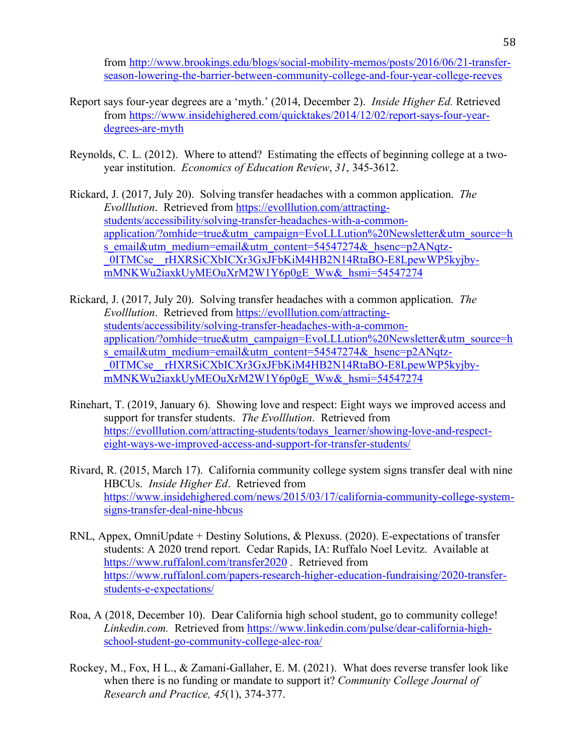from http://www.brookings.edu/blogs/social-mobility-memos/posts/2016/06/21-transferseason-lowering-the-barrier-between-community-college-and-four-year-college-reeves

- Report says four-year degrees are a 'myth.' (2014, December 2). *Inside Higher Ed.* Retrieved from https://www.insidehighered.com/quicktakes/2014/12/02/report-says-four-yeardegrees-are-myth
- Reynolds, C. L. (2012). Where to attend? Estimating the effects of beginning college at a twoyear institution. *Economics of Education Review*, *31*, 345-3612.
- Rickard, J. (2017, July 20). Solving transfer headaches with a common application. *The Evolllution*. Retrieved from https://evolllution.com/attractingstudents/accessibility/solving-transfer-headaches-with-a-commonapplication/?omhide=true&utm\_campaign=EvoLLLution%20Newsletter&utm\_source=h s\_email&utm\_medium=email&utm\_content=54547274&\_hsenc=p2ANqtz-0ITMCse rHXRSiCXbICXr3GxJFbKiM4HB2N14RtaBO-E8LpewWP5kyjbymMNKWu2iaxkUyMEOuXrM2W1Y6p0gE\_Ww&\_hsmi=54547274
- Rickard, J. (2017, July 20). Solving transfer headaches with a common application. *The Evolllution*. Retrieved from https://evolllution.com/attractingstudents/accessibility/solving-transfer-headaches-with-a-commonapplication/?omhide=true&utm\_campaign=EvoLLLution%20Newsletter&utm\_source=h s\_email&utm\_medium=email&utm\_content=54547274&\_hsenc=p2ANqtz-\_0ITMCse\_\_rHXRSiCXbICXr3GxJFbKiM4HB2N14RtaBO-E8LpewWP5kyjbymMNKWu2iaxkUyMEOuXrM2W1Y6p0gE\_Ww&\_hsmi=54547274
- Rinehart, T. (2019, January 6). Showing love and respect: Eight ways we improved access and support for transfer students. *The Evolllution*. Retrieved from https://evolllution.com/attracting-students/todays\_learner/showing-love-and-respecteight-ways-we-improved-access-and-support-for-transfer-students/
- Rivard, R. (2015, March 17). California community college system signs transfer deal with nine HBCUs. *Inside Higher Ed*. Retrieved from https://www.insidehighered.com/news/2015/03/17/california-community-college-systemsigns-transfer-deal-nine-hbcus
- RNL, Appex, OmniUpdate + Destiny Solutions, & Plexuss. (2020). E-expectations of transfer students: A 2020 trend report. Cedar Rapids, IA: Ruffalo Noel Levitz. Available at https://www.ruffalonl.com/transfer2020 . Retrieved from https://www.ruffalonl.com/papers-research-higher-education-fundraising/2020-transferstudents-e-expectations/
- Roa, A (2018, December 10). Dear California high school student, go to community college! *Linkedin.com.* Retrieved from https://www.linkedin.com/pulse/dear-california-highschool-student-go-community-college-alec-roa/
- Rockey, M., Fox, H L., & Zamani-Gallaher, E. M. (2021). What does reverse transfer look like when there is no funding or mandate to support it? *Community College Journal of Research and Practice, 45*(1), 374-377.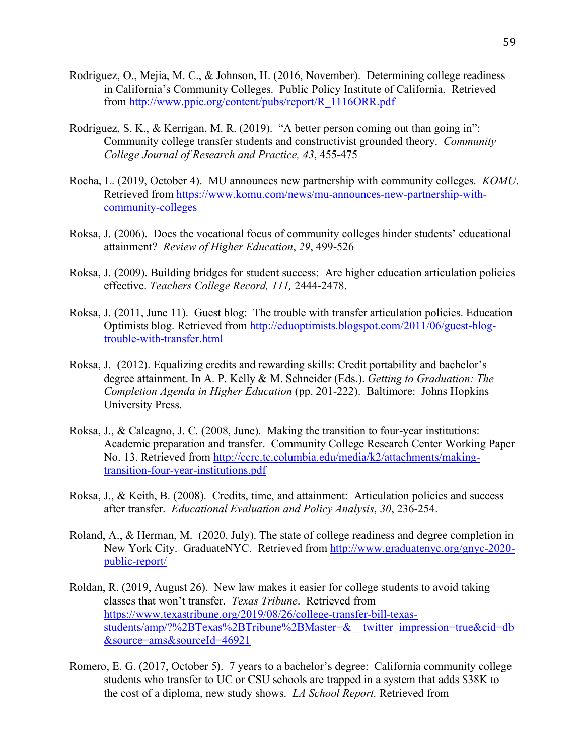- Rodriguez, O., Mejia, M. C., & Johnson, H. (2016, November). Determining college readiness in California's Community Colleges. Public Policy Institute of California. Retrieved from http://www.ppic.org/content/pubs/report/R\_1116ORR.pdf
- Rodriguez, S. K., & Kerrigan, M. R. (2019). "A better person coming out than going in": Community college transfer students and constructivist grounded theory. *Community College Journal of Research and Practice, 43*, 455-475
- Rocha, L. (2019, October 4). MU announces new partnership with community colleges. *KOMU*. Retrieved from https://www.komu.com/news/mu-announces-new-partnership-withcommunity-colleges
- Roksa, J. (2006). Does the vocational focus of community colleges hinder students' educational attainment? *Review of Higher Education*, *29*, 499-526
- Roksa, J. (2009). Building bridges for student success: Are higher education articulation policies effective. *Teachers College Record, 111,* 2444-2478.
- Roksa, J. (2011, June 11). Guest blog: The trouble with transfer articulation policies. Education Optimists blog. Retrieved from http://eduoptimists.blogspot.com/2011/06/guest-blogtrouble-with-transfer.html
- Roksa, J. (2012). Equalizing credits and rewarding skills: Credit portability and bachelor's degree attainment. In A. P. Kelly & M. Schneider (Eds.). *Getting to Graduation: The Completion Agenda in Higher Education* (pp. 201-222). Baltimore: Johns Hopkins University Press.
- Roksa, J., & Calcagno, J. C. (2008, June). Making the transition to four-year institutions: Academic preparation and transfer. Community College Research Center Working Paper No. 13. Retrieved from http://ccrc.tc.columbia.edu/media/k2/attachments/makingtransition-four-year-institutions.pdf
- Roksa, J., & Keith, B. (2008). Credits, time, and attainment: Articulation policies and success after transfer. *Educational Evaluation and Policy Analysis*, *30*, 236-254.
- Roland, A., & Herman, M. (2020, July). The state of college readiness and degree completion in New York City. GraduateNYC. Retrieved from http://www.graduatenyc.org/gnyc-2020 public-report/
- Roldan, R. (2019, August 26). New law makes it easier for college students to avoid taking classes that won't transfer. *Texas Tribune*. Retrieved from https://www.texastribune.org/2019/08/26/college-transfer-bill-texasstudents/amp/?%2BTexas%2BTribune%2BMaster=&\_\_twitter\_impression=true&cid=db &source=ams&sourceId=46921
- Romero, E. G. (2017, October 5). 7 years to a bachelor's degree: California community college students who transfer to UC or CSU schools are trapped in a system that adds \$38K to the cost of a diploma, new study shows. *LA School Report.* Retrieved from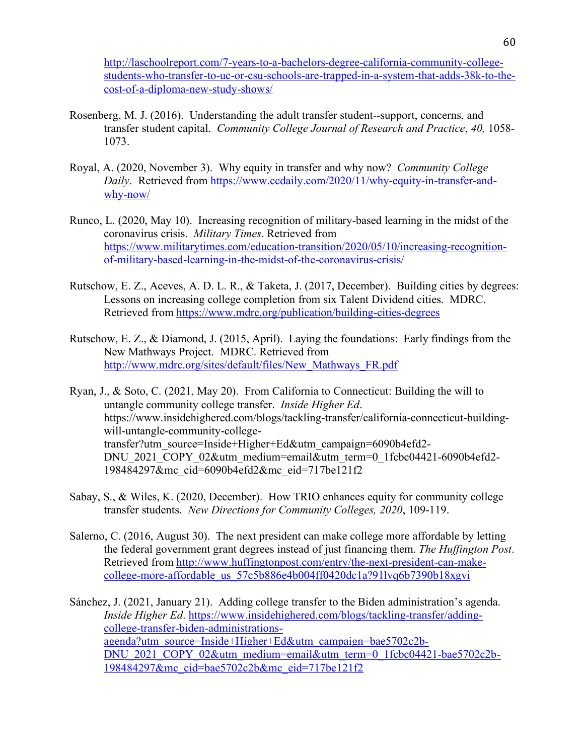http://laschoolreport.com/7-years-to-a-bachelors-degree-california-community-collegestudents-who-transfer-to-uc-or-csu-schools-are-trapped-in-a-system-that-adds-38k-to-thecost-of-a-diploma-new-study-shows/

- Rosenberg, M. J. (2016). Understanding the adult transfer student--support, concerns, and transfer student capital. *Community College Journal of Research and Practice*, *40,* 1058- 1073.
- Royal, A. (2020, November 3). Why equity in transfer and why now? *Community College Daily*. Retrieved from https://www.ccdaily.com/2020/11/why-equity-in-transfer-andwhy-now/
- Runco, L. (2020, May 10). Increasing recognition of military-based learning in the midst of the coronavirus crisis. *Military Times*. Retrieved from https://www.militarytimes.com/education-transition/2020/05/10/increasing-recognitionof-military-based-learning-in-the-midst-of-the-coronavirus-crisis/
- Rutschow, E. Z., Aceves, A. D. L. R., & Taketa, J. (2017, December). Building cities by degrees: Lessons on increasing college completion from six Talent Dividend cities. MDRC. Retrieved from https://www.mdrc.org/publication/building-cities-degrees
- Rutschow, E. Z., & Diamond, J. (2015, April). Laying the foundations: Early findings from the New Mathways Project. MDRC. Retrieved from http://www.mdrc.org/sites/default/files/New\_Mathways\_FR.pdf
- Ryan, J., & Soto, C. (2021, May 20). From California to Connecticut: Building the will to untangle community college transfer. *Inside Higher Ed*. https://www.insidehighered.com/blogs/tackling-transfer/california-connecticut-buildingwill-untangle-community-collegetransfer?utm\_source=Inside+Higher+Ed&utm\_campaign=6090b4efd2- DNU\_2021\_COPY\_02&utm\_medium=email&utm\_term=0\_1fcbc04421-6090b4efd2-198484297&mc\_cid=6090b4efd2&mc\_eid=717be121f2
- Sabay, S., & Wiles, K. (2020, December). How TRIO enhances equity for community college transfer students. *New Directions for Community Colleges, 2020*, 109-119.
- Salerno, C. (2016, August 30). The next president can make college more affordable by letting the federal government grant degrees instead of just financing them. *The Huffington Post*. Retrieved from http://www.huffingtonpost.com/entry/the-next-president-can-makecollege-more-affordable\_us\_57c5b886e4b004ff0420dc1a?91lvq6b7390b18xgvi
- Sánchez, J. (2021, January 21). Adding college transfer to the Biden administration's agenda. *Inside Higher Ed*. https://www.insidehighered.com/blogs/tackling-transfer/addingcollege-transfer-biden-administrationsagenda?utm\_source=Inside+Higher+Ed&utm\_campaign=bae5702c2b-DNU\_2021\_COPY\_02&utm\_medium=email&utm\_term=0\_1fcbc04421-bae5702c2b-198484297&mc\_cid=bae5702c2b&mc\_eid=717be121f2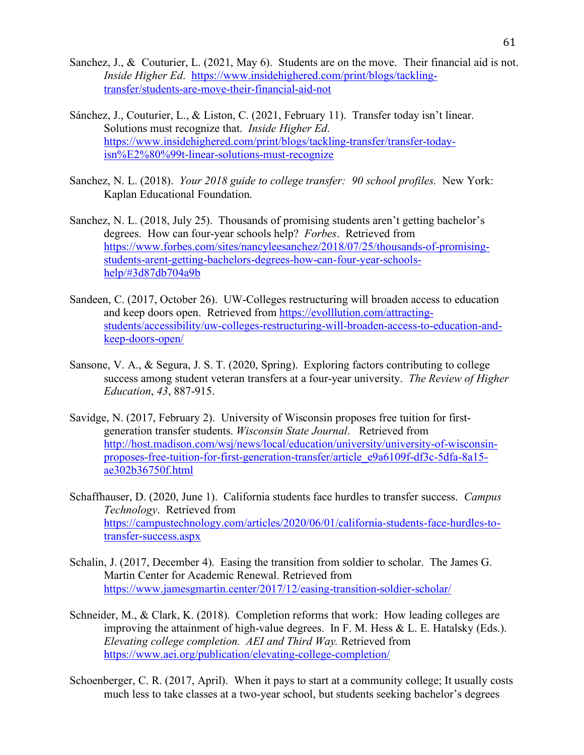- Sanchez, J., & Couturier, L. (2021, May 6). Students are on the move. Their financial aid is not. *Inside Higher Ed*. https://www.insidehighered.com/print/blogs/tacklingtransfer/students-are-move-their-financial-aid-not
- Sánchez, J., Couturier, L., & Liston, C. (2021, February 11). Transfer today isn't linear. Solutions must recognize that. *Inside Higher Ed*. https://www.insidehighered.com/print/blogs/tackling-transfer/transfer-todayisn%E2%80%99t-linear-solutions-must-recognize
- Sanchez, N. L. (2018). *Your 2018 guide to college transfer: 90 school profiles.* New York: Kaplan Educational Foundation.
- Sanchez, N. L. (2018, July 25). Thousands of promising students aren't getting bachelor's degrees. How can four-year schools help? *Forbes*. Retrieved from https://www.forbes.com/sites/nancyleesanchez/2018/07/25/thousands-of-promisingstudents-arent-getting-bachelors-degrees-how-can-four-year-schoolshelp/#3d87db704a9b
- Sandeen, C. (2017, October 26). UW-Colleges restructuring will broaden access to education and keep doors open. Retrieved from https://evolllution.com/attractingstudents/accessibility/uw-colleges-restructuring-will-broaden-access-to-education-andkeep-doors-open/
- Sansone, V. A., & Segura, J. S. T. (2020, Spring). Exploring factors contributing to college success among student veteran transfers at a four-year university. *The Review of Higher Education*, *43*, 887-915.
- Savidge, N. (2017, February 2). University of Wisconsin proposes free tuition for firstgeneration transfer students. *Wisconsin State Journal*. Retrieved from http://host.madison.com/wsj/news/local/education/university/university-of-wisconsinproposes-free-tuition-for-first-generation-transfer/article\_e9a6109f-df3c-5dfa-8a15 ae302b36750f.html
- Schaffhauser, D. (2020, June 1). California students face hurdles to transfer success. *Campus Technology*. Retrieved from https://campustechnology.com/articles/2020/06/01/california-students-face-hurdles-totransfer-success.aspx
- Schalin, J. (2017, December 4). Easing the transition from soldier to scholar. The James G. Martin Center for Academic Renewal. Retrieved from https://www.jamesgmartin.center/2017/12/easing-transition-soldier-scholar/
- Schneider, M., & Clark, K. (2018). Completion reforms that work: How leading colleges are improving the attainment of high-value degrees. In F. M. Hess & L. E. Hatalsky (Eds.). *Elevating college completion. AEI and Third Way.* Retrieved from https://www.aei.org/publication/elevating-college-completion/
- Schoenberger, C. R. (2017, April). When it pays to start at a community college; It usually costs much less to take classes at a two-year school, but students seeking bachelor's degrees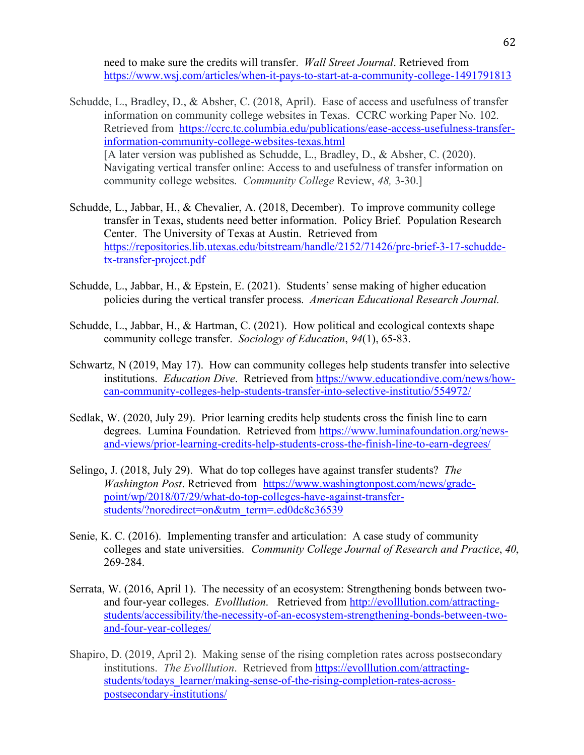need to make sure the credits will transfer. *Wall Street Journal*. Retrieved from https://www.wsj.com/articles/when-it-pays-to-start-at-a-community-college-1491791813

- Schudde, L., Bradley, D., & Absher, C. (2018, April). Ease of access and usefulness of transfer information on community college websites in Texas. CCRC working Paper No. 102. Retrieved from https://ccrc.tc.columbia.edu/publications/ease-access-usefulness-transferinformation-community-college-websites-texas.html [A later version was published as Schudde, L., Bradley, D., & Absher, C. (2020). Navigating vertical transfer online: Access to and usefulness of transfer information on community college websites. *Community College* Review, *48,* 3-30.]
- Schudde, L., Jabbar, H., & Chevalier, A. (2018, December). To improve community college transfer in Texas, students need better information. Policy Brief. Population Research Center. The University of Texas at Austin. Retrieved from https://repositories.lib.utexas.edu/bitstream/handle/2152/71426/prc-brief-3-17-schuddetx-transfer-project.pdf
- Schudde, L., Jabbar, H., & Epstein, E. (2021). Students' sense making of higher education policies during the vertical transfer process. *American Educational Research Journal.*
- Schudde, L., Jabbar, H., & Hartman, C. (2021). How political and ecological contexts shape community college transfer. *Sociology of Education*, *94*(1), 65-83.
- Schwartz, N (2019, May 17). How can community colleges help students transfer into selective institutions. *Education Dive*. Retrieved from https://www.educationdive.com/news/howcan-community-colleges-help-students-transfer-into-selective-institutio/554972/
- Sedlak, W. (2020, July 29). Prior learning credits help students cross the finish line to earn degrees. Lumina Foundation. Retrieved from https://www.luminafoundation.org/newsand-views/prior-learning-credits-help-students-cross-the-finish-line-to-earn-degrees/
- Selingo, J. (2018, July 29). What do top colleges have against transfer students? *The Washington Post*. Retrieved from https://www.washingtonpost.com/news/gradepoint/wp/2018/07/29/what-do-top-colleges-have-against-transferstudents/?noredirect=on&utm\_term=.ed0dc8c36539
- Senie, K. C. (2016). Implementing transfer and articulation: A case study of community colleges and state universities. *Community College Journal of Research and Practice*, *40*, 269-284.
- Serrata, W. (2016, April 1). The necessity of an ecosystem: Strengthening bonds between twoand four-year colleges. *Evolllution*. Retrieved from http://evolllution.com/attractingstudents/accessibility/the-necessity-of-an-ecosystem-strengthening-bonds-between-twoand-four-year-colleges/
- Shapiro, D. (2019, April 2). Making sense of the rising completion rates across postsecondary institutions. *The Evolllution*. Retrieved from https://evolllution.com/attractingstudents/todays\_learner/making-sense-of-the-rising-completion-rates-acrosspostsecondary-institutions/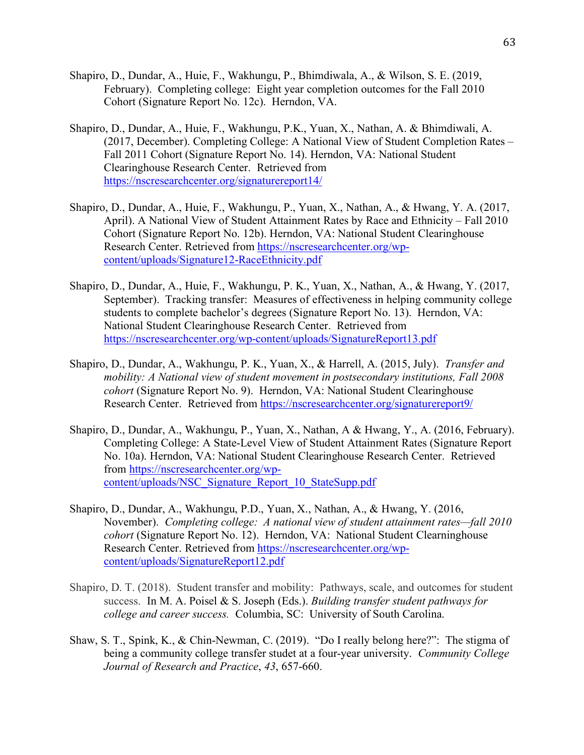- Shapiro, D., Dundar, A., Huie, F., Wakhungu, P., Bhimdiwala, A., & Wilson, S. E. (2019, February). Completing college: Eight year completion outcomes for the Fall 2010 Cohort (Signature Report No. 12c). Herndon, VA.
- Shapiro, D., Dundar, A., Huie, F., Wakhungu, P.K., Yuan, X., Nathan, A. & Bhimdiwali, A. (2017, December). Completing College: A National View of Student Completion Rates – Fall 2011 Cohort (Signature Report No. 14). Herndon, VA: National Student Clearinghouse Research Center. Retrieved from https://nscresearchcenter.org/signaturereport14/
- Shapiro, D., Dundar, A., Huie, F., Wakhungu, P., Yuan, X., Nathan, A., & Hwang, Y. A. (2017, April). A National View of Student Attainment Rates by Race and Ethnicity – Fall 2010 Cohort (Signature Report No. 12b). Herndon, VA: National Student Clearinghouse Research Center. Retrieved from https://nscresearchcenter.org/wpcontent/uploads/Signature12-RaceEthnicity.pdf
- Shapiro, D., Dundar, A., Huie, F., Wakhungu, P. K., Yuan, X., Nathan, A., & Hwang, Y. (2017, September). Tracking transfer: Measures of effectiveness in helping community college students to complete bachelor's degrees (Signature Report No. 13). Herndon, VA: National Student Clearinghouse Research Center. Retrieved from https://nscresearchcenter.org/wp-content/uploads/SignatureReport13.pdf
- Shapiro, D., Dundar, A., Wakhungu, P. K., Yuan, X., & Harrell, A. (2015, July). *Transfer and mobility: A National view of student movement in postsecondary institutions, Fall 2008 cohort* (Signature Report No. 9). Herndon, VA: National Student Clearinghouse Research Center. Retrieved from https://nscresearchcenter.org/signaturereport9/
- Shapiro, D., Dundar, A., Wakhungu, P., Yuan, X., Nathan, A & Hwang, Y., A. (2016, February). Completing College: A State-Level View of Student Attainment Rates (Signature Report No. 10a). Herndon, VA: National Student Clearinghouse Research Center. Retrieved from https://nscresearchcenter.org/wpcontent/uploads/NSC\_Signature\_Report\_10\_StateSupp.pdf
- Shapiro, D., Dundar, A., Wakhungu, P.D., Yuan, X., Nathan, A., & Hwang, Y. (2016, November). *Completing college: A national view of student attainment rates—fall 2010 cohort* (Signature Report No. 12). Herndon, VA: National Student Clearninghouse Research Center. Retrieved from https://nscresearchcenter.org/wpcontent/uploads/SignatureReport12.pdf
- Shapiro, D. T. (2018). Student transfer and mobility: Pathways, scale, and outcomes for student success. In M. A. Poisel & S. Joseph (Eds.). *Building transfer student pathways for college and career success.* Columbia, SC: University of South Carolina.
- Shaw, S. T., Spink, K., & Chin-Newman, C. (2019). "Do I really belong here?": The stigma of being a community college transfer studet at a four-year university. *Community College Journal of Research and Practice*, *43*, 657-660.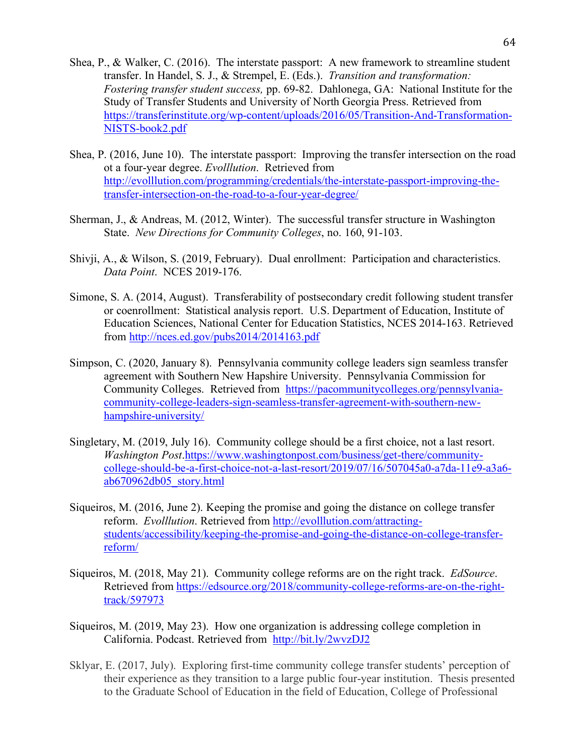- Shea, P., & Walker, C. (2016). The interstate passport: A new framework to streamline student transfer. In Handel, S. J., & Strempel, E. (Eds.). *Transition and transformation: Fostering transfer student success,* pp. 69-82. Dahlonega, GA: National Institute for the Study of Transfer Students and University of North Georgia Press. Retrieved from https://transferinstitute.org/wp-content/uploads/2016/05/Transition-And-Transformation-NISTS-book2.pdf
- Shea, P. (2016, June 10). The interstate passport: Improving the transfer intersection on the road ot a four-year degree. *Evolllution*. Retrieved from http://evolllution.com/programming/credentials/the-interstate-passport-improving-thetransfer-intersection-on-the-road-to-a-four-year-degree/
- Sherman, J., & Andreas, M. (2012, Winter). The successful transfer structure in Washington State. *New Directions for Community Colleges*, no. 160, 91-103.
- Shivji, A., & Wilson, S. (2019, February). Dual enrollment: Participation and characteristics. *Data Point*. NCES 2019-176.
- Simone, S. A. (2014, August). Transferability of postsecondary credit following student transfer or coenrollment: Statistical analysis report. U.S. Department of Education, Institute of Education Sciences, National Center for Education Statistics, NCES 2014-163. Retrieved from http://nces.ed.gov/pubs2014/2014163.pdf
- Simpson, C. (2020, January 8). Pennsylvania community college leaders sign seamless transfer agreement with Southern New Hapshire University. Pennsylvania Commission for Community Colleges. Retrieved from https://pacommunitycolleges.org/pennsylvaniacommunity-college-leaders-sign-seamless-transfer-agreement-with-southern-newhampshire-university/
- Singletary, M. (2019, July 16). Community college should be a first choice, not a last resort. *Washington Post*.https://www.washingtonpost.com/business/get-there/communitycollege-should-be-a-first-choice-not-a-last-resort/2019/07/16/507045a0-a7da-11e9-a3a6 ab670962db05\_story.html
- Siqueiros, M. (2016, June 2). Keeping the promise and going the distance on college transfer reform. *Evolllution*. Retrieved from http://evolllution.com/attractingstudents/accessibility/keeping-the-promise-and-going-the-distance-on-college-transferreform/
- Siqueiros, M. (2018, May 21). Community college reforms are on the right track. *EdSource*. Retrieved from https://edsource.org/2018/community-college-reforms-are-on-the-righttrack/597973
- Siqueiros, M. (2019, May 23). How one organization is addressing college completion in California. Podcast. Retrieved from http://bit.ly/2wvzDJ2
- Sklyar, E. (2017, July). Exploring first-time community college transfer students' perception of their experience as they transition to a large public four-year institution. Thesis presented to the Graduate School of Education in the field of Education, College of Professional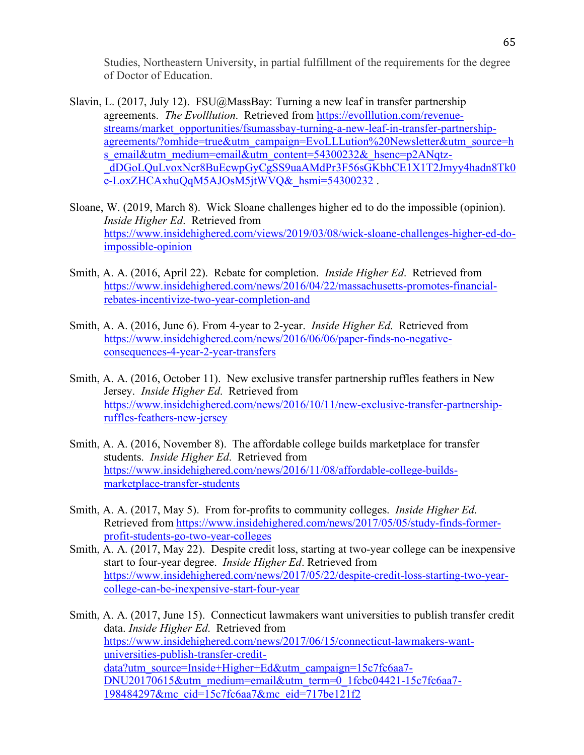Studies, Northeastern University, in partial fulfillment of the requirements for the degree of Doctor of Education.

- Slavin, L. (2017, July 12). FSU@MassBay: Turning a new leaf in transfer partnership agreements. *The Evolllution*. Retrieved from https://evolllution.com/revenuestreams/market\_opportunities/fsumassbay-turning-a-new-leaf-in-transfer-partnershipagreements/?omhide=true&utm\_campaign=EvoLLLution%20Newsletter&utm\_source=h s\_email&utm\_medium=email&utm\_content=54300232&\_hsenc=p2ANqtz-\_dDGoLQuLvoxNcr8BuEcwpGyCgSS9uaAMdPr3F56sGKbhCE1X1T2Jmyy4hadn8Tk0 e-LoxZHCAxhuQqM5AJOsM5jtWVQ&\_hsmi=54300232.
- Sloane, W. (2019, March 8). Wick Sloane challenges higher ed to do the impossible (opinion). *Inside Higher Ed*. Retrieved from https://www.insidehighered.com/views/2019/03/08/wick-sloane-challenges-higher-ed-doimpossible-opinion
- Smith, A. A. (2016, April 22). Rebate for completion. *Inside Higher Ed*. Retrieved from https://www.insidehighered.com/news/2016/04/22/massachusetts-promotes-financialrebates-incentivize-two-year-completion-and
- Smith, A. A. (2016, June 6). From 4-year to 2-year. *Inside Higher Ed*. Retrieved from https://www.insidehighered.com/news/2016/06/06/paper-finds-no-negativeconsequences-4-year-2-year-transfers
- Smith, A. A. (2016, October 11). New exclusive transfer partnership ruffles feathers in New Jersey. *Inside Higher Ed*. Retrieved from https://www.insidehighered.com/news/2016/10/11/new-exclusive-transfer-partnershipruffles-feathers-new-jersey
- Smith, A. A. (2016, November 8). The affordable college builds marketplace for transfer students. *Inside Higher Ed*. Retrieved from https://www.insidehighered.com/news/2016/11/08/affordable-college-buildsmarketplace-transfer-students
- Smith, A. A. (2017, May 5). From for-profits to community colleges. *Inside Higher Ed*. Retrieved from https://www.insidehighered.com/news/2017/05/05/study-finds-formerprofit-students-go-two-year-colleges
- Smith, A. A. (2017, May 22). Despite credit loss, starting at two-year college can be inexpensive start to four-year degree. *Inside Higher Ed*. Retrieved from https://www.insidehighered.com/news/2017/05/22/despite-credit-loss-starting-two-yearcollege-can-be-inexpensive-start-four-year

Smith, A. A. (2017, June 15). Connecticut lawmakers want universities to publish transfer credit data. *Inside Higher Ed*. Retrieved from https://www.insidehighered.com/news/2017/06/15/connecticut-lawmakers-wantuniversities-publish-transfer-creditdata?utm\_source=Inside+Higher+Ed&utm\_campaign=15c7fc6aa7-DNU20170615&utm\_medium=email&utm\_term=0\_1fcbc04421-15c7fc6aa7- 198484297&mc\_cid=15c7fc6aa7&mc\_eid=717be121f2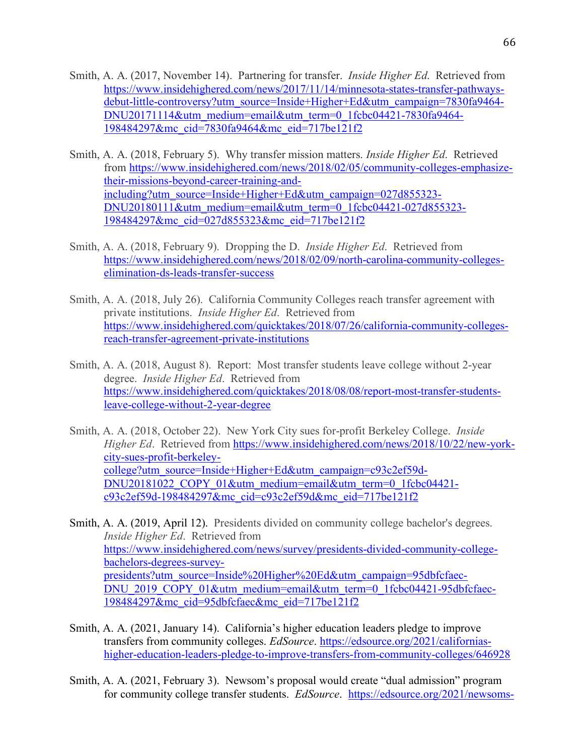- Smith, A. A. (2017, November 14). Partnering for transfer. *Inside Higher Ed*. Retrieved from https://www.insidehighered.com/news/2017/11/14/minnesota-states-transfer-pathwaysdebut-little-controversy?utm\_source=Inside+Higher+Ed&utm\_campaign=7830fa9464- DNU20171114&utm\_medium=email&utm\_term=0\_1fcbc04421-7830fa9464- 198484297&mc\_cid=7830fa9464&mc\_eid=717be121f2
- Smith, A. A. (2018, February 5). Why transfer mission matters. *Inside Higher Ed*. Retrieved from https://www.insidehighered.com/news/2018/02/05/community-colleges-emphasizetheir-missions-beyond-career-training-andincluding?utm\_source=Inside+Higher+Ed&utm\_campaign=027d855323-DNU20180111&utm\_medium=email&utm\_term=0\_1fcbc04421-027d855323- 198484297&mc\_cid=027d855323&mc\_eid=717be121f2
- Smith, A. A. (2018, February 9). Dropping the D. *Inside Higher Ed*. Retrieved from https://www.insidehighered.com/news/2018/02/09/north-carolina-community-collegeselimination-ds-leads-transfer-success
- Smith, A. A. (2018, July 26). California Community Colleges reach transfer agreement with private institutions. *Inside Higher Ed*. Retrieved from https://www.insidehighered.com/quicktakes/2018/07/26/california-community-collegesreach-transfer-agreement-private-institutions
- Smith, A. A. (2018, August 8). Report: Most transfer students leave college without 2-year degree. *Inside Higher Ed*. Retrieved from https://www.insidehighered.com/quicktakes/2018/08/08/report-most-transfer-studentsleave-college-without-2-year-degree
- Smith, A. A. (2018, October 22). New York City sues for-profit Berkeley College. *Inside Higher Ed.* Retrieved from https://www.insidehighered.com/news/2018/10/22/new-yorkcity-sues-profit-berkeleycollege?utm\_source=Inside+Higher+Ed&utm\_campaign=c93c2ef59d-DNU20181022\_COPY\_01&utm\_medium=email&utm\_term=0\_1fcbc04421c93c2ef59d-198484297&mc\_cid=c93c2ef59d&mc\_eid=717be121f2
- Smith, A. A. (2019, April 12). Presidents divided on community college bachelor's degrees. *Inside Higher Ed*. Retrieved from https://www.insidehighered.com/news/survey/presidents-divided-community-collegebachelors-degrees-surveypresidents?utm\_source=Inside%20Higher%20Ed&utm\_campaign=95dbfcfaec-DNU\_2019\_COPY\_01&utm\_medium=email&utm\_term=0\_1fcbc04421-95dbfcfaec-198484297&mc\_cid=95dbfcfaec&mc\_eid=717be121f2
- Smith, A. A. (2021, January 14). California's higher education leaders pledge to improve transfers from community colleges. *EdSource*. https://edsource.org/2021/californiashigher-education-leaders-pledge-to-improve-transfers-from-community-colleges/646928
- Smith, A. A. (2021, February 3). Newsom's proposal would create "dual admission" program for community college transfer students. *EdSource*. https://edsource.org/2021/newsoms-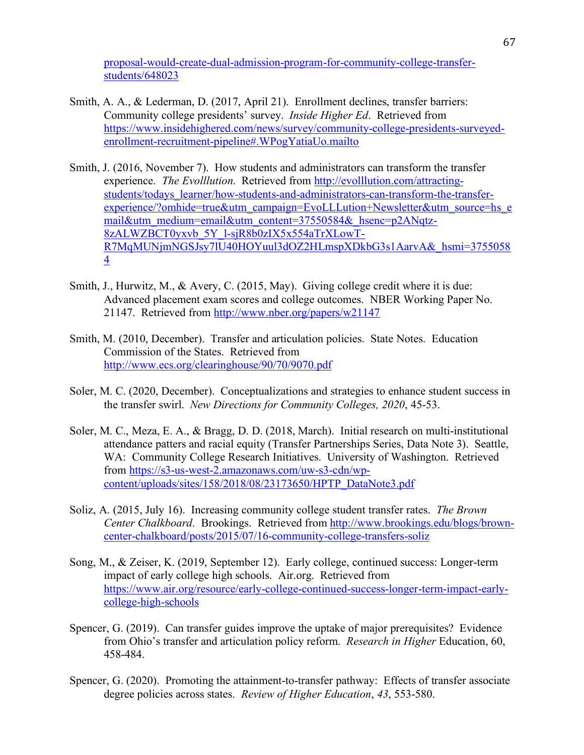proposal-would-create-dual-admission-program-for-community-college-transferstudents/648023

- Smith, A. A., & Lederman, D. (2017, April 21). Enrollment declines, transfer barriers: Community college presidents' survey. *Inside Higher Ed*. Retrieved from https://www.insidehighered.com/news/survey/community-college-presidents-surveyedenrollment-recruitment-pipeline#.WPogYatiaUo.mailto
- Smith, J. (2016, November 7). How students and administrators can transform the transfer experience. *The Evolllution*. Retrieved from http://evolllution.com/attractingstudents/todays\_learner/how-students-and-administrators-can-transform-the-transferexperience/?omhide=true&utm\_campaign=EvoLLLution+Newsletter&utm\_source=hs\_e mail&utm\_medium=email&utm\_content=37550584&\_hsenc=p2ANqtz-8zALWZBCT0yxvb\_5Y\_l-sjR8b0zIX5x554aTrXLowT-R7MqMUNjmNGSJsy7lU40HOYuul3dOZ2HLmspXDkbG3s1AarvA&\_hsmi=3755058 4
- Smith, J., Hurwitz, M., & Avery, C. (2015, May). Giving college credit where it is due: Advanced placement exam scores and college outcomes. NBER Working Paper No. 21147. Retrieved from http://www.nber.org/papers/w21147
- Smith, M. (2010, December). Transfer and articulation policies. State Notes. Education Commission of the States. Retrieved from http://www.ecs.org/clearinghouse/90/70/9070.pdf
- Soler, M. C. (2020, December). Conceptualizations and strategies to enhance student success in the transfer swirl. *New Directions for Community Colleges, 2020*, 45-53.
- Soler, M. C., Meza, E. A., & Bragg, D. D. (2018, March). Initial research on multi-institutional attendance patters and racial equity (Transfer Partnerships Series, Data Note 3). Seattle, WA: Community College Research Initiatives. University of Washington. Retrieved from https://s3-us-west-2.amazonaws.com/uw-s3-cdn/wpcontent/uploads/sites/158/2018/08/23173650/HPTP\_DataNote3.pdf
- Soliz, A. (2015, July 16). Increasing community college student transfer rates. *The Brown Center Chalkboard*. Brookings. Retrieved from http://www.brookings.edu/blogs/browncenter-chalkboard/posts/2015/07/16-community-college-transfers-soliz
- Song, M., & Zeiser, K. (2019, September 12). Early college, continued success: Longer-term impact of early college high schools. Air.org. Retrieved from https://www.air.org/resource/early-college-continued-success-longer-term-impact-earlycollege-high-schools
- Spencer, G. (2019). Can transfer guides improve the uptake of major prerequisites? Evidence from Ohio's transfer and articulation policy reform. *Research in Higher* Education, 60, 458-484.
- Spencer, G. (2020). Promoting the attainment-to-transfer pathway: Effects of transfer associate degree policies across states. *Review of Higher Education*, *43*, 553-580.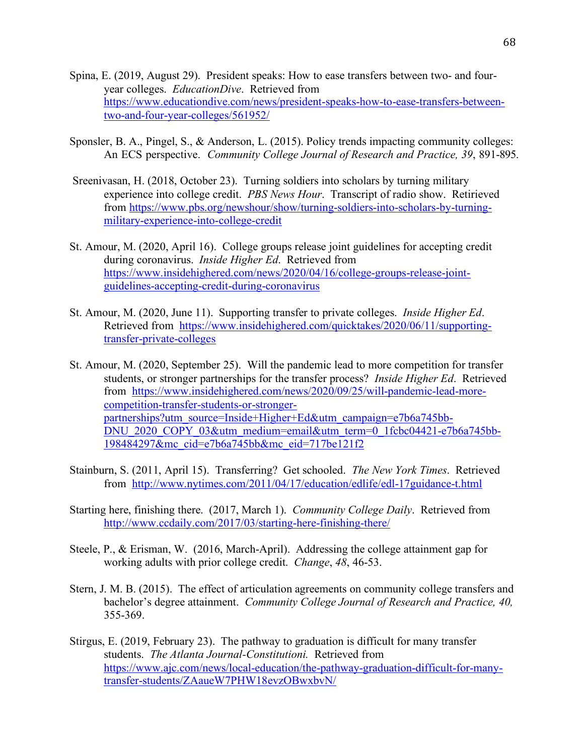- Spina, E. (2019, August 29). President speaks: How to ease transfers between two- and fouryear colleges. *EducationDive*. Retrieved from https://www.educationdive.com/news/president-speaks-how-to-ease-transfers-betweentwo-and-four-year-colleges/561952/
- Sponsler, B. A., Pingel, S., & Anderson, L. (2015). Policy trends impacting community colleges: An ECS perspective. *Community College Journal of Research and Practice, 39*, 891-895.
- Sreenivasan, H. (2018, October 23). Turning soldiers into scholars by turning military experience into college credit. *PBS News Hour*. Transcript of radio show. Retirieved from https://www.pbs.org/newshour/show/turning-soldiers-into-scholars-by-turningmilitary-experience-into-college-credit
- St. Amour, M. (2020, April 16). College groups release joint guidelines for accepting credit during coronavirus. *Inside Higher Ed*. Retrieved from https://www.insidehighered.com/news/2020/04/16/college-groups-release-jointguidelines-accepting-credit-during-coronavirus
- St. Amour, M. (2020, June 11). Supporting transfer to private colleges. *Inside Higher Ed*. Retrieved from https://www.insidehighered.com/quicktakes/2020/06/11/supportingtransfer-private-colleges
- St. Amour, M. (2020, September 25). Will the pandemic lead to more competition for transfer students, or stronger partnerships for the transfer process? *Inside Higher Ed*. Retrieved from https://www.insidehighered.com/news/2020/09/25/will-pandemic-lead-morecompetition-transfer-students-or-strongerpartnerships?utm\_source=Inside+Higher+Ed&utm\_campaign=e7b6a745bb-DNU\_2020\_COPY\_03&utm\_medium=email&utm\_term=0\_1fcbc04421-e7b6a745bb-198484297&mc\_cid=e7b6a745bb&mc\_eid=717be121f2
- Stainburn, S. (2011, April 15). Transferring? Get schooled. *The New York Times*. Retrieved from http://www.nytimes.com/2011/04/17/education/edlife/edl-17guidance-t.html
- Starting here, finishing there. (2017, March 1). *Community College Daily*. Retrieved from http://www.ccdaily.com/2017/03/starting-here-finishing-there/
- Steele, P., & Erisman, W. (2016, March-April). Addressing the college attainment gap for working adults with prior college credit. *Change*, *48*, 46-53.
- Stern, J. M. B. (2015). The effect of articulation agreements on community college transfers and bachelor's degree attainment. *Community College Journal of Research and Practice, 40,*  355-369.
- Stirgus, E. (2019, February 23). The pathway to graduation is difficult for many transfer students. *The Atlanta Journal-Constitutioni.* Retrieved from https://www.ajc.com/news/local-education/the-pathway-graduation-difficult-for-manytransfer-students/ZAaueW7PHW18evzOBwxbvN/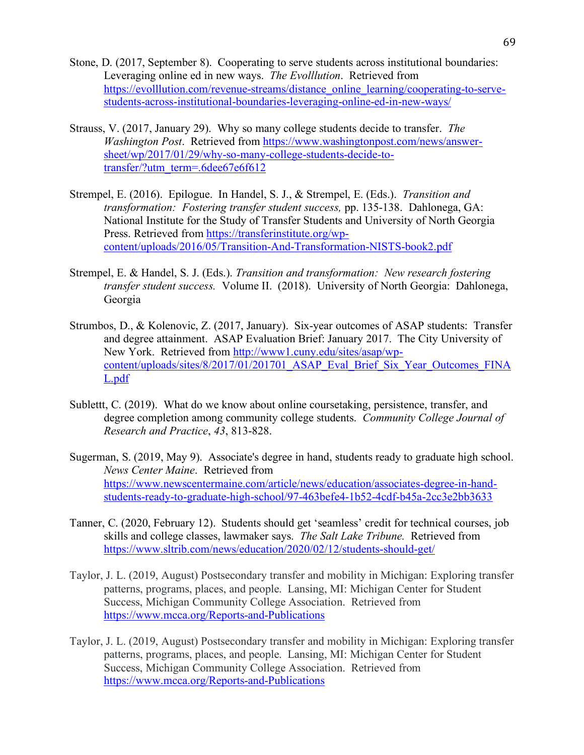- Stone, D. (2017, September 8). Cooperating to serve students across institutional boundaries: Leveraging online ed in new ways. *The Evolllution*. Retrieved from https://evolllution.com/revenue-streams/distance\_online\_learning/cooperating-to-servestudents-across-institutional-boundaries-leveraging-online-ed-in-new-ways/
- Strauss, V. (2017, January 29). Why so many college students decide to transfer. *The Washington Post*. Retrieved from https://www.washingtonpost.com/news/answersheet/wp/2017/01/29/why-so-many-college-students-decide-totransfer/?utm\_term=.6dee67e6f612
- Strempel, E. (2016). Epilogue. In Handel, S. J., & Strempel, E. (Eds.). *Transition and transformation: Fostering transfer student success,* pp. 135-138. Dahlonega, GA: National Institute for the Study of Transfer Students and University of North Georgia Press. Retrieved from https://transferinstitute.org/wpcontent/uploads/2016/05/Transition-And-Transformation-NISTS-book2.pdf
- Strempel, E. & Handel, S. J. (Eds.). *Transition and transformation: New research fostering transfer student success.* Volume II. (2018). University of North Georgia: Dahlonega, Georgia
- Strumbos, D., & Kolenovic, Z. (2017, January). Six-year outcomes of ASAP students: Transfer and degree attainment. ASAP Evaluation Brief: January 2017. The City University of New York. Retrieved from http://www1.cuny.edu/sites/asap/wpcontent/uploads/sites/8/2017/01/201701\_ASAP\_Eval\_Brief\_Six\_Year\_Outcomes\_FINA L.pdf
- Sublettt, C. (2019). What do we know about online coursetaking, persistence, transfer, and degree completion among community college students. *Community College Journal of Research and Practice*, *43*, 813-828.
- Sugerman, S. (2019, May 9). Associate's degree in hand, students ready to graduate high school. *News Center Maine*. Retrieved from https://www.newscentermaine.com/article/news/education/associates-degree-in-handstudents-ready-to-graduate-high-school/97-463befe4-1b52-4cdf-b45a-2cc3e2bb3633
- Tanner, C. (2020, February 12). Students should get 'seamless' credit for technical courses, job skills and college classes, lawmaker says. *The Salt Lake Tribune.* Retrieved from https://www.sltrib.com/news/education/2020/02/12/students-should-get/
- Taylor, J. L. (2019, August) Postsecondary transfer and mobility in Michigan: Exploring transfer patterns, programs, places, and people. Lansing, MI: Michigan Center for Student Success, Michigan Community College Association. Retrieved from https://www.mcca.org/Reports-and-Publications
- Taylor, J. L. (2019, August) Postsecondary transfer and mobility in Michigan: Exploring transfer patterns, programs, places, and people. Lansing, MI: Michigan Center for Student Success, Michigan Community College Association. Retrieved from https://www.mcca.org/Reports-and-Publications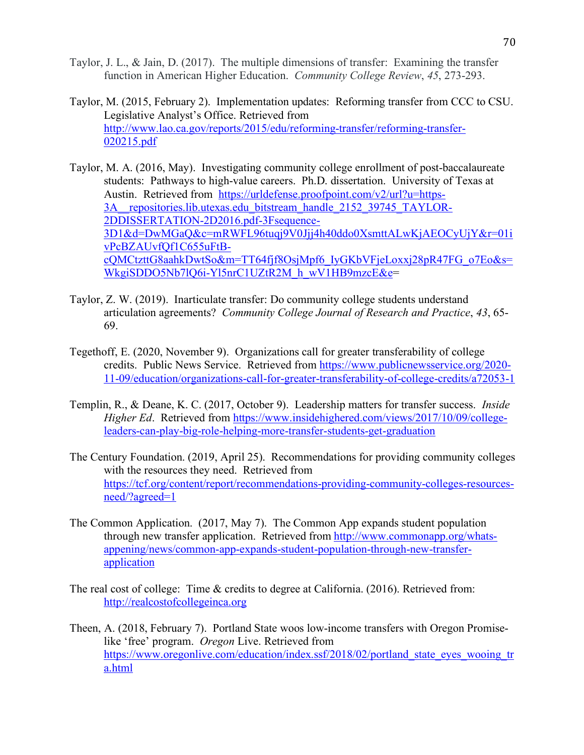- Taylor, J. L., & Jain, D. (2017). The multiple dimensions of transfer: Examining the transfer function in American Higher Education. *Community College Review*, *45*, 273-293.
- Taylor, M. (2015, February 2). Implementation updates: Reforming transfer from CCC to CSU. Legislative Analyst's Office. Retrieved from http://www.lao.ca.gov/reports/2015/edu/reforming-transfer/reforming-transfer-020215.pdf
- Taylor, M. A. (2016, May). Investigating community college enrollment of post-baccalaureate students: Pathways to high-value careers. Ph.D. dissertation. University of Texas at Austin. Retrieved from https://urldefense.proofpoint.com/v2/url?u=https-3A\_\_repositories.lib.utexas.edu\_bitstream\_handle\_2152\_39745\_TAYLOR-2DDISSERTATION-2D2016.pdf-3Fsequence-3D1&d=DwMGaQ&c=mRWFL96tuqj9V0Jjj4h40ddo0XsmttALwKjAEOCyUjY&r=01i vPcBZAUvfQf1C655uFtBcQMCtzttG8aahkDwtSo&m=TT64fjf8OsjMpf6\_IyGKbVFjeLoxxj28pR47FG\_o7Eo&s= WkgiSDDO5Nb7lQ6i-Yl5nrC1UZtR2M\_h\_wV1HB9mzcE&e=
- Taylor, Z. W. (2019). Inarticulate transfer: Do community college students understand articulation agreements? *Community College Journal of Research and Practice*, *43*, 65- 69.
- Tegethoff, E. (2020, November 9). Organizations call for greater transferability of college credits. Public News Service. Retrieved from https://www.publicnewsservice.org/2020- 11-09/education/organizations-call-for-greater-transferability-of-college-credits/a72053-1
- Templin, R., & Deane, K. C. (2017, October 9). Leadership matters for transfer success. *Inside Higher Ed*. Retrieved from https://www.insidehighered.com/views/2017/10/09/collegeleaders-can-play-big-role-helping-more-transfer-students-get-graduation
- The Century Foundation. (2019, April 25). Recommendations for providing community colleges with the resources they need. Retrieved from https://tcf.org/content/report/recommendations-providing-community-colleges-resourcesneed/?agreed=1
- The Common Application. (2017, May 7). The Common App expands student population through new transfer application. Retrieved from http://www.commonapp.org/whatsappening/news/common-app-expands-student-population-through-new-transferapplication
- The real cost of college: Time & credits to degree at California. (2016). Retrieved from: http://realcostofcollegeinca.org
- Theen, A. (2018, February 7). Portland State woos low-income transfers with Oregon Promiselike 'free' program. *Oregon* Live. Retrieved from https://www.oregonlive.com/education/index.ssf/2018/02/portland\_state\_eyes\_wooing\_tr a.html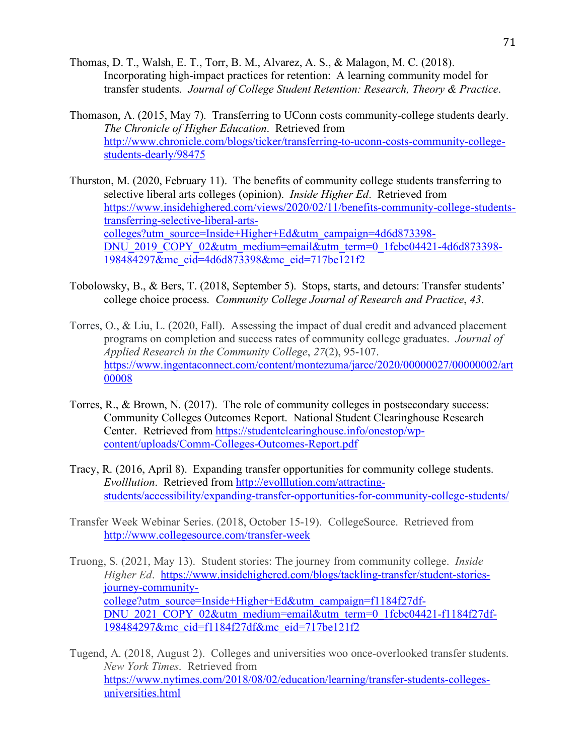- Thomas, D. T., Walsh, E. T., Torr, B. M., Alvarez, A. S., & Malagon, M. C. (2018). Incorporating high-impact practices for retention: A learning community model for transfer students. *Journal of College Student Retention: Research, Theory & Practice*.
- Thomason, A. (2015, May 7). Transferring to UConn costs community-college students dearly. *The Chronicle of Higher Education*. Retrieved from http://www.chronicle.com/blogs/ticker/transferring-to-uconn-costs-community-collegestudents-dearly/98475
- Thurston, M. (2020, February 11). The benefits of community college students transferring to selective liberal arts colleges (opinion). *Inside Higher Ed*. Retrieved from https://www.insidehighered.com/views/2020/02/11/benefits-community-college-studentstransferring-selective-liberal-artscolleges?utm\_source=Inside+Higher+Ed&utm\_campaign=4d6d873398- DNU\_2019\_COPY\_02&utm\_medium=email&utm\_term=0\_1fcbc04421-4d6d873398-198484297&mc\_cid=4d6d873398&mc\_eid=717be121f2
- Tobolowsky, B., & Bers, T. (2018, September 5). Stops, starts, and detours: Transfer students' college choice process. *Community College Journal of Research and Practice*, *43*.
- Torres, O., & Liu, L. (2020, Fall). Assessing the impact of dual credit and advanced placement programs on completion and success rates of community college graduates. *Journal of Applied Research in the Community College*, *27*(2), 95-107. https://www.ingentaconnect.com/content/montezuma/jarcc/2020/00000027/00000002/art 00008
- Torres, R., & Brown, N. (2017). The role of community colleges in postsecondary success: Community Colleges Outcomes Report. National Student Clearinghouse Research Center. Retrieved from https://studentclearinghouse.info/onestop/wpcontent/uploads/Comm-Colleges-Outcomes-Report.pdf
- Tracy, R. (2016, April 8). Expanding transfer opportunities for community college students. *Evolllution*. Retrieved from http://evolllution.com/attractingstudents/accessibility/expanding-transfer-opportunities-for-community-college-students/
- Transfer Week Webinar Series. (2018, October 15-19). CollegeSource. Retrieved from http://www.collegesource.com/transfer-week
- Truong, S. (2021, May 13). Student stories: The journey from community college. *Inside Higher Ed*. https://www.insidehighered.com/blogs/tackling-transfer/student-storiesjourney-communitycollege?utm\_source=Inside+Higher+Ed&utm\_campaign=f1184f27df-DNU\_2021\_COPY\_02&utm\_medium=email&utm\_term=0\_1fcbc04421-f1184f27df-198484297&mc\_cid=f1184f27df&mc\_eid=717be121f2
- Tugend, A. (2018, August 2). Colleges and universities woo once-overlooked transfer students. *New York Times*. Retrieved from https://www.nytimes.com/2018/08/02/education/learning/transfer-students-collegesuniversities.html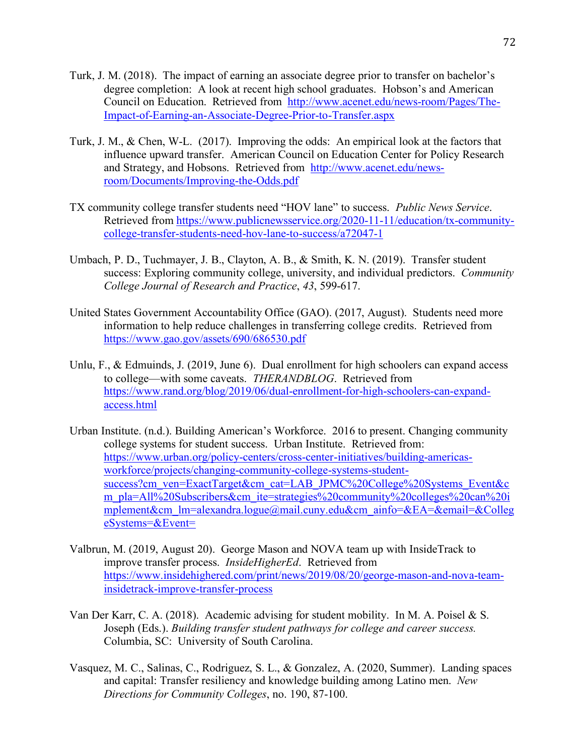- Turk, J. M. (2018). The impact of earning an associate degree prior to transfer on bachelor's degree completion: A look at recent high school graduates. Hobson's and American Council on Education. Retrieved from http://www.acenet.edu/news-room/Pages/The-Impact-of-Earning-an-Associate-Degree-Prior-to-Transfer.aspx
- Turk, J. M., & Chen, W-L. (2017). Improving the odds: An empirical look at the factors that influence upward transfer. American Council on Education Center for Policy Research and Strategy, and Hobsons. Retrieved from http://www.acenet.edu/newsroom/Documents/Improving-the-Odds.pdf
- TX community college transfer students need "HOV lane" to success. *Public News Service*. Retrieved from https://www.publicnewsservice.org/2020-11-11/education/tx-communitycollege-transfer-students-need-hov-lane-to-success/a72047-1
- Umbach, P. D., Tuchmayer, J. B., Clayton, A. B., & Smith, K. N. (2019). Transfer student success: Exploring community college, university, and individual predictors. *Community College Journal of Research and Practice*, *43*, 599-617.
- United States Government Accountability Office (GAO). (2017, August). Students need more information to help reduce challenges in transferring college credits. Retrieved from https://www.gao.gov/assets/690/686530.pdf
- Unlu, F., & Edmuinds, J. (2019, June 6). Dual enrollment for high schoolers can expand access to college—with some caveats. *THERANDBLOG*. Retrieved from https://www.rand.org/blog/2019/06/dual-enrollment-for-high-schoolers-can-expandaccess.html
- Urban Institute. (n.d.). Building American's Workforce. 2016 to present. Changing community college systems for student success. Urban Institute. Retrieved from: https://www.urban.org/policy-centers/cross-center-initiatives/building-americasworkforce/projects/changing-community-college-systems-studentsuccess?cm\_ven=ExactTarget&cm\_cat=LAB\_JPMC%20College%20Systems\_Event&c m\_pla=All%20Subscribers&cm\_ite=strategies%20community%20colleges%20can%20i mplement&cm\_lm=alexandra.logue@mail.cuny.edu&cm\_ainfo=&EA=&email=&Colleg eSystems=&Event=
- Valbrun, M. (2019, August 20). George Mason and NOVA team up with InsideTrack to improve transfer process. *InsideHigherEd*. Retrieved from https://www.insidehighered.com/print/news/2019/08/20/george-mason-and-nova-teaminsidetrack-improve-transfer-process
- Van Der Karr, C. A. (2018). Academic advising for student mobility. In M. A. Poisel & S. Joseph (Eds.). *Building transfer student pathways for college and career success.*  Columbia, SC: University of South Carolina.
- Vasquez, M. C., Salinas, C., Rodriguez, S. L., & Gonzalez, A. (2020, Summer). Landing spaces and capital: Transfer resiliency and knowledge building among Latino men. *New Directions for Community Colleges*, no. 190, 87-100.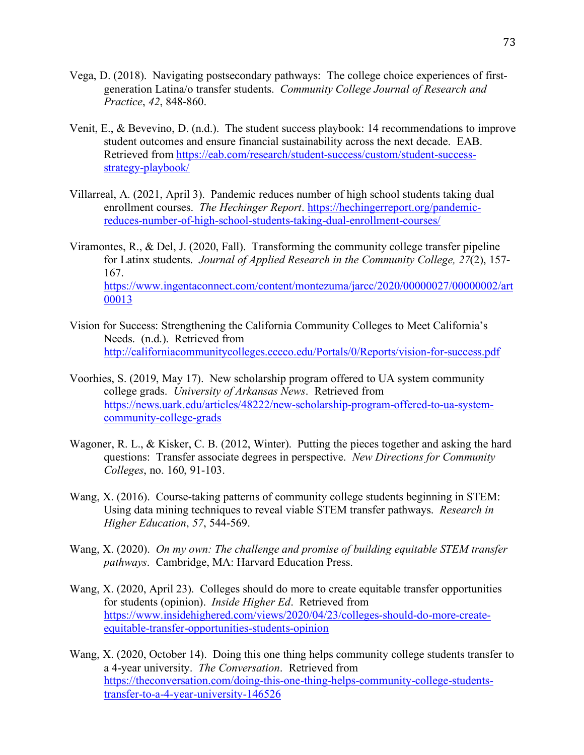- Vega, D. (2018). Navigating postsecondary pathways: The college choice experiences of firstgeneration Latina/o transfer students. *Community College Journal of Research and Practice*, *42*, 848-860.
- Venit, E., & Bevevino, D. (n.d.). The student success playbook: 14 recommendations to improve student outcomes and ensure financial sustainability across the next decade. EAB. Retrieved from https://eab.com/research/student-success/custom/student-successstrategy-playbook/
- Villarreal, A. (2021, April 3). Pandemic reduces number of high school students taking dual enrollment courses. *The Hechinger Report*. https://hechingerreport.org/pandemicreduces-number-of-high-school-students-taking-dual-enrollment-courses/

Viramontes, R., & Del, J. (2020, Fall). Transforming the community college transfer pipeline for Latinx students. *Journal of Applied Research in the Community College, 27*(2), 157- 167. https://www.ingentaconnect.com/content/montezuma/jarcc/2020/00000027/00000002/art 00013

- Vision for Success: Strengthening the California Community Colleges to Meet California's Needs. (n.d.). Retrieved from http://californiacommunitycolleges.cccco.edu/Portals/0/Reports/vision-for-success.pdf
- Voorhies, S. (2019, May 17). New scholarship program offered to UA system community college grads. *University of Arkansas News*. Retrieved from https://news.uark.edu/articles/48222/new-scholarship-program-offered-to-ua-systemcommunity-college-grads
- Wagoner, R. L., & Kisker, C. B. (2012, Winter). Putting the pieces together and asking the hard questions: Transfer associate degrees in perspective. *New Directions for Community Colleges*, no. 160, 91-103.
- Wang, X. (2016). Course-taking patterns of community college students beginning in STEM: Using data mining techniques to reveal viable STEM transfer pathways. *Research in Higher Education*, *57*, 544-569.
- Wang, X. (2020). *On my own: The challenge and promise of building equitable STEM transfer pathways*. Cambridge, MA: Harvard Education Press.
- Wang, X. (2020, April 23). Colleges should do more to create equitable transfer opportunities for students (opinion). *Inside Higher Ed*. Retrieved from https://www.insidehighered.com/views/2020/04/23/colleges-should-do-more-createequitable-transfer-opportunities-students-opinion
- Wang, X. (2020, October 14). Doing this one thing helps community college students transfer to a 4-year university. *The Conversation*. Retrieved from https://theconversation.com/doing-this-one-thing-helps-community-college-studentstransfer-to-a-4-year-university-146526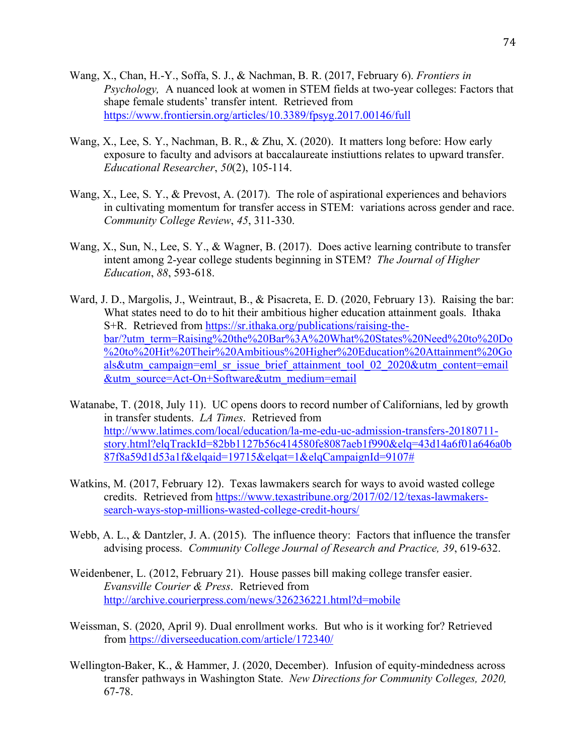- Wang, X., Chan, H.-Y., Soffa, S. J., & Nachman, B. R. (2017, February 6). *Frontiers in Psychology,* A nuanced look at women in STEM fields at two-year colleges: Factors that shape female students' transfer intent. Retrieved from https://www.frontiersin.org/articles/10.3389/fpsyg.2017.00146/full
- Wang, X., Lee, S. Y., Nachman, B. R., & Zhu, X. (2020). It matters long before: How early exposure to faculty and advisors at baccalaureate instiuttions relates to upward transfer. *Educational Researcher*, *50*(2), 105-114.
- Wang, X., Lee, S. Y., & Prevost, A. (2017). The role of aspirational experiences and behaviors in cultivating momentum for transfer access in STEM: variations across gender and race. *Community College Review*, *45*, 311-330.
- Wang, X., Sun, N., Lee, S. Y., & Wagner, B. (2017). Does active learning contribute to transfer intent among 2-year college students beginning in STEM? *The Journal of Higher Education*, *88*, 593-618.
- Ward, J. D., Margolis, J., Weintraut, B., & Pisacreta, E. D. (2020, February 13). Raising the bar: What states need to do to hit their ambitious higher education attainment goals. Ithaka S+R. Retrieved from https://sr.ithaka.org/publications/raising-thebar/?utm\_term=Raising%20the%20Bar%3A%20What%20States%20Need%20to%20Do %20to%20Hit%20Their%20Ambitious%20Higher%20Education%20Attainment%20Go als&utm\_campaign=eml\_sr\_issue\_brief\_attainment\_tool\_02\_2020&utm\_content=email &utm\_source=Act-On+Software&utm\_medium=email
- Watanabe, T. (2018, July 11). UC opens doors to record number of Californians, led by growth in transfer students. *LA Times*. Retrieved from http://www.latimes.com/local/education/la-me-edu-uc-admission-transfers-20180711 story.html?elqTrackId=82bb1127b56c414580fe8087aeb1f990&elq=43d14a6f01a646a0b 87f8a59d1d53a1f&elqaid=19715&elqat=1&elqCampaignId=9107#
- Watkins, M. (2017, February 12). Texas lawmakers search for ways to avoid wasted college credits. Retrieved from https://www.texastribune.org/2017/02/12/texas-lawmakerssearch-ways-stop-millions-wasted-college-credit-hours/
- Webb, A. L., & Dantzler, J. A. (2015). The influence theory: Factors that influence the transfer advising process. *Community College Journal of Research and Practice, 39*, 619-632.
- Weidenbener, L. (2012, February 21). House passes bill making college transfer easier. *Evansville Courier & Press*. Retrieved from http://archive.courierpress.com/news/326236221.html?d=mobile
- Weissman, S. (2020, April 9). Dual enrollment works. But who is it working for? Retrieved from https://diverseeducation.com/article/172340/
- Wellington-Baker, K., & Hammer, J. (2020, December). Infusion of equity-mindedness across transfer pathways in Washington State. *New Directions for Community Colleges, 2020,*  67-78.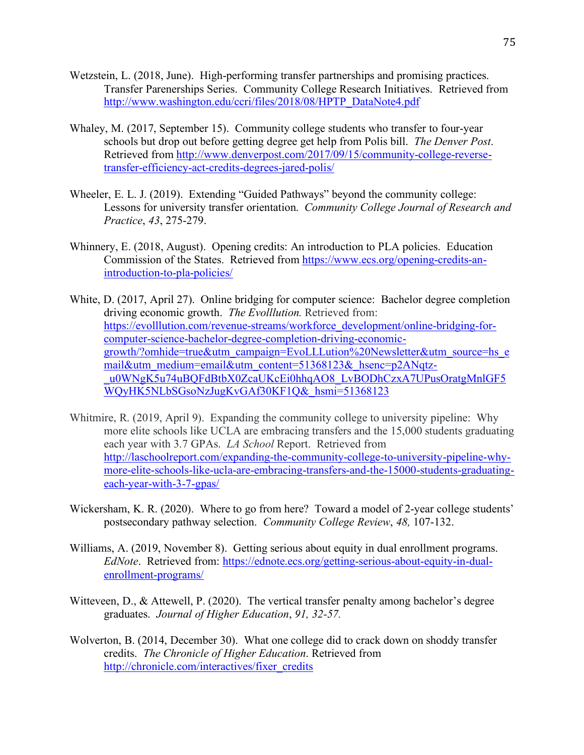- Wetzstein, L. (2018, June). High-performing transfer partnerships and promising practices. Transfer Parenerships Series. Community College Research Initiatives. Retrieved from http://www.washington.edu/ccri/files/2018/08/HPTP\_DataNote4.pdf
- Whaley, M. (2017, September 15). Community college students who transfer to four-year schools but drop out before getting degree get help from Polis bill. *The Denver Post*. Retrieved from http://www.denverpost.com/2017/09/15/community-college-reversetransfer-efficiency-act-credits-degrees-jared-polis/
- Wheeler, E. L. J. (2019). Extending "Guided Pathways" beyond the community college: Lessons for university transfer orientation. *Community College Journal of Research and Practice*, *43*, 275-279.
- Whinnery, E. (2018, August). Opening credits: An introduction to PLA policies. Education Commission of the States. Retrieved from https://www.ecs.org/opening-credits-anintroduction-to-pla-policies/
- White, D. (2017, April 27). Online bridging for computer science: Bachelor degree completion driving economic growth. *The Evolllution.* Retrieved from: https://evolllution.com/revenue-streams/workforce\_development/online-bridging-forcomputer-science-bachelor-degree-completion-driving-economicgrowth/?omhide=true&utm\_campaign=EvoLLLution%20Newsletter&utm\_source=hs\_e mail&utm\_medium=email&utm\_content=51368123&\_hsenc=p2ANqtzu0WNgK5u74uBQFdBtbX0ZcaUKcEi0hhqAO8\_LvBODhCzxA7UPusOratgMnlGF5 WQyHK5NLbSGsoNzJugKvGAf30KF1Q&\_hsmi=51368123
- Whitmire, R. (2019, April 9). Expanding the community college to university pipeline: Why more elite schools like UCLA are embracing transfers and the 15,000 students graduating each year with 3.7 GPAs. *LA School* Report. Retrieved from http://laschoolreport.com/expanding-the-community-college-to-university-pipeline-whymore-elite-schools-like-ucla-are-embracing-transfers-and-the-15000-students-graduatingeach-year-with-3-7-gpas/
- Wickersham, K. R. (2020). Where to go from here? Toward a model of 2-year college students' postsecondary pathway selection. *Community College Review*, *48,* 107-132.
- Williams, A. (2019, November 8). Getting serious about equity in dual enrollment programs. *EdNote*. Retrieved from: https://ednote.ecs.org/getting-serious-about-equity-in-dualenrollment-programs/
- Witteveen, D., & Attewell, P. (2020). The vertical transfer penalty among bachelor's degree graduates. *Journal of Higher Education*, *91, 32-57.*
- Wolverton, B. (2014, December 30). What one college did to crack down on shoddy transfer credits. *The Chronicle of Higher Education*. Retrieved from http://chronicle.com/interactives/fixer\_credits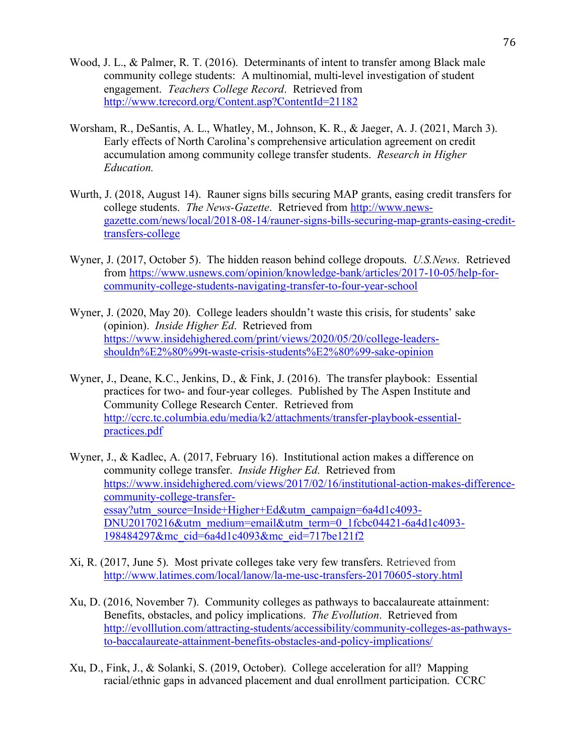- Wood, J. L., & Palmer, R. T. (2016). Determinants of intent to transfer among Black male community college students: A multinomial, multi-level investigation of student engagement. *Teachers College Record*. Retrieved from http://www.tcrecord.org/Content.asp?ContentId=21182
- Worsham, R., DeSantis, A. L., Whatley, M., Johnson, K. R., & Jaeger, A. J. (2021, March 3). Early effects of North Carolina's comprehensive articulation agreement on credit accumulation among community college transfer students. *Research in Higher Education.*
- Wurth, J. (2018, August 14). Rauner signs bills securing MAP grants, easing credit transfers for college students. *The News-Gazette*. Retrieved from http://www.newsgazette.com/news/local/2018-08-14/rauner-signs-bills-securing-map-grants-easing-credittransfers-college
- Wyner, J. (2017, October 5). The hidden reason behind college dropouts. *U.S.News*. Retrieved from https://www.usnews.com/opinion/knowledge-bank/articles/2017-10-05/help-forcommunity-college-students-navigating-transfer-to-four-year-school
- Wyner, J. (2020, May 20). College leaders shouldn't waste this crisis, for students' sake (opinion). *Inside Higher Ed*. Retrieved from https://www.insidehighered.com/print/views/2020/05/20/college-leadersshouldn%E2%80%99t-waste-crisis-students%E2%80%99-sake-opinion
- Wyner, J., Deane, K.C., Jenkins, D., & Fink, J. (2016). The transfer playbook: Essential practices for two- and four-year colleges. Published by The Aspen Institute and Community College Research Center. Retrieved from http://ccrc.tc.columbia.edu/media/k2/attachments/transfer-playbook-essentialpractices.pdf
- Wyner, J., & Kadlec, A. (2017, February 16). Institutional action makes a difference on community college transfer. *Inside Higher Ed*. Retrieved from https://www.insidehighered.com/views/2017/02/16/institutional-action-makes-differencecommunity-college-transferessay?utm\_source=Inside+Higher+Ed&utm\_campaign=6a4d1c4093- DNU20170216&utm\_medium=email&utm\_term=0\_1fcbc04421-6a4d1c4093-198484297&mc\_cid=6a4d1c4093&mc\_eid=717be121f2
- Xi, R. (2017, June 5). Most private colleges take very few transfers. Retrieved from http://www.latimes.com/local/lanow/la-me-usc-transfers-20170605-story.html
- Xu, D. (2016, November 7). Community colleges as pathways to baccalaureate attainment: Benefits, obstacles, and policy implications. *The Evollution*. Retrieved from http://evolllution.com/attracting-students/accessibility/community-colleges-as-pathwaysto-baccalaureate-attainment-benefits-obstacles-and-policy-implications/
- Xu, D., Fink, J., & Solanki, S. (2019, October). College acceleration for all? Mapping racial/ethnic gaps in advanced placement and dual enrollment participation. CCRC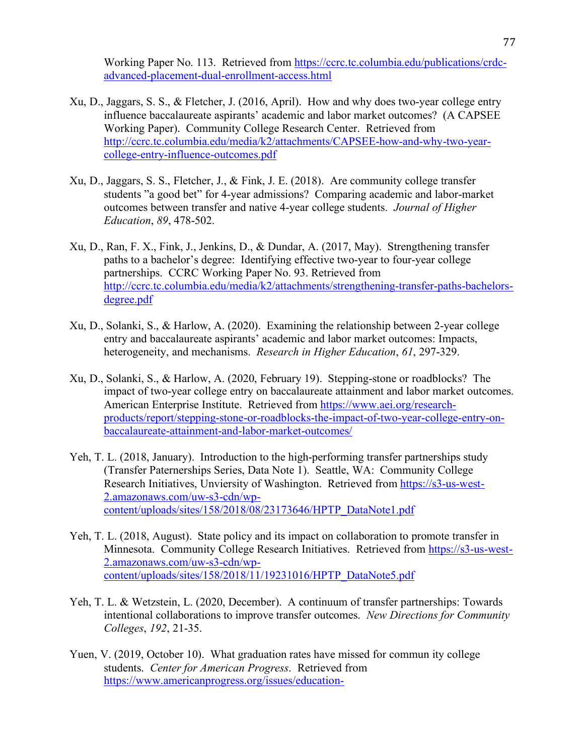Working Paper No. 113. Retrieved from https://ccrc.tc.columbia.edu/publications/crdcadvanced-placement-dual-enrollment-access.html

- Xu, D., Jaggars, S. S., & Fletcher, J. (2016, April). How and why does two-year college entry influence baccalaureate aspirants' academic and labor market outcomes? (A CAPSEE Working Paper). Community College Research Center. Retrieved from http://ccrc.tc.columbia.edu/media/k2/attachments/CAPSEE-how-and-why-two-yearcollege-entry-influence-outcomes.pdf
- Xu, D., Jaggars, S. S., Fletcher, J., & Fink, J. E. (2018). Are community college transfer students "a good bet" for 4-year admissions? Comparing academic and labor-market outcomes between transfer and native 4-year college students. *Journal of Higher Education*, *89*, 478-502.
- Xu, D., Ran, F. X., Fink, J., Jenkins, D., & Dundar, A. (2017, May). Strengthening transfer paths to a bachelor's degree: Identifying effective two-year to four-year college partnerships. CCRC Working Paper No. 93. Retrieved from http://ccrc.tc.columbia.edu/media/k2/attachments/strengthening-transfer-paths-bachelorsdegree.pdf
- Xu, D., Solanki, S., & Harlow, A. (2020). Examining the relationship between 2-year college entry and baccalaureate aspirants' academic and labor market outcomes: Impacts, heterogeneity, and mechanisms. *Research in Higher Education*, *61*, 297-329.
- Xu, D., Solanki, S., & Harlow, A. (2020, February 19). Stepping-stone or roadblocks? The impact of two-year college entry on baccalaureate attainment and labor market outcomes. American Enterprise Institute. Retrieved from https://www.aei.org/researchproducts/report/stepping-stone-or-roadblocks-the-impact-of-two-year-college-entry-onbaccalaureate-attainment-and-labor-market-outcomes/
- Yeh, T. L. (2018, January). Introduction to the high-performing transfer partnerships study (Transfer Paternerships Series, Data Note 1). Seattle, WA: Community College Research Initiatives, Unviersity of Washington. Retrieved from https://s3-us-west-2.amazonaws.com/uw-s3-cdn/wpcontent/uploads/sites/158/2018/08/23173646/HPTP\_DataNote1.pdf
- Yeh, T. L. (2018, August). State policy and its impact on collaboration to promote transfer in Minnesota. Community College Research Initiatives. Retrieved from https://s3-us-west-2.amazonaws.com/uw-s3-cdn/wpcontent/uploads/sites/158/2018/11/19231016/HPTP\_DataNote5.pdf
- Yeh, T. L. & Wetzstein, L. (2020, December). A continuum of transfer partnerships: Towards intentional collaborations to improve transfer outcomes. *New Directions for Community Colleges*, *192*, 21-35.
- Yuen, V. (2019, October 10). What graduation rates have missed for commun ity college students. *Center for American Progress*. Retrieved from https://www.americanprogress.org/issues/education-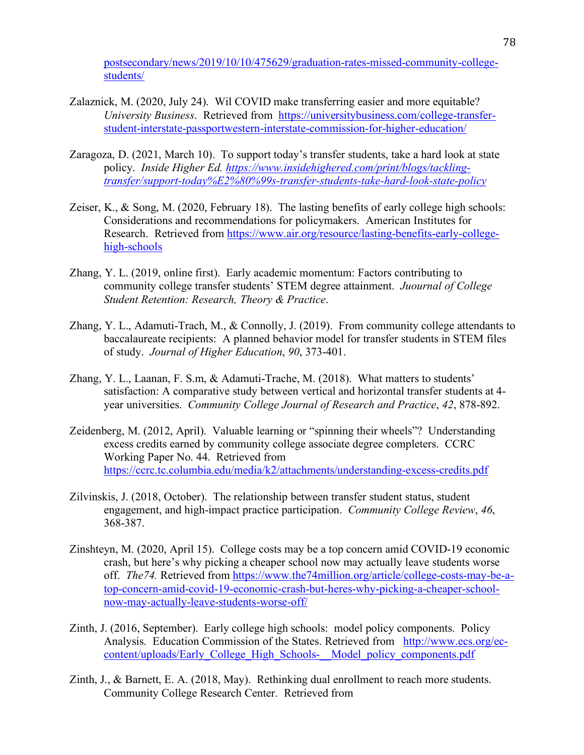postsecondary/news/2019/10/10/475629/graduation-rates-missed-community-collegestudents/

- Zalaznick, M. (2020, July 24). Wil COVID make transferring easier and more equitable? *University Business*. Retrieved from https://universitybusiness.com/college-transferstudent-interstate-passportwestern-interstate-commission-for-higher-education/
- Zaragoza, D. (2021, March 10). To support today's transfer students, take a hard look at state policy. *Inside Higher Ed. https://www.insidehighered.com/print/blogs/tacklingtransfer/support-today%E2%80%99s-transfer-students-take-hard-look-state-policy*
- Zeiser, K., & Song, M. (2020, February 18). The lasting benefits of early college high schools: Considerations and recommendations for policymakers. American Institutes for Research. Retrieved from https://www.air.org/resource/lasting-benefits-early-collegehigh-schools
- Zhang, Y. L. (2019, online first). Early academic momentum: Factors contributing to community college transfer students' STEM degree attainment. *Juournal of College Student Retention: Research, Theory & Practice*.
- Zhang, Y. L., Adamuti-Trach, M., & Connolly, J. (2019). From community college attendants to baccalaureate recipients: A planned behavior model for transfer students in STEM files of study. *Journal of Higher Education*, *90*, 373-401.
- Zhang, Y. L., Laanan, F. S.m, & Adamuti-Trache, M. (2018). What matters to students' satisfaction: A comparative study between vertical and horizontal transfer students at 4 year universities. *Community College Journal of Research and Practice*, *42*, 878-892.
- Zeidenberg, M. (2012, April). Valuable learning or "spinning their wheels"? Understanding excess credits earned by community college associate degree completers. CCRC Working Paper No. 44. Retrieved from https://ccrc.tc.columbia.edu/media/k2/attachments/understanding-excess-credits.pdf
- Zilvinskis, J. (2018, October). The relationship between transfer student status, student engagement, and high-impact practice participation. *Community College Review*, *46*, 368-387.
- Zinshteyn, M. (2020, April 15). College costs may be a top concern amid COVID-19 economic crash, but here's why picking a cheaper school now may actually leave students worse off. *The74.* Retrieved from https://www.the74million.org/article/college-costs-may-be-atop-concern-amid-covid-19-economic-crash-but-heres-why-picking-a-cheaper-schoolnow-may-actually-leave-students-worse-off/
- Zinth, J. (2016, September). Early college high schools: model policy components. Policy Analysis. Education Commission of the States. Retrieved from http://www.ecs.org/eccontent/uploads/Early\_College\_High\_Schools-\_\_Model\_policy\_components.pdf
- Zinth, J., & Barnett, E. A. (2018, May). Rethinking dual enrollment to reach more students. Community College Research Center. Retrieved from